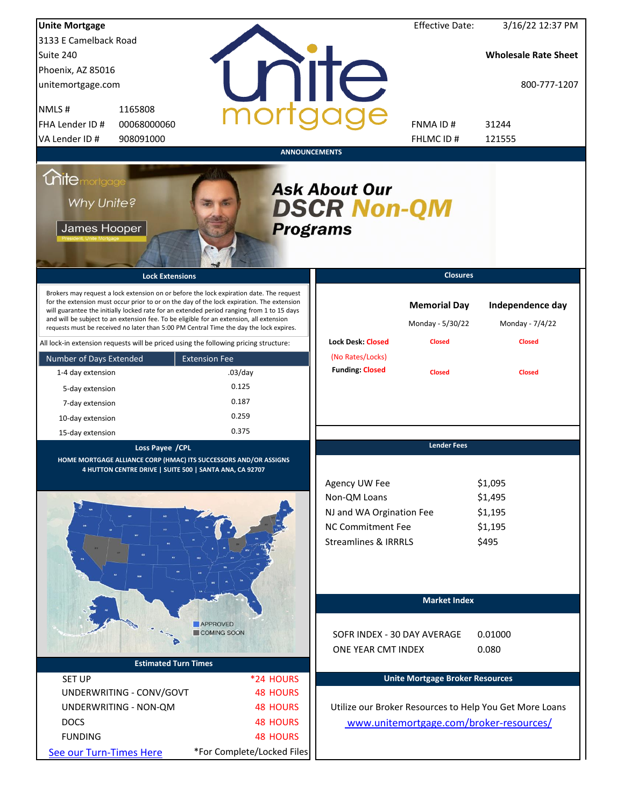| <b>Unite Mortgage</b>                              |                                                                                         |                                                                                                                                                                                                                                                                                                                                                                                                                                                                     |                                                                                                                          | <b>Effective Date:</b>                                   | 3/16/22 12:37 PM                                        |
|----------------------------------------------------|-----------------------------------------------------------------------------------------|---------------------------------------------------------------------------------------------------------------------------------------------------------------------------------------------------------------------------------------------------------------------------------------------------------------------------------------------------------------------------------------------------------------------------------------------------------------------|--------------------------------------------------------------------------------------------------------------------------|----------------------------------------------------------|---------------------------------------------------------|
| 3133 E Camelback Road                              |                                                                                         |                                                                                                                                                                                                                                                                                                                                                                                                                                                                     |                                                                                                                          |                                                          |                                                         |
| Suite 240                                          |                                                                                         |                                                                                                                                                                                                                                                                                                                                                                                                                                                                     |                                                                                                                          |                                                          | <b>Wholesale Rate Sheet</b>                             |
| Phoenix, AZ 85016                                  |                                                                                         |                                                                                                                                                                                                                                                                                                                                                                                                                                                                     |                                                                                                                          |                                                          |                                                         |
| unitemortgage.com                                  |                                                                                         |                                                                                                                                                                                                                                                                                                                                                                                                                                                                     | <b>TITE</b>                                                                                                              |                                                          | 800-777-1207                                            |
| NMLS#                                              | 1165808                                                                                 |                                                                                                                                                                                                                                                                                                                                                                                                                                                                     |                                                                                                                          |                                                          |                                                         |
| FHA Lender ID #                                    | 00068000060                                                                             |                                                                                                                                                                                                                                                                                                                                                                                                                                                                     |                                                                                                                          | <b>FNMAID#</b>                                           | 31244                                                   |
| VA Lender ID #                                     | 908091000                                                                               |                                                                                                                                                                                                                                                                                                                                                                                                                                                                     |                                                                                                                          | <b>FHLMCID#</b>                                          | 121555                                                  |
|                                                    |                                                                                         | <b>ANNOUNCEMENTS</b>                                                                                                                                                                                                                                                                                                                                                                                                                                                |                                                                                                                          |                                                          |                                                         |
| <b>Chitemortgage</b><br>Why Unite?<br>James Hooper |                                                                                         | <b>Programs</b>                                                                                                                                                                                                                                                                                                                                                                                                                                                     | <b>Ask About Our</b><br><b>DSCR Non-QM</b>                                                                               |                                                          |                                                         |
|                                                    | <b>Lock Extensions</b>                                                                  |                                                                                                                                                                                                                                                                                                                                                                                                                                                                     |                                                                                                                          | <b>Closures</b>                                          |                                                         |
|                                                    | and will be subject to an extension fee. To be eligible for an extension, all extension | Brokers may request a lock extension on or before the lock expiration date. The request<br>for the extension must occur prior to or on the day of the lock expiration. The extension<br>will guarantee the initially locked rate for an extended period ranging from 1 to 15 days<br>requests must be received no later than 5:00 PM Central Time the day the lock expires.<br>All lock-in extension requests will be priced using the following pricing structure: | <b>Lock Desk: Closed</b>                                                                                                 | <b>Memorial Day</b><br>Monday - 5/30/22<br><b>Closed</b> | Independence day<br>Monday - 7/4/22<br><b>Closed</b>    |
|                                                    |                                                                                         |                                                                                                                                                                                                                                                                                                                                                                                                                                                                     | (No Rates/Locks)                                                                                                         |                                                          |                                                         |
| Number of Days Extended                            |                                                                                         | <b>Extension Fee</b>                                                                                                                                                                                                                                                                                                                                                                                                                                                | <b>Funding: Closed</b>                                                                                                   | <b>Closed</b>                                            | <b>Closed</b>                                           |
| 1-4 day extension                                  |                                                                                         | $.03$ /day<br>0.125                                                                                                                                                                                                                                                                                                                                                                                                                                                 |                                                                                                                          |                                                          |                                                         |
| 5-day extension                                    |                                                                                         |                                                                                                                                                                                                                                                                                                                                                                                                                                                                     |                                                                                                                          |                                                          |                                                         |
| 7-day extension                                    |                                                                                         | 0.187                                                                                                                                                                                                                                                                                                                                                                                                                                                               |                                                                                                                          |                                                          |                                                         |
| 10-day extension                                   |                                                                                         | 0.259                                                                                                                                                                                                                                                                                                                                                                                                                                                               |                                                                                                                          |                                                          |                                                         |
| 15-day extension                                   |                                                                                         | 0.375                                                                                                                                                                                                                                                                                                                                                                                                                                                               |                                                                                                                          |                                                          |                                                         |
|                                                    | Loss Payee / CPL<br>4 HUTTON CENTRE DRIVE   SUITE 500   SANTA ANA, CA 92707             | HOME MORTGAGE ALLIANCE CORP (HMAC) ITS SUCCESSORS AND/OR ASSIGNS                                                                                                                                                                                                                                                                                                                                                                                                    | Agency UW Fee<br>Non-QM Loans<br>NJ and WA Orgination Fee<br><b>NC Commitment Fee</b><br><b>Streamlines &amp; IRRRLS</b> | <b>Lender Fees</b>                                       | \$1,095<br>\$1,495<br>\$1,195<br>\$1,195<br>\$495       |
|                                                    |                                                                                         | <b>APPROVED</b><br>COMING SOON                                                                                                                                                                                                                                                                                                                                                                                                                                      | SOFR INDEX - 30 DAY AVERAGE                                                                                              | <b>Market Index</b>                                      | 0.01000                                                 |
|                                                    |                                                                                         |                                                                                                                                                                                                                                                                                                                                                                                                                                                                     | ONE YEAR CMT INDEX                                                                                                       |                                                          | 0.080                                                   |
|                                                    | <b>Estimated Turn Times</b>                                                             |                                                                                                                                                                                                                                                                                                                                                                                                                                                                     |                                                                                                                          |                                                          |                                                         |
| <b>SET UP</b>                                      |                                                                                         | *24 HOURS                                                                                                                                                                                                                                                                                                                                                                                                                                                           |                                                                                                                          | <b>Unite Mortgage Broker Resources</b>                   |                                                         |
|                                                    | UNDERWRITING - CONV/GOVT                                                                | <b>48 HOURS</b>                                                                                                                                                                                                                                                                                                                                                                                                                                                     |                                                                                                                          |                                                          |                                                         |
|                                                    | UNDERWRITING - NON-QM                                                                   | <b>48 HOURS</b>                                                                                                                                                                                                                                                                                                                                                                                                                                                     |                                                                                                                          |                                                          | Utilize our Broker Resources to Help You Get More Loans |
| <b>DOCS</b>                                        |                                                                                         | <b>48 HOURS</b>                                                                                                                                                                                                                                                                                                                                                                                                                                                     |                                                                                                                          |                                                          |                                                         |
|                                                    |                                                                                         |                                                                                                                                                                                                                                                                                                                                                                                                                                                                     |                                                                                                                          |                                                          | www.unitemortgage.com/broker-resources/                 |
| <b>FUNDING</b>                                     |                                                                                         | <b>48 HOURS</b>                                                                                                                                                                                                                                                                                                                                                                                                                                                     |                                                                                                                          |                                                          |                                                         |
| See our Turn-Times Here                            |                                                                                         | *For Complete/Locked Files                                                                                                                                                                                                                                                                                                                                                                                                                                          |                                                                                                                          |                                                          |                                                         |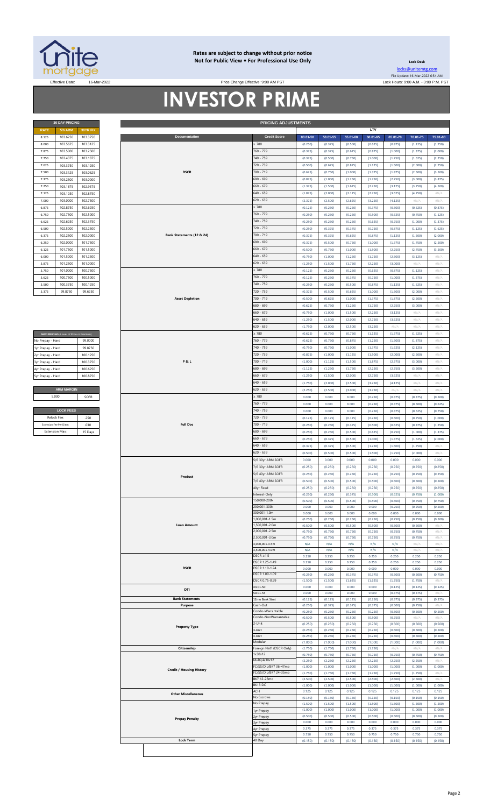

### **Rates are subject to change without prior notice Not for Public View • For Professional Use Only**

Price Change Effective: 9:00 AM PST

**30 DAY PRICING PRICING ADJUSTMENTS**

**Lock Desk** [locks@unitemtg](mailto:locks@unitemtg.com).com File Update: 16-Mar-2022 6:54 AM Effective Date: 16-Mar-2022 2009.M. PST Price Change Effective: 9:00 AM PST Lock Hours: 9:00 A.M. - 3:00 P.M. PST

# **INVESTOR PRIME**

|             | <b>30 DAY PRICING</b> |                 |
|-------------|-----------------------|-----------------|
| <b>RATE</b> | <b>5/6 ARM</b>        | <b>30YR FIX</b> |
| 8.125       | 103.6250              | 103.3750        |
| 8.000       | 103.5625              | 103.3125        |
| 7.875       | 103.5000              | 103.2500        |
| 7.750       | 103.4375              | 103.1875        |
| 7.625       | 103.3750              | 103.1250        |
| 7.500       | 103.3125              | 103.0625        |
| 7.375       | 103.2500              | 103.0000        |
| 7.250       | 103.1875              | 102.9375        |
| 7.125       | 103.1250              | 102.8750        |
| 7.000       | 103,0000              | 102.7500        |
| 6.875       | 102.8750              | 102.6250        |
| 6.750       | 102.7500              | 102.5000        |
| 6.625       | 102.6250              | 102.3750        |
| 6.500       | 102.5000              | 102.2500        |
| 6.375       | 102.2500              | 102.0000        |
| 6.250       | 102.0000              | 101.7500        |
| 6.125       | 101.7500              | 101.5000        |
| 6.000       | 101.5000              | 101.2500        |
| 5.875       | 101.2500              | 101.0000        |
| 5.750       | 101.0000              | 100.7500        |
| 5.625       | 100.7500              | 100,5000        |
| 5.500       | 100.3750              | 100.1250        |
| 5.375       | 99.8750               | 99.6250         |

| MAX PRICING (Lower of Price or Premium) |  |  |  |  |  |  |  |  |  |  |
|-----------------------------------------|--|--|--|--|--|--|--|--|--|--|
| 99.0000                                 |  |  |  |  |  |  |  |  |  |  |
| 99 8750                                 |  |  |  |  |  |  |  |  |  |  |
| 100 1250                                |  |  |  |  |  |  |  |  |  |  |
| 100 3750                                |  |  |  |  |  |  |  |  |  |  |
| 100 6250                                |  |  |  |  |  |  |  |  |  |  |
| 100 8750                                |  |  |  |  |  |  |  |  |  |  |
|                                         |  |  |  |  |  |  |  |  |  |  |
| <b>ARM MARGIN</b>                       |  |  |  |  |  |  |  |  |  |  |
| SOFR                                    |  |  |  |  |  |  |  |  |  |  |
|                                         |  |  |  |  |  |  |  |  |  |  |

| <b>LOCK FEES</b>        |         |  |  |  |  |  |  |  |  |  |
|-------------------------|---------|--|--|--|--|--|--|--|--|--|
| Relock Fee:             | 250     |  |  |  |  |  |  |  |  |  |
| Extension Fee Per Diem: | 030     |  |  |  |  |  |  |  |  |  |
| <b>Extension Max:</b>   | 15 Days |  |  |  |  |  |  |  |  |  |

| <b>Credit Score</b><br>8.125<br>103.6250<br>103.3750<br>Documentation<br>00.01-50<br>50.01-55<br>55.01-60<br>60.01-65<br>65.01-70<br>70.01-75<br>: 780<br>8.000<br>103.5625<br>103.3125<br>(0.250)<br>(0.375)<br>(0.500)<br>(0.625)<br>(0.875)<br>(1.125)<br>760 - 779<br>7.875<br>103.5000<br>103.2500<br>(0.375)<br>(0.375)<br>(0.625)<br>(0.875)<br>(1.000)<br>(1.375)<br>740 - 759<br>103.4375<br>7.750<br>103.1875<br>(0.375)<br>(0.500)<br>(0.750)<br>(1.000)<br>(1.250)<br>(1.625)<br>720 - 739<br>7.625<br>103.3750<br>(0.500)<br>(0.625)<br>(0.875)<br>(1.125)<br>(1.500)<br>(2.000)<br>103.1250<br><b>DSCR</b><br>700 - 719<br>103.3125<br>103.0625<br>7.500<br>(0.625)<br>(0.750)<br>(1.000)<br>(1.375)<br>(1.875)<br>(2.500)<br>680 - 699<br>7.375<br>103.2500<br>103.0000<br>(0.875)<br>(1.000)<br>(1.250)<br>(1.750)<br>(2.250)<br>(3.000)<br>$660 - 679$<br>(1.625)<br>(2.250)<br>(3.125)<br>(3.750)<br>7.250<br>103.1875<br>102.9375<br>(1.375)<br>(1.500)<br>103.1250<br>102.8750<br>640 - 659<br>7.125<br>(1.875)<br>(2.000)<br>(2.125)<br>(2.750)<br>(3.625)<br>(4.750)<br>103.0000<br>102.7500<br>620 - 639<br>7.000<br>(2.375)<br>(2.500)<br>(2.625)<br>(3.250)<br>(4.125)<br>#N/A<br>$\geq 780$<br>6.875<br>102.8750<br>(0.125)<br>(0.250)<br>(0.250)<br>(0.375)<br>(0.500)<br>(0.625)<br>102.6250<br>760 - 779<br>102.7500<br>102.5000<br>6.750<br>(0.250)<br>(0.625)<br>(0.250)<br>(0.250)<br>(0.500)<br>(0.750)<br>740 - 759<br>6.625<br>102.6250<br>102.3750<br>(0.250)<br>(0.750)<br>(1.000)<br>(0.250)<br>(0.250)<br>(0.625)<br>720 - 739<br>6.500<br>102.5000<br>102.2500<br>(0.250)<br>(0.375)<br>(0.375)<br>(0.750)<br>(0.875)<br>(1.125)<br>700 - 719<br>102.2500<br>102.0000<br>Bank Statements (12 & 24)<br>6.375<br>(0.375)<br>(0.375)<br>(0.625)<br>(0.875)<br>(1.125)<br>(1.500)<br>680 - 699<br>6.250<br>101.7500<br>(0.375)<br>(0.500)<br>(0.750)<br>(1.000)<br>(1.375)<br>(1.750)<br>102.0000<br>$660 - 679$<br>101.7500<br>101.5000<br>6.125<br>(0.500)<br>(0.750)<br>(1.000)<br>(1.500)<br>(2.250)<br>(2.750)<br>101.5000<br>101.2500<br>$640 - 659$<br>6.000<br>(0.750)<br>(1.000)<br>(1.250)<br>(1.750)<br>(2.500)<br>(3.125)<br>620 - 639<br>(1.250)<br>(1.500)<br>(1.750)<br>(2.250)<br>(3.000)<br>#N/A<br>5.875<br>101.2500<br>101.0000<br>: 780<br>5.750<br>101.0000<br>100.7500<br>(0.125)<br>(0.250)<br>(0.250)<br>(0.625)<br>(0.875)<br>(1.125)<br>760 - 779<br>5.625<br>100.7500<br>100.5000<br>(0.375)<br>(0.750)<br>(1.000)<br>(1.375)<br>(0.125)<br>(0.250)<br>740 - 759<br>5.500<br>100.3750<br>100.1250<br>(0.250)<br>(0.250)<br>(0.500)<br>(0.875)<br>(1.125)<br>(1.625)<br>720 - 739<br>99.8750<br>99.6250<br>5.375<br>(0.375)<br>(0.500)<br>(0.625)<br>(1.000)<br>(1.500)<br>(2.000)<br>700 - 719<br><b>Asset Depletion</b><br>(0.500)<br>(0.625)<br>(1.000)<br>(1.375)<br>(1.875)<br>(2.500)<br>680 - 699<br>(1.250)<br>(3.000)<br>(0.625)<br>(0.750)<br>(1.750)<br>(2.250)<br>$660 - 679$<br>(1.000)<br>#N/A<br>(0.750)<br>(1.500)<br>(2.250)<br>(3.125)<br>640 - 659<br>(1.250)<br>(1.500)<br>(2.000)<br>(2.750)<br>(3.625)<br>#N/A<br>620 - 639<br>(1.750)<br>(2.000)<br>(2.500)<br>(3.250)<br>$\#N/A$<br>#N/A<br>780<br>(0.625)<br>(0.750)<br>(0.750)<br>(1.125)<br>(1.375)<br>(1.625)<br>MAX PRICING (Lower of Price or Premium)<br>760 - 779<br>(0.625)<br>(0.750)<br>(0.875)<br>(1.250)<br>(1.500)<br>(1.875)<br>99.0000<br>740 - 759<br>99.8750<br>(0.750)<br>(0.750)<br>(1.000)<br>(1.375)<br>(1.625)<br>(2.125)<br>720 - 739<br>100.1250<br>(0.875)<br>(1.000)<br>(1.125)<br>(1.500)<br>(2.000)<br>(2.500)<br><b>P&amp;L</b><br>700 - 719<br>(1.000)<br>(1.875)<br>(2.375)<br>100.3750<br>(1.125)<br>(1.500)<br>(3.000)<br>100.6250<br>680 - 699<br>(1.125)<br>(1.250)<br>(1.750)<br>(2.250)<br>(2.750)<br>(3.500)<br>$660 - 679$<br>100.8750<br>(1.250)<br>(1.500)<br>(2.000)<br>(2.750)<br>(3.625)<br>#N//<br>$640 - 659$<br>(1.750)<br>(2.000)<br>(2.500)<br>(3.250)<br>(4.125)<br>#N/A<br><b>ARM MARGIN</b><br>620 - 639<br>(2.250)<br>(2.500)<br>(3.000)<br>$\#N/A$<br>$\#N/A$<br>(3.750)<br>5.000<br>: 780<br>SOFR<br>0.000<br>0.000<br>0.000<br>(0.250)<br>(0.375)<br>(0.375)<br>760 - 779<br>0.000<br>0.000<br>0.000<br>(0.250)<br>(0.375)<br>(0.500)<br><b>LOCK FEES</b><br>740 - 759<br>0.000<br>0.000<br>0.000<br>(0.250)<br>(0.375)<br>(0.625)<br>720 - 739<br>Relock Fee:<br>(0.125)<br>(0.125)<br>(0.125)<br>(0.250)<br>(0.500)<br>(0.750)<br>.250<br>$700 - 719$<br><b>Full Doc</b><br>Extension Fee Per Diem:<br>.030<br>(0.250)<br>(0.250)<br>(0.375)<br>(0.500)<br>(0.625)<br>(0.875)<br><b>Extension Max:</b><br>680 - 699<br>15 Days<br>(0.250)<br>(0.250)<br>(0.500)<br>(0.625)<br>(0.750)<br>(1.000)<br>$660 - 679$<br>(0.250)<br>(0.375)<br>(0.500)<br>(1.000)<br>(1.375)<br>(1.625)<br>$640 - 659$<br>(0.375)<br>(0.375)<br>(0.500)<br>(1.250)<br>(1.500)<br>(1.750)<br>$620 - 639$<br>(0.500)<br>(1.750)<br>(0.500)<br>(0.500)<br>(1.500)<br>(2.000)<br>0.000<br>5/6 30yr ARM SOFR<br>0.000<br>0.000<br>0.000<br>0.000<br>0.000<br>7/6 30yr ARM SOFR<br>(0.250)<br>(0.250)<br>(0.250)<br>(0.250)<br>(0.250)<br>(0.250)<br>(0.250)<br>(0.250)<br>(0.250)<br>(0.250)<br>(0.250)<br>5/6 40yr ARM SOFR<br>(0.250)<br>Product<br>7/6 40yr ARM SOFR<br>(0.500)<br>(0.500)<br>(0.500)<br>(0.500)<br>(0.500)<br>(0.500)<br>40yr Fixed<br>(0.250)<br>(0.250)<br>(0.250)<br>(0.250)<br>(0.250)<br>(0.250)<br>Interest-Only<br>(0.250)<br>(0.250)<br>(0.375)<br>(0.500)<br>(0.625)<br>(0.750)<br>150,000-200k<br>(0.500)<br>(0.500)<br>(0.500)<br>(0.500)<br>(0.500)<br>(0.750)<br>200.001-300k<br>0.000<br>0.000<br>0.000<br>(0.250)<br>(0.250)<br>0.000<br>300,001-1.0m<br>0.000<br>0.000<br>0.000<br>0.000<br>0.000<br>0.000<br>1,000,001-1.5m<br>(0.250)<br>(0.250)<br>(0.250)<br>(0.250)<br>(0.250)<br>(0.250)<br><b>Loan Amount</b><br>1,500,001-2.0m<br>(0.500)<br>(0.500)<br>(0.500)<br>(0.500)<br>(0.500)<br>(0.500)<br>2,000,001-2.5m<br>(0.750)<br>(0.750)<br>(0.750)<br>(0.750)<br>(0.750)<br>(0.750)<br>2,500,001-3.0m<br>(0.750)<br>(0.750)<br>(0.750)<br>(0.750)<br>(0.750)<br>(0.750)<br>3,000,001-3.5m<br>N/A<br>N/A<br>N/A<br>N/A<br>N/A<br>#N<br>3,500,001-4.0m<br>N/A<br>N/A<br>N/A<br>N/A<br>N/A<br>#N/A<br>$DSCR \geq 1.5$<br>0.250<br>0.250<br>0.250<br>0.250<br>0.250<br>0.250<br>DSCR 1.25-1.49<br>0.250<br>0.250<br>0.250<br>0.250<br>0.250<br>0.250<br><b>DSCR</b><br>DSCR 1.10-1.24<br>0.000<br>0.000<br>0.000<br>0.000<br>0.000<br>0.000<br>DSCR 1.00-1.09<br>(0.250)<br>(0.250)<br>(0.375)<br>(0.375)<br>(0.500)<br>(0.500)<br>DSCR 0.75-0.99<br>(1.625)<br>(1.625)<br>(1.500)<br>(1.500)<br>(1.750)<br>(1.750)<br>43.01-50<br>0.000<br>0.000<br>0.000<br>0.000<br>(0.125)<br>(0.125)<br>DTI<br>50.01-55<br>0.000<br>0.000<br>0.000<br>0.000<br>(0.375)<br>(0.375)<br><b>Bank Statements</b><br>12mo Bank Stmt<br>(0.125)<br>(0.250)<br>(0.125)<br>(0.125)<br>(0.375)<br>(0.375)<br>Purpose<br>.ash-Out<br>(0.250)<br>(0.375)<br>(0.375)<br>(0.375)<br>(0.500)<br>(0.750)<br>Condo-Warrantable<br>(0.250)<br>(0.250)<br>(0.250)<br>(0.250)<br>(0.500)<br>(0.500)<br>Condo-NonWarrantable<br>(0.500)<br>(0.500)<br>(0.500)<br>(0.500)<br>(0.750)<br>#N//<br>2-Unit<br>(0.250)<br>(0.250)<br>(0.250)<br>(0.250)<br>(0.500)<br>(0.500)<br><b>Property Type</b><br>(0.250)<br>(0.250)<br>(0.250)<br>(0.250)<br>(0.500)<br>(0.500)<br>3-Unit<br>4-Unit<br>(0.250)<br>(0.250)<br>(0.250)<br>(0.250)<br>(0.500)<br>(0.500)<br>Modular<br>(1.000)<br>(1.000)<br>(1.000)<br>(1.000)<br>(1.000)<br>(1.000)<br>Foreign Nat'l (DSCR Only)<br>Citizenship<br>(1.750)<br>(1.750)<br>(1.750)<br>(1.750)<br>#N/A<br>#N/A<br>1x30x12<br>(0.750)<br>(0.750)<br>(0.750)<br>(0.750)<br>(0.750)<br>(0.750)<br>Multiple30x12<br>(2.250)<br>(2.250)<br>(2.250)<br>(2.250)<br>(2.250)<br>(2.250)<br>FC/SS/DIL/BK7 36-47mo<br>(1.000)<br>(1.000)<br>(1.000)<br>(1.000)<br>(1.000)<br>(1.000)<br><b>Credit / Housing History</b><br>FC/SS/DIL/BK7 24-35mo<br>(1.750)<br>(1.750)<br>(1.750)<br>(1.750)<br>(1.750)<br>(1.750)<br>BK7 12-23mo<br>(2.500)<br>(2.500)<br>(2.500)<br>(2.500)<br>(2.500)<br>(2.500)<br>BK13 DC<br>(1.000)<br>(1.000)<br>(1.000)<br>(1.000)<br>(1.000)<br>(1.000)<br>ACH<br>0.125<br>0.125<br>0.125<br>0.125<br>0.125<br>0.125<br><b>Other Miscellaneous</b><br>No Escrows<br>(0.150)<br>(0.150)<br>(0.150)<br>(0.150)<br>(0.150)<br>(0.150)<br>No Prepay<br>(1.500)<br>(1.500)<br>(1.500)<br>(1.500)<br>(1.500)<br>(1.500)<br>(1.000)<br>(1.000)<br>(1.000)<br>(1.000)<br>(1.000)<br>(1.000)<br>yr Prepay<br>(0.500)<br>(0.500)<br>(0.500)<br>(0.500)<br>(0.500)<br>(0.500)<br>yr Prepay<br><b>Prepay Penalty</b><br>0.000<br>0.000<br>0.000<br>0.000<br>0.000<br>0.000<br>yr Prepay<br>0.375<br>0.375<br>0.375<br>0.375<br>0.375<br>0.375<br>4yr Prepay | <b>5/6 ARM</b> | 30YR FIX |  |  |           |       |       |       |       | LTV   |       |         |                            |
|----------------------------------------------------------------------------------------------------------------------------------------------------------------------------------------------------------------------------------------------------------------------------------------------------------------------------------------------------------------------------------------------------------------------------------------------------------------------------------------------------------------------------------------------------------------------------------------------------------------------------------------------------------------------------------------------------------------------------------------------------------------------------------------------------------------------------------------------------------------------------------------------------------------------------------------------------------------------------------------------------------------------------------------------------------------------------------------------------------------------------------------------------------------------------------------------------------------------------------------------------------------------------------------------------------------------------------------------------------------------------------------------------------------------------------------------------------------------------------------------------------------------------------------------------------------------------------------------------------------------------------------------------------------------------------------------------------------------------------------------------------------------------------------------------------------------------------------------------------------------------------------------------------------------------------------------------------------------------------------------------------------------------------------------------------------------------------------------------------------------------------------------------------------------------------------------------------------------------------------------------------------------------------------------------------------------------------------------------------------------------------------------------------------------------------------------------------------------------------------------------------------------------------------------------------------------------------------------------------------------------------------------------------------------------------------------------------------------------------------------------------------------------------------------------------------------------------------------------------------------------------------------------------------------------------------------------------------------------------------------------------------------------------------------------------------------------------------------------------------------------------------------------------------------------------------------------------------------------------------------------------------------------------------------------------------------------------------------------------------------------------------------------------------------------------------------------------------------------------------------------------------------------------------------------------------------------------------------------------------------------------------------------------------------------------------------------------------------------------------------------------------------------------------------------------------------------------------------------------------------------------------------------------------------------------------------------------------------------------------------------------------------------------------------------------------------------------------------------------------------------------------------------------------------------------------------------------------------------------------------------------------------------------------------------------------------------------------------------------------------------------------------------------------------------------------------------------------------------------------------------------------------------------------------------------------------------------------------------------------------------------------------------------------------------------------------------------------------------------------------------------------------------------------------------------------------------------------------------------------------------------------------------------------------------------------------------------------------------------------------------------------------------------------------------------------------------------------------------------------------------------------------------------------------------------------------------------------------------------------------------------------------------------------------------------------------------------------------------------------------------------------------------------------------------------------------------------------------------------------------------------------------------------------------------------------------------------------------------------------------------------------------------------------------------------------------------------------------------------------------------------------------------------------------------------------------------------------------------------------------------------------------------------------------------------------------------------------------------------------------------------------------------------------------------------------------------------------------------------------------------------------------------------------------------------------------------------------------------------------------------------------------------------------------------------------------------------------------------------------------------------------------------------------------------------------------------------------------------------------------------------------------------------------------------------------------------------------------------------------------------------------------------------------------------------------------------------------------------------------------------------------------------------------------------------------------------------------------------------------------------------------------------------------------------------------------------------------------------------------------------------------------------------------------------------------------------------------------------------------------------------------------------------------------------------------------------------------------------------------------------------------------------------------------------------------------------------------------------------------------------------------------------------------------------------------------------------------------------------------------------------------------------------------------------------------------------------------------------------------------------------------------------------------------------------------------------------------------------------------------------------------------------------------------------------------------------------------------------------------------------------------------------------------------------------------------------------------------------------------------------------------------------------------------------------------------------------------------------------------------------------------------------------------------------------------------------------------------------------------------------------------------------------------------------------------------------------------------------------------------------------------------------------------------------------------------------------------------------------------------------------------------------------------------------------------------------------------------------------------------------------------------------------------------------------------------------------------------------------------------------------------------------|----------------|----------|--|--|-----------|-------|-------|-------|-------|-------|-------|---------|----------------------------|
|                                                                                                                                                                                                                                                                                                                                                                                                                                                                                                                                                                                                                                                                                                                                                                                                                                                                                                                                                                                                                                                                                                                                                                                                                                                                                                                                                                                                                                                                                                                                                                                                                                                                                                                                                                                                                                                                                                                                                                                                                                                                                                                                                                                                                                                                                                                                                                                                                                                                                                                                                                                                                                                                                                                                                                                                                                                                                                                                                                                                                                                                                                                                                                                                                                                                                                                                                                                                                                                                                                                                                                                                                                                                                                                                                                                                                                                                                                                                                                                                                                                                                                                                                                                                                                                                                                                                                                                                                                                                                                                                                                                                                                                                                                                                                                                                                                                                                                                                                                                                                                                                                                                                                                                                                                                                                                                                                                                                                                                                                                                                                                                                                                                                                                                                                                                                                                                                                                                                                                                                                                                                                                                                                                                                                                                                                                                                                                                                                                                                                                                                                                                                                                                                                                                                                                                                                                                                                                                                                                                                                                                                                                                                                                                                                                                                                                                                                                                                                                                                                                                                                                                                                                                                                                                                                                                                                                                                                                                                                                                                                                                                                                                                                                                                                                                                                                                                                                                                                                                                                                                                                                                                                                                                                                                                                                            |                |          |  |  |           |       |       |       |       |       |       |         | 75.01-80                   |
|                                                                                                                                                                                                                                                                                                                                                                                                                                                                                                                                                                                                                                                                                                                                                                                                                                                                                                                                                                                                                                                                                                                                                                                                                                                                                                                                                                                                                                                                                                                                                                                                                                                                                                                                                                                                                                                                                                                                                                                                                                                                                                                                                                                                                                                                                                                                                                                                                                                                                                                                                                                                                                                                                                                                                                                                                                                                                                                                                                                                                                                                                                                                                                                                                                                                                                                                                                                                                                                                                                                                                                                                                                                                                                                                                                                                                                                                                                                                                                                                                                                                                                                                                                                                                                                                                                                                                                                                                                                                                                                                                                                                                                                                                                                                                                                                                                                                                                                                                                                                                                                                                                                                                                                                                                                                                                                                                                                                                                                                                                                                                                                                                                                                                                                                                                                                                                                                                                                                                                                                                                                                                                                                                                                                                                                                                                                                                                                                                                                                                                                                                                                                                                                                                                                                                                                                                                                                                                                                                                                                                                                                                                                                                                                                                                                                                                                                                                                                                                                                                                                                                                                                                                                                                                                                                                                                                                                                                                                                                                                                                                                                                                                                                                                                                                                                                                                                                                                                                                                                                                                                                                                                                                                                                                                                                                            |                |          |  |  |           |       |       |       |       |       |       |         | (1.750)                    |
|                                                                                                                                                                                                                                                                                                                                                                                                                                                                                                                                                                                                                                                                                                                                                                                                                                                                                                                                                                                                                                                                                                                                                                                                                                                                                                                                                                                                                                                                                                                                                                                                                                                                                                                                                                                                                                                                                                                                                                                                                                                                                                                                                                                                                                                                                                                                                                                                                                                                                                                                                                                                                                                                                                                                                                                                                                                                                                                                                                                                                                                                                                                                                                                                                                                                                                                                                                                                                                                                                                                                                                                                                                                                                                                                                                                                                                                                                                                                                                                                                                                                                                                                                                                                                                                                                                                                                                                                                                                                                                                                                                                                                                                                                                                                                                                                                                                                                                                                                                                                                                                                                                                                                                                                                                                                                                                                                                                                                                                                                                                                                                                                                                                                                                                                                                                                                                                                                                                                                                                                                                                                                                                                                                                                                                                                                                                                                                                                                                                                                                                                                                                                                                                                                                                                                                                                                                                                                                                                                                                                                                                                                                                                                                                                                                                                                                                                                                                                                                                                                                                                                                                                                                                                                                                                                                                                                                                                                                                                                                                                                                                                                                                                                                                                                                                                                                                                                                                                                                                                                                                                                                                                                                                                                                                                                                            |                |          |  |  |           |       |       |       |       |       |       |         | (2.000)                    |
|                                                                                                                                                                                                                                                                                                                                                                                                                                                                                                                                                                                                                                                                                                                                                                                                                                                                                                                                                                                                                                                                                                                                                                                                                                                                                                                                                                                                                                                                                                                                                                                                                                                                                                                                                                                                                                                                                                                                                                                                                                                                                                                                                                                                                                                                                                                                                                                                                                                                                                                                                                                                                                                                                                                                                                                                                                                                                                                                                                                                                                                                                                                                                                                                                                                                                                                                                                                                                                                                                                                                                                                                                                                                                                                                                                                                                                                                                                                                                                                                                                                                                                                                                                                                                                                                                                                                                                                                                                                                                                                                                                                                                                                                                                                                                                                                                                                                                                                                                                                                                                                                                                                                                                                                                                                                                                                                                                                                                                                                                                                                                                                                                                                                                                                                                                                                                                                                                                                                                                                                                                                                                                                                                                                                                                                                                                                                                                                                                                                                                                                                                                                                                                                                                                                                                                                                                                                                                                                                                                                                                                                                                                                                                                                                                                                                                                                                                                                                                                                                                                                                                                                                                                                                                                                                                                                                                                                                                                                                                                                                                                                                                                                                                                                                                                                                                                                                                                                                                                                                                                                                                                                                                                                                                                                                                                            |                |          |  |  |           |       |       |       |       |       |       |         | (2.250)                    |
|                                                                                                                                                                                                                                                                                                                                                                                                                                                                                                                                                                                                                                                                                                                                                                                                                                                                                                                                                                                                                                                                                                                                                                                                                                                                                                                                                                                                                                                                                                                                                                                                                                                                                                                                                                                                                                                                                                                                                                                                                                                                                                                                                                                                                                                                                                                                                                                                                                                                                                                                                                                                                                                                                                                                                                                                                                                                                                                                                                                                                                                                                                                                                                                                                                                                                                                                                                                                                                                                                                                                                                                                                                                                                                                                                                                                                                                                                                                                                                                                                                                                                                                                                                                                                                                                                                                                                                                                                                                                                                                                                                                                                                                                                                                                                                                                                                                                                                                                                                                                                                                                                                                                                                                                                                                                                                                                                                                                                                                                                                                                                                                                                                                                                                                                                                                                                                                                                                                                                                                                                                                                                                                                                                                                                                                                                                                                                                                                                                                                                                                                                                                                                                                                                                                                                                                                                                                                                                                                                                                                                                                                                                                                                                                                                                                                                                                                                                                                                                                                                                                                                                                                                                                                                                                                                                                                                                                                                                                                                                                                                                                                                                                                                                                                                                                                                                                                                                                                                                                                                                                                                                                                                                                                                                                                                                            |                |          |  |  |           |       |       |       |       |       |       |         | (2.750)                    |
|                                                                                                                                                                                                                                                                                                                                                                                                                                                                                                                                                                                                                                                                                                                                                                                                                                                                                                                                                                                                                                                                                                                                                                                                                                                                                                                                                                                                                                                                                                                                                                                                                                                                                                                                                                                                                                                                                                                                                                                                                                                                                                                                                                                                                                                                                                                                                                                                                                                                                                                                                                                                                                                                                                                                                                                                                                                                                                                                                                                                                                                                                                                                                                                                                                                                                                                                                                                                                                                                                                                                                                                                                                                                                                                                                                                                                                                                                                                                                                                                                                                                                                                                                                                                                                                                                                                                                                                                                                                                                                                                                                                                                                                                                                                                                                                                                                                                                                                                                                                                                                                                                                                                                                                                                                                                                                                                                                                                                                                                                                                                                                                                                                                                                                                                                                                                                                                                                                                                                                                                                                                                                                                                                                                                                                                                                                                                                                                                                                                                                                                                                                                                                                                                                                                                                                                                                                                                                                                                                                                                                                                                                                                                                                                                                                                                                                                                                                                                                                                                                                                                                                                                                                                                                                                                                                                                                                                                                                                                                                                                                                                                                                                                                                                                                                                                                                                                                                                                                                                                                                                                                                                                                                                                                                                                                                            |                |          |  |  |           |       |       |       |       |       |       |         |                            |
|                                                                                                                                                                                                                                                                                                                                                                                                                                                                                                                                                                                                                                                                                                                                                                                                                                                                                                                                                                                                                                                                                                                                                                                                                                                                                                                                                                                                                                                                                                                                                                                                                                                                                                                                                                                                                                                                                                                                                                                                                                                                                                                                                                                                                                                                                                                                                                                                                                                                                                                                                                                                                                                                                                                                                                                                                                                                                                                                                                                                                                                                                                                                                                                                                                                                                                                                                                                                                                                                                                                                                                                                                                                                                                                                                                                                                                                                                                                                                                                                                                                                                                                                                                                                                                                                                                                                                                                                                                                                                                                                                                                                                                                                                                                                                                                                                                                                                                                                                                                                                                                                                                                                                                                                                                                                                                                                                                                                                                                                                                                                                                                                                                                                                                                                                                                                                                                                                                                                                                                                                                                                                                                                                                                                                                                                                                                                                                                                                                                                                                                                                                                                                                                                                                                                                                                                                                                                                                                                                                                                                                                                                                                                                                                                                                                                                                                                                                                                                                                                                                                                                                                                                                                                                                                                                                                                                                                                                                                                                                                                                                                                                                                                                                                                                                                                                                                                                                                                                                                                                                                                                                                                                                                                                                                                                                            |                |          |  |  |           |       |       |       |       |       |       |         | (3.500)                    |
| No Prepay - Hard<br>1yr Prepay - Hard<br>2yr Prepay - Hard<br>3yr Prepay - Hard<br>4yr Prepay - Hard<br>5yr Prepay - Hard                                                                                                                                                                                                                                                                                                                                                                                                                                                                                                                                                                                                                                                                                                                                                                                                                                                                                                                                                                                                                                                                                                                                                                                                                                                                                                                                                                                                                                                                                                                                                                                                                                                                                                                                                                                                                                                                                                                                                                                                                                                                                                                                                                                                                                                                                                                                                                                                                                                                                                                                                                                                                                                                                                                                                                                                                                                                                                                                                                                                                                                                                                                                                                                                                                                                                                                                                                                                                                                                                                                                                                                                                                                                                                                                                                                                                                                                                                                                                                                                                                                                                                                                                                                                                                                                                                                                                                                                                                                                                                                                                                                                                                                                                                                                                                                                                                                                                                                                                                                                                                                                                                                                                                                                                                                                                                                                                                                                                                                                                                                                                                                                                                                                                                                                                                                                                                                                                                                                                                                                                                                                                                                                                                                                                                                                                                                                                                                                                                                                                                                                                                                                                                                                                                                                                                                                                                                                                                                                                                                                                                                                                                                                                                                                                                                                                                                                                                                                                                                                                                                                                                                                                                                                                                                                                                                                                                                                                                                                                                                                                                                                                                                                                                                                                                                                                                                                                                                                                                                                                                                                                                                                                                                  |                |          |  |  |           |       |       |       |       |       |       |         | (3.875)                    |
|                                                                                                                                                                                                                                                                                                                                                                                                                                                                                                                                                                                                                                                                                                                                                                                                                                                                                                                                                                                                                                                                                                                                                                                                                                                                                                                                                                                                                                                                                                                                                                                                                                                                                                                                                                                                                                                                                                                                                                                                                                                                                                                                                                                                                                                                                                                                                                                                                                                                                                                                                                                                                                                                                                                                                                                                                                                                                                                                                                                                                                                                                                                                                                                                                                                                                                                                                                                                                                                                                                                                                                                                                                                                                                                                                                                                                                                                                                                                                                                                                                                                                                                                                                                                                                                                                                                                                                                                                                                                                                                                                                                                                                                                                                                                                                                                                                                                                                                                                                                                                                                                                                                                                                                                                                                                                                                                                                                                                                                                                                                                                                                                                                                                                                                                                                                                                                                                                                                                                                                                                                                                                                                                                                                                                                                                                                                                                                                                                                                                                                                                                                                                                                                                                                                                                                                                                                                                                                                                                                                                                                                                                                                                                                                                                                                                                                                                                                                                                                                                                                                                                                                                                                                                                                                                                                                                                                                                                                                                                                                                                                                                                                                                                                                                                                                                                                                                                                                                                                                                                                                                                                                                                                                                                                                                                                            |                |          |  |  |           |       |       |       |       |       |       |         | (4.500)                    |
|                                                                                                                                                                                                                                                                                                                                                                                                                                                                                                                                                                                                                                                                                                                                                                                                                                                                                                                                                                                                                                                                                                                                                                                                                                                                                                                                                                                                                                                                                                                                                                                                                                                                                                                                                                                                                                                                                                                                                                                                                                                                                                                                                                                                                                                                                                                                                                                                                                                                                                                                                                                                                                                                                                                                                                                                                                                                                                                                                                                                                                                                                                                                                                                                                                                                                                                                                                                                                                                                                                                                                                                                                                                                                                                                                                                                                                                                                                                                                                                                                                                                                                                                                                                                                                                                                                                                                                                                                                                                                                                                                                                                                                                                                                                                                                                                                                                                                                                                                                                                                                                                                                                                                                                                                                                                                                                                                                                                                                                                                                                                                                                                                                                                                                                                                                                                                                                                                                                                                                                                                                                                                                                                                                                                                                                                                                                                                                                                                                                                                                                                                                                                                                                                                                                                                                                                                                                                                                                                                                                                                                                                                                                                                                                                                                                                                                                                                                                                                                                                                                                                                                                                                                                                                                                                                                                                                                                                                                                                                                                                                                                                                                                                                                                                                                                                                                                                                                                                                                                                                                                                                                                                                                                                                                                                                                            |                |          |  |  |           |       |       |       |       |       |       |         | $\#N/A$                    |
|                                                                                                                                                                                                                                                                                                                                                                                                                                                                                                                                                                                                                                                                                                                                                                                                                                                                                                                                                                                                                                                                                                                                                                                                                                                                                                                                                                                                                                                                                                                                                                                                                                                                                                                                                                                                                                                                                                                                                                                                                                                                                                                                                                                                                                                                                                                                                                                                                                                                                                                                                                                                                                                                                                                                                                                                                                                                                                                                                                                                                                                                                                                                                                                                                                                                                                                                                                                                                                                                                                                                                                                                                                                                                                                                                                                                                                                                                                                                                                                                                                                                                                                                                                                                                                                                                                                                                                                                                                                                                                                                                                                                                                                                                                                                                                                                                                                                                                                                                                                                                                                                                                                                                                                                                                                                                                                                                                                                                                                                                                                                                                                                                                                                                                                                                                                                                                                                                                                                                                                                                                                                                                                                                                                                                                                                                                                                                                                                                                                                                                                                                                                                                                                                                                                                                                                                                                                                                                                                                                                                                                                                                                                                                                                                                                                                                                                                                                                                                                                                                                                                                                                                                                                                                                                                                                                                                                                                                                                                                                                                                                                                                                                                                                                                                                                                                                                                                                                                                                                                                                                                                                                                                                                                                                                                                                            |                |          |  |  |           |       |       |       |       |       |       |         | #N/A                       |
|                                                                                                                                                                                                                                                                                                                                                                                                                                                                                                                                                                                                                                                                                                                                                                                                                                                                                                                                                                                                                                                                                                                                                                                                                                                                                                                                                                                                                                                                                                                                                                                                                                                                                                                                                                                                                                                                                                                                                                                                                                                                                                                                                                                                                                                                                                                                                                                                                                                                                                                                                                                                                                                                                                                                                                                                                                                                                                                                                                                                                                                                                                                                                                                                                                                                                                                                                                                                                                                                                                                                                                                                                                                                                                                                                                                                                                                                                                                                                                                                                                                                                                                                                                                                                                                                                                                                                                                                                                                                                                                                                                                                                                                                                                                                                                                                                                                                                                                                                                                                                                                                                                                                                                                                                                                                                                                                                                                                                                                                                                                                                                                                                                                                                                                                                                                                                                                                                                                                                                                                                                                                                                                                                                                                                                                                                                                                                                                                                                                                                                                                                                                                                                                                                                                                                                                                                                                                                                                                                                                                                                                                                                                                                                                                                                                                                                                                                                                                                                                                                                                                                                                                                                                                                                                                                                                                                                                                                                                                                                                                                                                                                                                                                                                                                                                                                                                                                                                                                                                                                                                                                                                                                                                                                                                                                                            |                |          |  |  |           |       |       |       |       |       |       |         | (0.875)                    |
|                                                                                                                                                                                                                                                                                                                                                                                                                                                                                                                                                                                                                                                                                                                                                                                                                                                                                                                                                                                                                                                                                                                                                                                                                                                                                                                                                                                                                                                                                                                                                                                                                                                                                                                                                                                                                                                                                                                                                                                                                                                                                                                                                                                                                                                                                                                                                                                                                                                                                                                                                                                                                                                                                                                                                                                                                                                                                                                                                                                                                                                                                                                                                                                                                                                                                                                                                                                                                                                                                                                                                                                                                                                                                                                                                                                                                                                                                                                                                                                                                                                                                                                                                                                                                                                                                                                                                                                                                                                                                                                                                                                                                                                                                                                                                                                                                                                                                                                                                                                                                                                                                                                                                                                                                                                                                                                                                                                                                                                                                                                                                                                                                                                                                                                                                                                                                                                                                                                                                                                                                                                                                                                                                                                                                                                                                                                                                                                                                                                                                                                                                                                                                                                                                                                                                                                                                                                                                                                                                                                                                                                                                                                                                                                                                                                                                                                                                                                                                                                                                                                                                                                                                                                                                                                                                                                                                                                                                                                                                                                                                                                                                                                                                                                                                                                                                                                                                                                                                                                                                                                                                                                                                                                                                                                                                                            |                |          |  |  |           |       |       |       |       |       |       |         | (1.125)                    |
|                                                                                                                                                                                                                                                                                                                                                                                                                                                                                                                                                                                                                                                                                                                                                                                                                                                                                                                                                                                                                                                                                                                                                                                                                                                                                                                                                                                                                                                                                                                                                                                                                                                                                                                                                                                                                                                                                                                                                                                                                                                                                                                                                                                                                                                                                                                                                                                                                                                                                                                                                                                                                                                                                                                                                                                                                                                                                                                                                                                                                                                                                                                                                                                                                                                                                                                                                                                                                                                                                                                                                                                                                                                                                                                                                                                                                                                                                                                                                                                                                                                                                                                                                                                                                                                                                                                                                                                                                                                                                                                                                                                                                                                                                                                                                                                                                                                                                                                                                                                                                                                                                                                                                                                                                                                                                                                                                                                                                                                                                                                                                                                                                                                                                                                                                                                                                                                                                                                                                                                                                                                                                                                                                                                                                                                                                                                                                                                                                                                                                                                                                                                                                                                                                                                                                                                                                                                                                                                                                                                                                                                                                                                                                                                                                                                                                                                                                                                                                                                                                                                                                                                                                                                                                                                                                                                                                                                                                                                                                                                                                                                                                                                                                                                                                                                                                                                                                                                                                                                                                                                                                                                                                                                                                                                                                                            |                |          |  |  |           |       |       |       |       |       |       |         | (1.375)                    |
|                                                                                                                                                                                                                                                                                                                                                                                                                                                                                                                                                                                                                                                                                                                                                                                                                                                                                                                                                                                                                                                                                                                                                                                                                                                                                                                                                                                                                                                                                                                                                                                                                                                                                                                                                                                                                                                                                                                                                                                                                                                                                                                                                                                                                                                                                                                                                                                                                                                                                                                                                                                                                                                                                                                                                                                                                                                                                                                                                                                                                                                                                                                                                                                                                                                                                                                                                                                                                                                                                                                                                                                                                                                                                                                                                                                                                                                                                                                                                                                                                                                                                                                                                                                                                                                                                                                                                                                                                                                                                                                                                                                                                                                                                                                                                                                                                                                                                                                                                                                                                                                                                                                                                                                                                                                                                                                                                                                                                                                                                                                                                                                                                                                                                                                                                                                                                                                                                                                                                                                                                                                                                                                                                                                                                                                                                                                                                                                                                                                                                                                                                                                                                                                                                                                                                                                                                                                                                                                                                                                                                                                                                                                                                                                                                                                                                                                                                                                                                                                                                                                                                                                                                                                                                                                                                                                                                                                                                                                                                                                                                                                                                                                                                                                                                                                                                                                                                                                                                                                                                                                                                                                                                                                                                                                                                                            |                |          |  |  |           |       |       |       |       |       |       |         | (1.625)                    |
|                                                                                                                                                                                                                                                                                                                                                                                                                                                                                                                                                                                                                                                                                                                                                                                                                                                                                                                                                                                                                                                                                                                                                                                                                                                                                                                                                                                                                                                                                                                                                                                                                                                                                                                                                                                                                                                                                                                                                                                                                                                                                                                                                                                                                                                                                                                                                                                                                                                                                                                                                                                                                                                                                                                                                                                                                                                                                                                                                                                                                                                                                                                                                                                                                                                                                                                                                                                                                                                                                                                                                                                                                                                                                                                                                                                                                                                                                                                                                                                                                                                                                                                                                                                                                                                                                                                                                                                                                                                                                                                                                                                                                                                                                                                                                                                                                                                                                                                                                                                                                                                                                                                                                                                                                                                                                                                                                                                                                                                                                                                                                                                                                                                                                                                                                                                                                                                                                                                                                                                                                                                                                                                                                                                                                                                                                                                                                                                                                                                                                                                                                                                                                                                                                                                                                                                                                                                                                                                                                                                                                                                                                                                                                                                                                                                                                                                                                                                                                                                                                                                                                                                                                                                                                                                                                                                                                                                                                                                                                                                                                                                                                                                                                                                                                                                                                                                                                                                                                                                                                                                                                                                                                                                                                                                                                                            |                |          |  |  |           |       |       |       |       |       |       |         | (2.000)                    |
|                                                                                                                                                                                                                                                                                                                                                                                                                                                                                                                                                                                                                                                                                                                                                                                                                                                                                                                                                                                                                                                                                                                                                                                                                                                                                                                                                                                                                                                                                                                                                                                                                                                                                                                                                                                                                                                                                                                                                                                                                                                                                                                                                                                                                                                                                                                                                                                                                                                                                                                                                                                                                                                                                                                                                                                                                                                                                                                                                                                                                                                                                                                                                                                                                                                                                                                                                                                                                                                                                                                                                                                                                                                                                                                                                                                                                                                                                                                                                                                                                                                                                                                                                                                                                                                                                                                                                                                                                                                                                                                                                                                                                                                                                                                                                                                                                                                                                                                                                                                                                                                                                                                                                                                                                                                                                                                                                                                                                                                                                                                                                                                                                                                                                                                                                                                                                                                                                                                                                                                                                                                                                                                                                                                                                                                                                                                                                                                                                                                                                                                                                                                                                                                                                                                                                                                                                                                                                                                                                                                                                                                                                                                                                                                                                                                                                                                                                                                                                                                                                                                                                                                                                                                                                                                                                                                                                                                                                                                                                                                                                                                                                                                                                                                                                                                                                                                                                                                                                                                                                                                                                                                                                                                                                                                                                                            |                |          |  |  |           |       |       |       |       |       |       |         | (2.500)                    |
|                                                                                                                                                                                                                                                                                                                                                                                                                                                                                                                                                                                                                                                                                                                                                                                                                                                                                                                                                                                                                                                                                                                                                                                                                                                                                                                                                                                                                                                                                                                                                                                                                                                                                                                                                                                                                                                                                                                                                                                                                                                                                                                                                                                                                                                                                                                                                                                                                                                                                                                                                                                                                                                                                                                                                                                                                                                                                                                                                                                                                                                                                                                                                                                                                                                                                                                                                                                                                                                                                                                                                                                                                                                                                                                                                                                                                                                                                                                                                                                                                                                                                                                                                                                                                                                                                                                                                                                                                                                                                                                                                                                                                                                                                                                                                                                                                                                                                                                                                                                                                                                                                                                                                                                                                                                                                                                                                                                                                                                                                                                                                                                                                                                                                                                                                                                                                                                                                                                                                                                                                                                                                                                                                                                                                                                                                                                                                                                                                                                                                                                                                                                                                                                                                                                                                                                                                                                                                                                                                                                                                                                                                                                                                                                                                                                                                                                                                                                                                                                                                                                                                                                                                                                                                                                                                                                                                                                                                                                                                                                                                                                                                                                                                                                                                                                                                                                                                                                                                                                                                                                                                                                                                                                                                                                                                                            |                |          |  |  |           |       |       |       |       |       |       |         | (3.500)                    |
|                                                                                                                                                                                                                                                                                                                                                                                                                                                                                                                                                                                                                                                                                                                                                                                                                                                                                                                                                                                                                                                                                                                                                                                                                                                                                                                                                                                                                                                                                                                                                                                                                                                                                                                                                                                                                                                                                                                                                                                                                                                                                                                                                                                                                                                                                                                                                                                                                                                                                                                                                                                                                                                                                                                                                                                                                                                                                                                                                                                                                                                                                                                                                                                                                                                                                                                                                                                                                                                                                                                                                                                                                                                                                                                                                                                                                                                                                                                                                                                                                                                                                                                                                                                                                                                                                                                                                                                                                                                                                                                                                                                                                                                                                                                                                                                                                                                                                                                                                                                                                                                                                                                                                                                                                                                                                                                                                                                                                                                                                                                                                                                                                                                                                                                                                                                                                                                                                                                                                                                                                                                                                                                                                                                                                                                                                                                                                                                                                                                                                                                                                                                                                                                                                                                                                                                                                                                                                                                                                                                                                                                                                                                                                                                                                                                                                                                                                                                                                                                                                                                                                                                                                                                                                                                                                                                                                                                                                                                                                                                                                                                                                                                                                                                                                                                                                                                                                                                                                                                                                                                                                                                                                                                                                                                                                                            |                |          |  |  |           |       |       |       |       |       |       |         | $\#N/A$                    |
|                                                                                                                                                                                                                                                                                                                                                                                                                                                                                                                                                                                                                                                                                                                                                                                                                                                                                                                                                                                                                                                                                                                                                                                                                                                                                                                                                                                                                                                                                                                                                                                                                                                                                                                                                                                                                                                                                                                                                                                                                                                                                                                                                                                                                                                                                                                                                                                                                                                                                                                                                                                                                                                                                                                                                                                                                                                                                                                                                                                                                                                                                                                                                                                                                                                                                                                                                                                                                                                                                                                                                                                                                                                                                                                                                                                                                                                                                                                                                                                                                                                                                                                                                                                                                                                                                                                                                                                                                                                                                                                                                                                                                                                                                                                                                                                                                                                                                                                                                                                                                                                                                                                                                                                                                                                                                                                                                                                                                                                                                                                                                                                                                                                                                                                                                                                                                                                                                                                                                                                                                                                                                                                                                                                                                                                                                                                                                                                                                                                                                                                                                                                                                                                                                                                                                                                                                                                                                                                                                                                                                                                                                                                                                                                                                                                                                                                                                                                                                                                                                                                                                                                                                                                                                                                                                                                                                                                                                                                                                                                                                                                                                                                                                                                                                                                                                                                                                                                                                                                                                                                                                                                                                                                                                                                                                                            |                |          |  |  |           |       |       |       |       |       |       |         | #N/A                       |
|                                                                                                                                                                                                                                                                                                                                                                                                                                                                                                                                                                                                                                                                                                                                                                                                                                                                                                                                                                                                                                                                                                                                                                                                                                                                                                                                                                                                                                                                                                                                                                                                                                                                                                                                                                                                                                                                                                                                                                                                                                                                                                                                                                                                                                                                                                                                                                                                                                                                                                                                                                                                                                                                                                                                                                                                                                                                                                                                                                                                                                                                                                                                                                                                                                                                                                                                                                                                                                                                                                                                                                                                                                                                                                                                                                                                                                                                                                                                                                                                                                                                                                                                                                                                                                                                                                                                                                                                                                                                                                                                                                                                                                                                                                                                                                                                                                                                                                                                                                                                                                                                                                                                                                                                                                                                                                                                                                                                                                                                                                                                                                                                                                                                                                                                                                                                                                                                                                                                                                                                                                                                                                                                                                                                                                                                                                                                                                                                                                                                                                                                                                                                                                                                                                                                                                                                                                                                                                                                                                                                                                                                                                                                                                                                                                                                                                                                                                                                                                                                                                                                                                                                                                                                                                                                                                                                                                                                                                                                                                                                                                                                                                                                                                                                                                                                                                                                                                                                                                                                                                                                                                                                                                                                                                                                                                            |                |          |  |  |           |       |       |       |       |       |       |         | #N/A                       |
|                                                                                                                                                                                                                                                                                                                                                                                                                                                                                                                                                                                                                                                                                                                                                                                                                                                                                                                                                                                                                                                                                                                                                                                                                                                                                                                                                                                                                                                                                                                                                                                                                                                                                                                                                                                                                                                                                                                                                                                                                                                                                                                                                                                                                                                                                                                                                                                                                                                                                                                                                                                                                                                                                                                                                                                                                                                                                                                                                                                                                                                                                                                                                                                                                                                                                                                                                                                                                                                                                                                                                                                                                                                                                                                                                                                                                                                                                                                                                                                                                                                                                                                                                                                                                                                                                                                                                                                                                                                                                                                                                                                                                                                                                                                                                                                                                                                                                                                                                                                                                                                                                                                                                                                                                                                                                                                                                                                                                                                                                                                                                                                                                                                                                                                                                                                                                                                                                                                                                                                                                                                                                                                                                                                                                                                                                                                                                                                                                                                                                                                                                                                                                                                                                                                                                                                                                                                                                                                                                                                                                                                                                                                                                                                                                                                                                                                                                                                                                                                                                                                                                                                                                                                                                                                                                                                                                                                                                                                                                                                                                                                                                                                                                                                                                                                                                                                                                                                                                                                                                                                                                                                                                                                                                                                                                                            |                |          |  |  |           |       |       |       |       |       |       |         |                            |
|                                                                                                                                                                                                                                                                                                                                                                                                                                                                                                                                                                                                                                                                                                                                                                                                                                                                                                                                                                                                                                                                                                                                                                                                                                                                                                                                                                                                                                                                                                                                                                                                                                                                                                                                                                                                                                                                                                                                                                                                                                                                                                                                                                                                                                                                                                                                                                                                                                                                                                                                                                                                                                                                                                                                                                                                                                                                                                                                                                                                                                                                                                                                                                                                                                                                                                                                                                                                                                                                                                                                                                                                                                                                                                                                                                                                                                                                                                                                                                                                                                                                                                                                                                                                                                                                                                                                                                                                                                                                                                                                                                                                                                                                                                                                                                                                                                                                                                                                                                                                                                                                                                                                                                                                                                                                                                                                                                                                                                                                                                                                                                                                                                                                                                                                                                                                                                                                                                                                                                                                                                                                                                                                                                                                                                                                                                                                                                                                                                                                                                                                                                                                                                                                                                                                                                                                                                                                                                                                                                                                                                                                                                                                                                                                                                                                                                                                                                                                                                                                                                                                                                                                                                                                                                                                                                                                                                                                                                                                                                                                                                                                                                                                                                                                                                                                                                                                                                                                                                                                                                                                                                                                                                                                                                                                                                            |                |          |  |  |           |       |       |       |       |       |       |         | #N/A                       |
|                                                                                                                                                                                                                                                                                                                                                                                                                                                                                                                                                                                                                                                                                                                                                                                                                                                                                                                                                                                                                                                                                                                                                                                                                                                                                                                                                                                                                                                                                                                                                                                                                                                                                                                                                                                                                                                                                                                                                                                                                                                                                                                                                                                                                                                                                                                                                                                                                                                                                                                                                                                                                                                                                                                                                                                                                                                                                                                                                                                                                                                                                                                                                                                                                                                                                                                                                                                                                                                                                                                                                                                                                                                                                                                                                                                                                                                                                                                                                                                                                                                                                                                                                                                                                                                                                                                                                                                                                                                                                                                                                                                                                                                                                                                                                                                                                                                                                                                                                                                                                                                                                                                                                                                                                                                                                                                                                                                                                                                                                                                                                                                                                                                                                                                                                                                                                                                                                                                                                                                                                                                                                                                                                                                                                                                                                                                                                                                                                                                                                                                                                                                                                                                                                                                                                                                                                                                                                                                                                                                                                                                                                                                                                                                                                                                                                                                                                                                                                                                                                                                                                                                                                                                                                                                                                                                                                                                                                                                                                                                                                                                                                                                                                                                                                                                                                                                                                                                                                                                                                                                                                                                                                                                                                                                                                                            |                |          |  |  |           |       |       |       |       |       |       |         | #N//                       |
|                                                                                                                                                                                                                                                                                                                                                                                                                                                                                                                                                                                                                                                                                                                                                                                                                                                                                                                                                                                                                                                                                                                                                                                                                                                                                                                                                                                                                                                                                                                                                                                                                                                                                                                                                                                                                                                                                                                                                                                                                                                                                                                                                                                                                                                                                                                                                                                                                                                                                                                                                                                                                                                                                                                                                                                                                                                                                                                                                                                                                                                                                                                                                                                                                                                                                                                                                                                                                                                                                                                                                                                                                                                                                                                                                                                                                                                                                                                                                                                                                                                                                                                                                                                                                                                                                                                                                                                                                                                                                                                                                                                                                                                                                                                                                                                                                                                                                                                                                                                                                                                                                                                                                                                                                                                                                                                                                                                                                                                                                                                                                                                                                                                                                                                                                                                                                                                                                                                                                                                                                                                                                                                                                                                                                                                                                                                                                                                                                                                                                                                                                                                                                                                                                                                                                                                                                                                                                                                                                                                                                                                                                                                                                                                                                                                                                                                                                                                                                                                                                                                                                                                                                                                                                                                                                                                                                                                                                                                                                                                                                                                                                                                                                                                                                                                                                                                                                                                                                                                                                                                                                                                                                                                                                                                                                                            |                |          |  |  |           |       |       |       |       |       |       |         | #N/A                       |
|                                                                                                                                                                                                                                                                                                                                                                                                                                                                                                                                                                                                                                                                                                                                                                                                                                                                                                                                                                                                                                                                                                                                                                                                                                                                                                                                                                                                                                                                                                                                                                                                                                                                                                                                                                                                                                                                                                                                                                                                                                                                                                                                                                                                                                                                                                                                                                                                                                                                                                                                                                                                                                                                                                                                                                                                                                                                                                                                                                                                                                                                                                                                                                                                                                                                                                                                                                                                                                                                                                                                                                                                                                                                                                                                                                                                                                                                                                                                                                                                                                                                                                                                                                                                                                                                                                                                                                                                                                                                                                                                                                                                                                                                                                                                                                                                                                                                                                                                                                                                                                                                                                                                                                                                                                                                                                                                                                                                                                                                                                                                                                                                                                                                                                                                                                                                                                                                                                                                                                                                                                                                                                                                                                                                                                                                                                                                                                                                                                                                                                                                                                                                                                                                                                                                                                                                                                                                                                                                                                                                                                                                                                                                                                                                                                                                                                                                                                                                                                                                                                                                                                                                                                                                                                                                                                                                                                                                                                                                                                                                                                                                                                                                                                                                                                                                                                                                                                                                                                                                                                                                                                                                                                                                                                                                                                            |                |          |  |  |           |       |       |       |       |       |       |         | $\# \mathbb{N}/\mathbb{A}$ |
|                                                                                                                                                                                                                                                                                                                                                                                                                                                                                                                                                                                                                                                                                                                                                                                                                                                                                                                                                                                                                                                                                                                                                                                                                                                                                                                                                                                                                                                                                                                                                                                                                                                                                                                                                                                                                                                                                                                                                                                                                                                                                                                                                                                                                                                                                                                                                                                                                                                                                                                                                                                                                                                                                                                                                                                                                                                                                                                                                                                                                                                                                                                                                                                                                                                                                                                                                                                                                                                                                                                                                                                                                                                                                                                                                                                                                                                                                                                                                                                                                                                                                                                                                                                                                                                                                                                                                                                                                                                                                                                                                                                                                                                                                                                                                                                                                                                                                                                                                                                                                                                                                                                                                                                                                                                                                                                                                                                                                                                                                                                                                                                                                                                                                                                                                                                                                                                                                                                                                                                                                                                                                                                                                                                                                                                                                                                                                                                                                                                                                                                                                                                                                                                                                                                                                                                                                                                                                                                                                                                                                                                                                                                                                                                                                                                                                                                                                                                                                                                                                                                                                                                                                                                                                                                                                                                                                                                                                                                                                                                                                                                                                                                                                                                                                                                                                                                                                                                                                                                                                                                                                                                                                                                                                                                                                                            |                |          |  |  |           |       |       |       |       |       |       | $\#N/A$ |                            |
|                                                                                                                                                                                                                                                                                                                                                                                                                                                                                                                                                                                                                                                                                                                                                                                                                                                                                                                                                                                                                                                                                                                                                                                                                                                                                                                                                                                                                                                                                                                                                                                                                                                                                                                                                                                                                                                                                                                                                                                                                                                                                                                                                                                                                                                                                                                                                                                                                                                                                                                                                                                                                                                                                                                                                                                                                                                                                                                                                                                                                                                                                                                                                                                                                                                                                                                                                                                                                                                                                                                                                                                                                                                                                                                                                                                                                                                                                                                                                                                                                                                                                                                                                                                                                                                                                                                                                                                                                                                                                                                                                                                                                                                                                                                                                                                                                                                                                                                                                                                                                                                                                                                                                                                                                                                                                                                                                                                                                                                                                                                                                                                                                                                                                                                                                                                                                                                                                                                                                                                                                                                                                                                                                                                                                                                                                                                                                                                                                                                                                                                                                                                                                                                                                                                                                                                                                                                                                                                                                                                                                                                                                                                                                                                                                                                                                                                                                                                                                                                                                                                                                                                                                                                                                                                                                                                                                                                                                                                                                                                                                                                                                                                                                                                                                                                                                                                                                                                                                                                                                                                                                                                                                                                                                                                                                                            |                |          |  |  |           |       |       |       |       |       |       |         | $\#N/A$                    |
|                                                                                                                                                                                                                                                                                                                                                                                                                                                                                                                                                                                                                                                                                                                                                                                                                                                                                                                                                                                                                                                                                                                                                                                                                                                                                                                                                                                                                                                                                                                                                                                                                                                                                                                                                                                                                                                                                                                                                                                                                                                                                                                                                                                                                                                                                                                                                                                                                                                                                                                                                                                                                                                                                                                                                                                                                                                                                                                                                                                                                                                                                                                                                                                                                                                                                                                                                                                                                                                                                                                                                                                                                                                                                                                                                                                                                                                                                                                                                                                                                                                                                                                                                                                                                                                                                                                                                                                                                                                                                                                                                                                                                                                                                                                                                                                                                                                                                                                                                                                                                                                                                                                                                                                                                                                                                                                                                                                                                                                                                                                                                                                                                                                                                                                                                                                                                                                                                                                                                                                                                                                                                                                                                                                                                                                                                                                                                                                                                                                                                                                                                                                                                                                                                                                                                                                                                                                                                                                                                                                                                                                                                                                                                                                                                                                                                                                                                                                                                                                                                                                                                                                                                                                                                                                                                                                                                                                                                                                                                                                                                                                                                                                                                                                                                                                                                                                                                                                                                                                                                                                                                                                                                                                                                                                                                                            |                |          |  |  |           |       |       |       |       |       |       |         | $\#N/A$                    |
|                                                                                                                                                                                                                                                                                                                                                                                                                                                                                                                                                                                                                                                                                                                                                                                                                                                                                                                                                                                                                                                                                                                                                                                                                                                                                                                                                                                                                                                                                                                                                                                                                                                                                                                                                                                                                                                                                                                                                                                                                                                                                                                                                                                                                                                                                                                                                                                                                                                                                                                                                                                                                                                                                                                                                                                                                                                                                                                                                                                                                                                                                                                                                                                                                                                                                                                                                                                                                                                                                                                                                                                                                                                                                                                                                                                                                                                                                                                                                                                                                                                                                                                                                                                                                                                                                                                                                                                                                                                                                                                                                                                                                                                                                                                                                                                                                                                                                                                                                                                                                                                                                                                                                                                                                                                                                                                                                                                                                                                                                                                                                                                                                                                                                                                                                                                                                                                                                                                                                                                                                                                                                                                                                                                                                                                                                                                                                                                                                                                                                                                                                                                                                                                                                                                                                                                                                                                                                                                                                                                                                                                                                                                                                                                                                                                                                                                                                                                                                                                                                                                                                                                                                                                                                                                                                                                                                                                                                                                                                                                                                                                                                                                                                                                                                                                                                                                                                                                                                                                                                                                                                                                                                                                                                                                                                                            |                |          |  |  |           |       |       |       |       |       |       |         | $\#N/A$                    |
|                                                                                                                                                                                                                                                                                                                                                                                                                                                                                                                                                                                                                                                                                                                                                                                                                                                                                                                                                                                                                                                                                                                                                                                                                                                                                                                                                                                                                                                                                                                                                                                                                                                                                                                                                                                                                                                                                                                                                                                                                                                                                                                                                                                                                                                                                                                                                                                                                                                                                                                                                                                                                                                                                                                                                                                                                                                                                                                                                                                                                                                                                                                                                                                                                                                                                                                                                                                                                                                                                                                                                                                                                                                                                                                                                                                                                                                                                                                                                                                                                                                                                                                                                                                                                                                                                                                                                                                                                                                                                                                                                                                                                                                                                                                                                                                                                                                                                                                                                                                                                                                                                                                                                                                                                                                                                                                                                                                                                                                                                                                                                                                                                                                                                                                                                                                                                                                                                                                                                                                                                                                                                                                                                                                                                                                                                                                                                                                                                                                                                                                                                                                                                                                                                                                                                                                                                                                                                                                                                                                                                                                                                                                                                                                                                                                                                                                                                                                                                                                                                                                                                                                                                                                                                                                                                                                                                                                                                                                                                                                                                                                                                                                                                                                                                                                                                                                                                                                                                                                                                                                                                                                                                                                                                                                                                                            |                |          |  |  |           |       |       |       |       |       |       |         | #N/A                       |
|                                                                                                                                                                                                                                                                                                                                                                                                                                                                                                                                                                                                                                                                                                                                                                                                                                                                                                                                                                                                                                                                                                                                                                                                                                                                                                                                                                                                                                                                                                                                                                                                                                                                                                                                                                                                                                                                                                                                                                                                                                                                                                                                                                                                                                                                                                                                                                                                                                                                                                                                                                                                                                                                                                                                                                                                                                                                                                                                                                                                                                                                                                                                                                                                                                                                                                                                                                                                                                                                                                                                                                                                                                                                                                                                                                                                                                                                                                                                                                                                                                                                                                                                                                                                                                                                                                                                                                                                                                                                                                                                                                                                                                                                                                                                                                                                                                                                                                                                                                                                                                                                                                                                                                                                                                                                                                                                                                                                                                                                                                                                                                                                                                                                                                                                                                                                                                                                                                                                                                                                                                                                                                                                                                                                                                                                                                                                                                                                                                                                                                                                                                                                                                                                                                                                                                                                                                                                                                                                                                                                                                                                                                                                                                                                                                                                                                                                                                                                                                                                                                                                                                                                                                                                                                                                                                                                                                                                                                                                                                                                                                                                                                                                                                                                                                                                                                                                                                                                                                                                                                                                                                                                                                                                                                                                                                            |                |          |  |  |           |       |       |       |       |       |       |         | $\#N/A$                    |
|                                                                                                                                                                                                                                                                                                                                                                                                                                                                                                                                                                                                                                                                                                                                                                                                                                                                                                                                                                                                                                                                                                                                                                                                                                                                                                                                                                                                                                                                                                                                                                                                                                                                                                                                                                                                                                                                                                                                                                                                                                                                                                                                                                                                                                                                                                                                                                                                                                                                                                                                                                                                                                                                                                                                                                                                                                                                                                                                                                                                                                                                                                                                                                                                                                                                                                                                                                                                                                                                                                                                                                                                                                                                                                                                                                                                                                                                                                                                                                                                                                                                                                                                                                                                                                                                                                                                                                                                                                                                                                                                                                                                                                                                                                                                                                                                                                                                                                                                                                                                                                                                                                                                                                                                                                                                                                                                                                                                                                                                                                                                                                                                                                                                                                                                                                                                                                                                                                                                                                                                                                                                                                                                                                                                                                                                                                                                                                                                                                                                                                                                                                                                                                                                                                                                                                                                                                                                                                                                                                                                                                                                                                                                                                                                                                                                                                                                                                                                                                                                                                                                                                                                                                                                                                                                                                                                                                                                                                                                                                                                                                                                                                                                                                                                                                                                                                                                                                                                                                                                                                                                                                                                                                                                                                                                                                            |                |          |  |  |           |       |       |       |       |       |       |         | $\#N/A$                    |
|                                                                                                                                                                                                                                                                                                                                                                                                                                                                                                                                                                                                                                                                                                                                                                                                                                                                                                                                                                                                                                                                                                                                                                                                                                                                                                                                                                                                                                                                                                                                                                                                                                                                                                                                                                                                                                                                                                                                                                                                                                                                                                                                                                                                                                                                                                                                                                                                                                                                                                                                                                                                                                                                                                                                                                                                                                                                                                                                                                                                                                                                                                                                                                                                                                                                                                                                                                                                                                                                                                                                                                                                                                                                                                                                                                                                                                                                                                                                                                                                                                                                                                                                                                                                                                                                                                                                                                                                                                                                                                                                                                                                                                                                                                                                                                                                                                                                                                                                                                                                                                                                                                                                                                                                                                                                                                                                                                                                                                                                                                                                                                                                                                                                                                                                                                                                                                                                                                                                                                                                                                                                                                                                                                                                                                                                                                                                                                                                                                                                                                                                                                                                                                                                                                                                                                                                                                                                                                                                                                                                                                                                                                                                                                                                                                                                                                                                                                                                                                                                                                                                                                                                                                                                                                                                                                                                                                                                                                                                                                                                                                                                                                                                                                                                                                                                                                                                                                                                                                                                                                                                                                                                                                                                                                                                                                            |                |          |  |  |           |       |       |       |       |       |       |         | #N/A                       |
|                                                                                                                                                                                                                                                                                                                                                                                                                                                                                                                                                                                                                                                                                                                                                                                                                                                                                                                                                                                                                                                                                                                                                                                                                                                                                                                                                                                                                                                                                                                                                                                                                                                                                                                                                                                                                                                                                                                                                                                                                                                                                                                                                                                                                                                                                                                                                                                                                                                                                                                                                                                                                                                                                                                                                                                                                                                                                                                                                                                                                                                                                                                                                                                                                                                                                                                                                                                                                                                                                                                                                                                                                                                                                                                                                                                                                                                                                                                                                                                                                                                                                                                                                                                                                                                                                                                                                                                                                                                                                                                                                                                                                                                                                                                                                                                                                                                                                                                                                                                                                                                                                                                                                                                                                                                                                                                                                                                                                                                                                                                                                                                                                                                                                                                                                                                                                                                                                                                                                                                                                                                                                                                                                                                                                                                                                                                                                                                                                                                                                                                                                                                                                                                                                                                                                                                                                                                                                                                                                                                                                                                                                                                                                                                                                                                                                                                                                                                                                                                                                                                                                                                                                                                                                                                                                                                                                                                                                                                                                                                                                                                                                                                                                                                                                                                                                                                                                                                                                                                                                                                                                                                                                                                                                                                                                                            |                |          |  |  |           |       |       |       |       |       |       |         | $\#N/A$                    |
|                                                                                                                                                                                                                                                                                                                                                                                                                                                                                                                                                                                                                                                                                                                                                                                                                                                                                                                                                                                                                                                                                                                                                                                                                                                                                                                                                                                                                                                                                                                                                                                                                                                                                                                                                                                                                                                                                                                                                                                                                                                                                                                                                                                                                                                                                                                                                                                                                                                                                                                                                                                                                                                                                                                                                                                                                                                                                                                                                                                                                                                                                                                                                                                                                                                                                                                                                                                                                                                                                                                                                                                                                                                                                                                                                                                                                                                                                                                                                                                                                                                                                                                                                                                                                                                                                                                                                                                                                                                                                                                                                                                                                                                                                                                                                                                                                                                                                                                                                                                                                                                                                                                                                                                                                                                                                                                                                                                                                                                                                                                                                                                                                                                                                                                                                                                                                                                                                                                                                                                                                                                                                                                                                                                                                                                                                                                                                                                                                                                                                                                                                                                                                                                                                                                                                                                                                                                                                                                                                                                                                                                                                                                                                                                                                                                                                                                                                                                                                                                                                                                                                                                                                                                                                                                                                                                                                                                                                                                                                                                                                                                                                                                                                                                                                                                                                                                                                                                                                                                                                                                                                                                                                                                                                                                                                                            |                |          |  |  |           |       |       |       |       |       |       |         | #N/A                       |
|                                                                                                                                                                                                                                                                                                                                                                                                                                                                                                                                                                                                                                                                                                                                                                                                                                                                                                                                                                                                                                                                                                                                                                                                                                                                                                                                                                                                                                                                                                                                                                                                                                                                                                                                                                                                                                                                                                                                                                                                                                                                                                                                                                                                                                                                                                                                                                                                                                                                                                                                                                                                                                                                                                                                                                                                                                                                                                                                                                                                                                                                                                                                                                                                                                                                                                                                                                                                                                                                                                                                                                                                                                                                                                                                                                                                                                                                                                                                                                                                                                                                                                                                                                                                                                                                                                                                                                                                                                                                                                                                                                                                                                                                                                                                                                                                                                                                                                                                                                                                                                                                                                                                                                                                                                                                                                                                                                                                                                                                                                                                                                                                                                                                                                                                                                                                                                                                                                                                                                                                                                                                                                                                                                                                                                                                                                                                                                                                                                                                                                                                                                                                                                                                                                                                                                                                                                                                                                                                                                                                                                                                                                                                                                                                                                                                                                                                                                                                                                                                                                                                                                                                                                                                                                                                                                                                                                                                                                                                                                                                                                                                                                                                                                                                                                                                                                                                                                                                                                                                                                                                                                                                                                                                                                                                                                            |                |          |  |  |           |       |       |       |       |       |       |         | #N/A                       |
|                                                                                                                                                                                                                                                                                                                                                                                                                                                                                                                                                                                                                                                                                                                                                                                                                                                                                                                                                                                                                                                                                                                                                                                                                                                                                                                                                                                                                                                                                                                                                                                                                                                                                                                                                                                                                                                                                                                                                                                                                                                                                                                                                                                                                                                                                                                                                                                                                                                                                                                                                                                                                                                                                                                                                                                                                                                                                                                                                                                                                                                                                                                                                                                                                                                                                                                                                                                                                                                                                                                                                                                                                                                                                                                                                                                                                                                                                                                                                                                                                                                                                                                                                                                                                                                                                                                                                                                                                                                                                                                                                                                                                                                                                                                                                                                                                                                                                                                                                                                                                                                                                                                                                                                                                                                                                                                                                                                                                                                                                                                                                                                                                                                                                                                                                                                                                                                                                                                                                                                                                                                                                                                                                                                                                                                                                                                                                                                                                                                                                                                                                                                                                                                                                                                                                                                                                                                                                                                                                                                                                                                                                                                                                                                                                                                                                                                                                                                                                                                                                                                                                                                                                                                                                                                                                                                                                                                                                                                                                                                                                                                                                                                                                                                                                                                                                                                                                                                                                                                                                                                                                                                                                                                                                                                                                                            |                |          |  |  |           |       |       |       |       |       |       |         | $\#N/A$                    |
|                                                                                                                                                                                                                                                                                                                                                                                                                                                                                                                                                                                                                                                                                                                                                                                                                                                                                                                                                                                                                                                                                                                                                                                                                                                                                                                                                                                                                                                                                                                                                                                                                                                                                                                                                                                                                                                                                                                                                                                                                                                                                                                                                                                                                                                                                                                                                                                                                                                                                                                                                                                                                                                                                                                                                                                                                                                                                                                                                                                                                                                                                                                                                                                                                                                                                                                                                                                                                                                                                                                                                                                                                                                                                                                                                                                                                                                                                                                                                                                                                                                                                                                                                                                                                                                                                                                                                                                                                                                                                                                                                                                                                                                                                                                                                                                                                                                                                                                                                                                                                                                                                                                                                                                                                                                                                                                                                                                                                                                                                                                                                                                                                                                                                                                                                                                                                                                                                                                                                                                                                                                                                                                                                                                                                                                                                                                                                                                                                                                                                                                                                                                                                                                                                                                                                                                                                                                                                                                                                                                                                                                                                                                                                                                                                                                                                                                                                                                                                                                                                                                                                                                                                                                                                                                                                                                                                                                                                                                                                                                                                                                                                                                                                                                                                                                                                                                                                                                                                                                                                                                                                                                                                                                                                                                                                                            |                |          |  |  |           |       |       |       |       |       |       |         |                            |
|                                                                                                                                                                                                                                                                                                                                                                                                                                                                                                                                                                                                                                                                                                                                                                                                                                                                                                                                                                                                                                                                                                                                                                                                                                                                                                                                                                                                                                                                                                                                                                                                                                                                                                                                                                                                                                                                                                                                                                                                                                                                                                                                                                                                                                                                                                                                                                                                                                                                                                                                                                                                                                                                                                                                                                                                                                                                                                                                                                                                                                                                                                                                                                                                                                                                                                                                                                                                                                                                                                                                                                                                                                                                                                                                                                                                                                                                                                                                                                                                                                                                                                                                                                                                                                                                                                                                                                                                                                                                                                                                                                                                                                                                                                                                                                                                                                                                                                                                                                                                                                                                                                                                                                                                                                                                                                                                                                                                                                                                                                                                                                                                                                                                                                                                                                                                                                                                                                                                                                                                                                                                                                                                                                                                                                                                                                                                                                                                                                                                                                                                                                                                                                                                                                                                                                                                                                                                                                                                                                                                                                                                                                                                                                                                                                                                                                                                                                                                                                                                                                                                                                                                                                                                                                                                                                                                                                                                                                                                                                                                                                                                                                                                                                                                                                                                                                                                                                                                                                                                                                                                                                                                                                                                                                                                                                            |                |          |  |  |           |       |       |       |       |       |       |         | $\#N/A$                    |
|                                                                                                                                                                                                                                                                                                                                                                                                                                                                                                                                                                                                                                                                                                                                                                                                                                                                                                                                                                                                                                                                                                                                                                                                                                                                                                                                                                                                                                                                                                                                                                                                                                                                                                                                                                                                                                                                                                                                                                                                                                                                                                                                                                                                                                                                                                                                                                                                                                                                                                                                                                                                                                                                                                                                                                                                                                                                                                                                                                                                                                                                                                                                                                                                                                                                                                                                                                                                                                                                                                                                                                                                                                                                                                                                                                                                                                                                                                                                                                                                                                                                                                                                                                                                                                                                                                                                                                                                                                                                                                                                                                                                                                                                                                                                                                                                                                                                                                                                                                                                                                                                                                                                                                                                                                                                                                                                                                                                                                                                                                                                                                                                                                                                                                                                                                                                                                                                                                                                                                                                                                                                                                                                                                                                                                                                                                                                                                                                                                                                                                                                                                                                                                                                                                                                                                                                                                                                                                                                                                                                                                                                                                                                                                                                                                                                                                                                                                                                                                                                                                                                                                                                                                                                                                                                                                                                                                                                                                                                                                                                                                                                                                                                                                                                                                                                                                                                                                                                                                                                                                                                                                                                                                                                                                                                                                            |                |          |  |  |           |       |       |       |       |       |       |         | (0.500)                    |
|                                                                                                                                                                                                                                                                                                                                                                                                                                                                                                                                                                                                                                                                                                                                                                                                                                                                                                                                                                                                                                                                                                                                                                                                                                                                                                                                                                                                                                                                                                                                                                                                                                                                                                                                                                                                                                                                                                                                                                                                                                                                                                                                                                                                                                                                                                                                                                                                                                                                                                                                                                                                                                                                                                                                                                                                                                                                                                                                                                                                                                                                                                                                                                                                                                                                                                                                                                                                                                                                                                                                                                                                                                                                                                                                                                                                                                                                                                                                                                                                                                                                                                                                                                                                                                                                                                                                                                                                                                                                                                                                                                                                                                                                                                                                                                                                                                                                                                                                                                                                                                                                                                                                                                                                                                                                                                                                                                                                                                                                                                                                                                                                                                                                                                                                                                                                                                                                                                                                                                                                                                                                                                                                                                                                                                                                                                                                                                                                                                                                                                                                                                                                                                                                                                                                                                                                                                                                                                                                                                                                                                                                                                                                                                                                                                                                                                                                                                                                                                                                                                                                                                                                                                                                                                                                                                                                                                                                                                                                                                                                                                                                                                                                                                                                                                                                                                                                                                                                                                                                                                                                                                                                                                                                                                                                                                            |                |          |  |  |           |       |       |       |       |       |       |         | (0.625)                    |
|                                                                                                                                                                                                                                                                                                                                                                                                                                                                                                                                                                                                                                                                                                                                                                                                                                                                                                                                                                                                                                                                                                                                                                                                                                                                                                                                                                                                                                                                                                                                                                                                                                                                                                                                                                                                                                                                                                                                                                                                                                                                                                                                                                                                                                                                                                                                                                                                                                                                                                                                                                                                                                                                                                                                                                                                                                                                                                                                                                                                                                                                                                                                                                                                                                                                                                                                                                                                                                                                                                                                                                                                                                                                                                                                                                                                                                                                                                                                                                                                                                                                                                                                                                                                                                                                                                                                                                                                                                                                                                                                                                                                                                                                                                                                                                                                                                                                                                                                                                                                                                                                                                                                                                                                                                                                                                                                                                                                                                                                                                                                                                                                                                                                                                                                                                                                                                                                                                                                                                                                                                                                                                                                                                                                                                                                                                                                                                                                                                                                                                                                                                                                                                                                                                                                                                                                                                                                                                                                                                                                                                                                                                                                                                                                                                                                                                                                                                                                                                                                                                                                                                                                                                                                                                                                                                                                                                                                                                                                                                                                                                                                                                                                                                                                                                                                                                                                                                                                                                                                                                                                                                                                                                                                                                                                                                            |                |          |  |  |           |       |       |       |       |       |       |         | (0.750)                    |
|                                                                                                                                                                                                                                                                                                                                                                                                                                                                                                                                                                                                                                                                                                                                                                                                                                                                                                                                                                                                                                                                                                                                                                                                                                                                                                                                                                                                                                                                                                                                                                                                                                                                                                                                                                                                                                                                                                                                                                                                                                                                                                                                                                                                                                                                                                                                                                                                                                                                                                                                                                                                                                                                                                                                                                                                                                                                                                                                                                                                                                                                                                                                                                                                                                                                                                                                                                                                                                                                                                                                                                                                                                                                                                                                                                                                                                                                                                                                                                                                                                                                                                                                                                                                                                                                                                                                                                                                                                                                                                                                                                                                                                                                                                                                                                                                                                                                                                                                                                                                                                                                                                                                                                                                                                                                                                                                                                                                                                                                                                                                                                                                                                                                                                                                                                                                                                                                                                                                                                                                                                                                                                                                                                                                                                                                                                                                                                                                                                                                                                                                                                                                                                                                                                                                                                                                                                                                                                                                                                                                                                                                                                                                                                                                                                                                                                                                                                                                                                                                                                                                                                                                                                                                                                                                                                                                                                                                                                                                                                                                                                                                                                                                                                                                                                                                                                                                                                                                                                                                                                                                                                                                                                                                                                                                                                            |                |          |  |  |           |       |       |       |       |       |       |         | (1.000)                    |
|                                                                                                                                                                                                                                                                                                                                                                                                                                                                                                                                                                                                                                                                                                                                                                                                                                                                                                                                                                                                                                                                                                                                                                                                                                                                                                                                                                                                                                                                                                                                                                                                                                                                                                                                                                                                                                                                                                                                                                                                                                                                                                                                                                                                                                                                                                                                                                                                                                                                                                                                                                                                                                                                                                                                                                                                                                                                                                                                                                                                                                                                                                                                                                                                                                                                                                                                                                                                                                                                                                                                                                                                                                                                                                                                                                                                                                                                                                                                                                                                                                                                                                                                                                                                                                                                                                                                                                                                                                                                                                                                                                                                                                                                                                                                                                                                                                                                                                                                                                                                                                                                                                                                                                                                                                                                                                                                                                                                                                                                                                                                                                                                                                                                                                                                                                                                                                                                                                                                                                                                                                                                                                                                                                                                                                                                                                                                                                                                                                                                                                                                                                                                                                                                                                                                                                                                                                                                                                                                                                                                                                                                                                                                                                                                                                                                                                                                                                                                                                                                                                                                                                                                                                                                                                                                                                                                                                                                                                                                                                                                                                                                                                                                                                                                                                                                                                                                                                                                                                                                                                                                                                                                                                                                                                                                                                            |                |          |  |  |           |       |       |       |       |       |       |         | (1.250)                    |
|                                                                                                                                                                                                                                                                                                                                                                                                                                                                                                                                                                                                                                                                                                                                                                                                                                                                                                                                                                                                                                                                                                                                                                                                                                                                                                                                                                                                                                                                                                                                                                                                                                                                                                                                                                                                                                                                                                                                                                                                                                                                                                                                                                                                                                                                                                                                                                                                                                                                                                                                                                                                                                                                                                                                                                                                                                                                                                                                                                                                                                                                                                                                                                                                                                                                                                                                                                                                                                                                                                                                                                                                                                                                                                                                                                                                                                                                                                                                                                                                                                                                                                                                                                                                                                                                                                                                                                                                                                                                                                                                                                                                                                                                                                                                                                                                                                                                                                                                                                                                                                                                                                                                                                                                                                                                                                                                                                                                                                                                                                                                                                                                                                                                                                                                                                                                                                                                                                                                                                                                                                                                                                                                                                                                                                                                                                                                                                                                                                                                                                                                                                                                                                                                                                                                                                                                                                                                                                                                                                                                                                                                                                                                                                                                                                                                                                                                                                                                                                                                                                                                                                                                                                                                                                                                                                                                                                                                                                                                                                                                                                                                                                                                                                                                                                                                                                                                                                                                                                                                                                                                                                                                                                                                                                                                                                            |                |          |  |  |           |       |       |       |       |       |       |         | (1.375)                    |
|                                                                                                                                                                                                                                                                                                                                                                                                                                                                                                                                                                                                                                                                                                                                                                                                                                                                                                                                                                                                                                                                                                                                                                                                                                                                                                                                                                                                                                                                                                                                                                                                                                                                                                                                                                                                                                                                                                                                                                                                                                                                                                                                                                                                                                                                                                                                                                                                                                                                                                                                                                                                                                                                                                                                                                                                                                                                                                                                                                                                                                                                                                                                                                                                                                                                                                                                                                                                                                                                                                                                                                                                                                                                                                                                                                                                                                                                                                                                                                                                                                                                                                                                                                                                                                                                                                                                                                                                                                                                                                                                                                                                                                                                                                                                                                                                                                                                                                                                                                                                                                                                                                                                                                                                                                                                                                                                                                                                                                                                                                                                                                                                                                                                                                                                                                                                                                                                                                                                                                                                                                                                                                                                                                                                                                                                                                                                                                                                                                                                                                                                                                                                                                                                                                                                                                                                                                                                                                                                                                                                                                                                                                                                                                                                                                                                                                                                                                                                                                                                                                                                                                                                                                                                                                                                                                                                                                                                                                                                                                                                                                                                                                                                                                                                                                                                                                                                                                                                                                                                                                                                                                                                                                                                                                                                                                            |                |          |  |  |           |       |       |       |       |       |       |         | (2.000)                    |
|                                                                                                                                                                                                                                                                                                                                                                                                                                                                                                                                                                                                                                                                                                                                                                                                                                                                                                                                                                                                                                                                                                                                                                                                                                                                                                                                                                                                                                                                                                                                                                                                                                                                                                                                                                                                                                                                                                                                                                                                                                                                                                                                                                                                                                                                                                                                                                                                                                                                                                                                                                                                                                                                                                                                                                                                                                                                                                                                                                                                                                                                                                                                                                                                                                                                                                                                                                                                                                                                                                                                                                                                                                                                                                                                                                                                                                                                                                                                                                                                                                                                                                                                                                                                                                                                                                                                                                                                                                                                                                                                                                                                                                                                                                                                                                                                                                                                                                                                                                                                                                                                                                                                                                                                                                                                                                                                                                                                                                                                                                                                                                                                                                                                                                                                                                                                                                                                                                                                                                                                                                                                                                                                                                                                                                                                                                                                                                                                                                                                                                                                                                                                                                                                                                                                                                                                                                                                                                                                                                                                                                                                                                                                                                                                                                                                                                                                                                                                                                                                                                                                                                                                                                                                                                                                                                                                                                                                                                                                                                                                                                                                                                                                                                                                                                                                                                                                                                                                                                                                                                                                                                                                                                                                                                                                                                            |                |          |  |  |           |       |       |       |       |       |       |         | #N/A                       |
|                                                                                                                                                                                                                                                                                                                                                                                                                                                                                                                                                                                                                                                                                                                                                                                                                                                                                                                                                                                                                                                                                                                                                                                                                                                                                                                                                                                                                                                                                                                                                                                                                                                                                                                                                                                                                                                                                                                                                                                                                                                                                                                                                                                                                                                                                                                                                                                                                                                                                                                                                                                                                                                                                                                                                                                                                                                                                                                                                                                                                                                                                                                                                                                                                                                                                                                                                                                                                                                                                                                                                                                                                                                                                                                                                                                                                                                                                                                                                                                                                                                                                                                                                                                                                                                                                                                                                                                                                                                                                                                                                                                                                                                                                                                                                                                                                                                                                                                                                                                                                                                                                                                                                                                                                                                                                                                                                                                                                                                                                                                                                                                                                                                                                                                                                                                                                                                                                                                                                                                                                                                                                                                                                                                                                                                                                                                                                                                                                                                                                                                                                                                                                                                                                                                                                                                                                                                                                                                                                                                                                                                                                                                                                                                                                                                                                                                                                                                                                                                                                                                                                                                                                                                                                                                                                                                                                                                                                                                                                                                                                                                                                                                                                                                                                                                                                                                                                                                                                                                                                                                                                                                                                                                                                                                                                                            |                |          |  |  |           |       |       |       |       |       |       |         | $\#N/A$                    |
|                                                                                                                                                                                                                                                                                                                                                                                                                                                                                                                                                                                                                                                                                                                                                                                                                                                                                                                                                                                                                                                                                                                                                                                                                                                                                                                                                                                                                                                                                                                                                                                                                                                                                                                                                                                                                                                                                                                                                                                                                                                                                                                                                                                                                                                                                                                                                                                                                                                                                                                                                                                                                                                                                                                                                                                                                                                                                                                                                                                                                                                                                                                                                                                                                                                                                                                                                                                                                                                                                                                                                                                                                                                                                                                                                                                                                                                                                                                                                                                                                                                                                                                                                                                                                                                                                                                                                                                                                                                                                                                                                                                                                                                                                                                                                                                                                                                                                                                                                                                                                                                                                                                                                                                                                                                                                                                                                                                                                                                                                                                                                                                                                                                                                                                                                                                                                                                                                                                                                                                                                                                                                                                                                                                                                                                                                                                                                                                                                                                                                                                                                                                                                                                                                                                                                                                                                                                                                                                                                                                                                                                                                                                                                                                                                                                                                                                                                                                                                                                                                                                                                                                                                                                                                                                                                                                                                                                                                                                                                                                                                                                                                                                                                                                                                                                                                                                                                                                                                                                                                                                                                                                                                                                                                                                                                                            |                |          |  |  |           |       |       |       |       |       |       |         | 0.000                      |
|                                                                                                                                                                                                                                                                                                                                                                                                                                                                                                                                                                                                                                                                                                                                                                                                                                                                                                                                                                                                                                                                                                                                                                                                                                                                                                                                                                                                                                                                                                                                                                                                                                                                                                                                                                                                                                                                                                                                                                                                                                                                                                                                                                                                                                                                                                                                                                                                                                                                                                                                                                                                                                                                                                                                                                                                                                                                                                                                                                                                                                                                                                                                                                                                                                                                                                                                                                                                                                                                                                                                                                                                                                                                                                                                                                                                                                                                                                                                                                                                                                                                                                                                                                                                                                                                                                                                                                                                                                                                                                                                                                                                                                                                                                                                                                                                                                                                                                                                                                                                                                                                                                                                                                                                                                                                                                                                                                                                                                                                                                                                                                                                                                                                                                                                                                                                                                                                                                                                                                                                                                                                                                                                                                                                                                                                                                                                                                                                                                                                                                                                                                                                                                                                                                                                                                                                                                                                                                                                                                                                                                                                                                                                                                                                                                                                                                                                                                                                                                                                                                                                                                                                                                                                                                                                                                                                                                                                                                                                                                                                                                                                                                                                                                                                                                                                                                                                                                                                                                                                                                                                                                                                                                                                                                                                                                            |                |          |  |  |           |       |       |       |       |       |       |         | (0.250)                    |
|                                                                                                                                                                                                                                                                                                                                                                                                                                                                                                                                                                                                                                                                                                                                                                                                                                                                                                                                                                                                                                                                                                                                                                                                                                                                                                                                                                                                                                                                                                                                                                                                                                                                                                                                                                                                                                                                                                                                                                                                                                                                                                                                                                                                                                                                                                                                                                                                                                                                                                                                                                                                                                                                                                                                                                                                                                                                                                                                                                                                                                                                                                                                                                                                                                                                                                                                                                                                                                                                                                                                                                                                                                                                                                                                                                                                                                                                                                                                                                                                                                                                                                                                                                                                                                                                                                                                                                                                                                                                                                                                                                                                                                                                                                                                                                                                                                                                                                                                                                                                                                                                                                                                                                                                                                                                                                                                                                                                                                                                                                                                                                                                                                                                                                                                                                                                                                                                                                                                                                                                                                                                                                                                                                                                                                                                                                                                                                                                                                                                                                                                                                                                                                                                                                                                                                                                                                                                                                                                                                                                                                                                                                                                                                                                                                                                                                                                                                                                                                                                                                                                                                                                                                                                                                                                                                                                                                                                                                                                                                                                                                                                                                                                                                                                                                                                                                                                                                                                                                                                                                                                                                                                                                                                                                                                                                            |                |          |  |  |           |       |       |       |       |       |       |         | (0.250)                    |
|                                                                                                                                                                                                                                                                                                                                                                                                                                                                                                                                                                                                                                                                                                                                                                                                                                                                                                                                                                                                                                                                                                                                                                                                                                                                                                                                                                                                                                                                                                                                                                                                                                                                                                                                                                                                                                                                                                                                                                                                                                                                                                                                                                                                                                                                                                                                                                                                                                                                                                                                                                                                                                                                                                                                                                                                                                                                                                                                                                                                                                                                                                                                                                                                                                                                                                                                                                                                                                                                                                                                                                                                                                                                                                                                                                                                                                                                                                                                                                                                                                                                                                                                                                                                                                                                                                                                                                                                                                                                                                                                                                                                                                                                                                                                                                                                                                                                                                                                                                                                                                                                                                                                                                                                                                                                                                                                                                                                                                                                                                                                                                                                                                                                                                                                                                                                                                                                                                                                                                                                                                                                                                                                                                                                                                                                                                                                                                                                                                                                                                                                                                                                                                                                                                                                                                                                                                                                                                                                                                                                                                                                                                                                                                                                                                                                                                                                                                                                                                                                                                                                                                                                                                                                                                                                                                                                                                                                                                                                                                                                                                                                                                                                                                                                                                                                                                                                                                                                                                                                                                                                                                                                                                                                                                                                                                            |                |          |  |  |           |       |       |       |       |       |       |         | (0.500)                    |
|                                                                                                                                                                                                                                                                                                                                                                                                                                                                                                                                                                                                                                                                                                                                                                                                                                                                                                                                                                                                                                                                                                                                                                                                                                                                                                                                                                                                                                                                                                                                                                                                                                                                                                                                                                                                                                                                                                                                                                                                                                                                                                                                                                                                                                                                                                                                                                                                                                                                                                                                                                                                                                                                                                                                                                                                                                                                                                                                                                                                                                                                                                                                                                                                                                                                                                                                                                                                                                                                                                                                                                                                                                                                                                                                                                                                                                                                                                                                                                                                                                                                                                                                                                                                                                                                                                                                                                                                                                                                                                                                                                                                                                                                                                                                                                                                                                                                                                                                                                                                                                                                                                                                                                                                                                                                                                                                                                                                                                                                                                                                                                                                                                                                                                                                                                                                                                                                                                                                                                                                                                                                                                                                                                                                                                                                                                                                                                                                                                                                                                                                                                                                                                                                                                                                                                                                                                                                                                                                                                                                                                                                                                                                                                                                                                                                                                                                                                                                                                                                                                                                                                                                                                                                                                                                                                                                                                                                                                                                                                                                                                                                                                                                                                                                                                                                                                                                                                                                                                                                                                                                                                                                                                                                                                                                                                            |                |          |  |  |           |       |       |       |       |       |       |         | (0.250)                    |
|                                                                                                                                                                                                                                                                                                                                                                                                                                                                                                                                                                                                                                                                                                                                                                                                                                                                                                                                                                                                                                                                                                                                                                                                                                                                                                                                                                                                                                                                                                                                                                                                                                                                                                                                                                                                                                                                                                                                                                                                                                                                                                                                                                                                                                                                                                                                                                                                                                                                                                                                                                                                                                                                                                                                                                                                                                                                                                                                                                                                                                                                                                                                                                                                                                                                                                                                                                                                                                                                                                                                                                                                                                                                                                                                                                                                                                                                                                                                                                                                                                                                                                                                                                                                                                                                                                                                                                                                                                                                                                                                                                                                                                                                                                                                                                                                                                                                                                                                                                                                                                                                                                                                                                                                                                                                                                                                                                                                                                                                                                                                                                                                                                                                                                                                                                                                                                                                                                                                                                                                                                                                                                                                                                                                                                                                                                                                                                                                                                                                                                                                                                                                                                                                                                                                                                                                                                                                                                                                                                                                                                                                                                                                                                                                                                                                                                                                                                                                                                                                                                                                                                                                                                                                                                                                                                                                                                                                                                                                                                                                                                                                                                                                                                                                                                                                                                                                                                                                                                                                                                                                                                                                                                                                                                                                                                            |                |          |  |  |           |       |       |       |       |       |       |         | (1.000)                    |
|                                                                                                                                                                                                                                                                                                                                                                                                                                                                                                                                                                                                                                                                                                                                                                                                                                                                                                                                                                                                                                                                                                                                                                                                                                                                                                                                                                                                                                                                                                                                                                                                                                                                                                                                                                                                                                                                                                                                                                                                                                                                                                                                                                                                                                                                                                                                                                                                                                                                                                                                                                                                                                                                                                                                                                                                                                                                                                                                                                                                                                                                                                                                                                                                                                                                                                                                                                                                                                                                                                                                                                                                                                                                                                                                                                                                                                                                                                                                                                                                                                                                                                                                                                                                                                                                                                                                                                                                                                                                                                                                                                                                                                                                                                                                                                                                                                                                                                                                                                                                                                                                                                                                                                                                                                                                                                                                                                                                                                                                                                                                                                                                                                                                                                                                                                                                                                                                                                                                                                                                                                                                                                                                                                                                                                                                                                                                                                                                                                                                                                                                                                                                                                                                                                                                                                                                                                                                                                                                                                                                                                                                                                                                                                                                                                                                                                                                                                                                                                                                                                                                                                                                                                                                                                                                                                                                                                                                                                                                                                                                                                                                                                                                                                                                                                                                                                                                                                                                                                                                                                                                                                                                                                                                                                                                                                            |                |          |  |  |           |       |       |       |       |       |       |         | (0.750)                    |
|                                                                                                                                                                                                                                                                                                                                                                                                                                                                                                                                                                                                                                                                                                                                                                                                                                                                                                                                                                                                                                                                                                                                                                                                                                                                                                                                                                                                                                                                                                                                                                                                                                                                                                                                                                                                                                                                                                                                                                                                                                                                                                                                                                                                                                                                                                                                                                                                                                                                                                                                                                                                                                                                                                                                                                                                                                                                                                                                                                                                                                                                                                                                                                                                                                                                                                                                                                                                                                                                                                                                                                                                                                                                                                                                                                                                                                                                                                                                                                                                                                                                                                                                                                                                                                                                                                                                                                                                                                                                                                                                                                                                                                                                                                                                                                                                                                                                                                                                                                                                                                                                                                                                                                                                                                                                                                                                                                                                                                                                                                                                                                                                                                                                                                                                                                                                                                                                                                                                                                                                                                                                                                                                                                                                                                                                                                                                                                                                                                                                                                                                                                                                                                                                                                                                                                                                                                                                                                                                                                                                                                                                                                                                                                                                                                                                                                                                                                                                                                                                                                                                                                                                                                                                                                                                                                                                                                                                                                                                                                                                                                                                                                                                                                                                                                                                                                                                                                                                                                                                                                                                                                                                                                                                                                                                                                            |                |          |  |  |           |       |       |       |       |       |       |         | (0.500)                    |
|                                                                                                                                                                                                                                                                                                                                                                                                                                                                                                                                                                                                                                                                                                                                                                                                                                                                                                                                                                                                                                                                                                                                                                                                                                                                                                                                                                                                                                                                                                                                                                                                                                                                                                                                                                                                                                                                                                                                                                                                                                                                                                                                                                                                                                                                                                                                                                                                                                                                                                                                                                                                                                                                                                                                                                                                                                                                                                                                                                                                                                                                                                                                                                                                                                                                                                                                                                                                                                                                                                                                                                                                                                                                                                                                                                                                                                                                                                                                                                                                                                                                                                                                                                                                                                                                                                                                                                                                                                                                                                                                                                                                                                                                                                                                                                                                                                                                                                                                                                                                                                                                                                                                                                                                                                                                                                                                                                                                                                                                                                                                                                                                                                                                                                                                                                                                                                                                                                                                                                                                                                                                                                                                                                                                                                                                                                                                                                                                                                                                                                                                                                                                                                                                                                                                                                                                                                                                                                                                                                                                                                                                                                                                                                                                                                                                                                                                                                                                                                                                                                                                                                                                                                                                                                                                                                                                                                                                                                                                                                                                                                                                                                                                                                                                                                                                                                                                                                                                                                                                                                                                                                                                                                                                                                                                                                            |                |          |  |  |           |       |       |       |       |       |       |         | 0.000                      |
|                                                                                                                                                                                                                                                                                                                                                                                                                                                                                                                                                                                                                                                                                                                                                                                                                                                                                                                                                                                                                                                                                                                                                                                                                                                                                                                                                                                                                                                                                                                                                                                                                                                                                                                                                                                                                                                                                                                                                                                                                                                                                                                                                                                                                                                                                                                                                                                                                                                                                                                                                                                                                                                                                                                                                                                                                                                                                                                                                                                                                                                                                                                                                                                                                                                                                                                                                                                                                                                                                                                                                                                                                                                                                                                                                                                                                                                                                                                                                                                                                                                                                                                                                                                                                                                                                                                                                                                                                                                                                                                                                                                                                                                                                                                                                                                                                                                                                                                                                                                                                                                                                                                                                                                                                                                                                                                                                                                                                                                                                                                                                                                                                                                                                                                                                                                                                                                                                                                                                                                                                                                                                                                                                                                                                                                                                                                                                                                                                                                                                                                                                                                                                                                                                                                                                                                                                                                                                                                                                                                                                                                                                                                                                                                                                                                                                                                                                                                                                                                                                                                                                                                                                                                                                                                                                                                                                                                                                                                                                                                                                                                                                                                                                                                                                                                                                                                                                                                                                                                                                                                                                                                                                                                                                                                                                                            |                |          |  |  |           |       |       |       |       |       |       |         | (0.500)                    |
|                                                                                                                                                                                                                                                                                                                                                                                                                                                                                                                                                                                                                                                                                                                                                                                                                                                                                                                                                                                                                                                                                                                                                                                                                                                                                                                                                                                                                                                                                                                                                                                                                                                                                                                                                                                                                                                                                                                                                                                                                                                                                                                                                                                                                                                                                                                                                                                                                                                                                                                                                                                                                                                                                                                                                                                                                                                                                                                                                                                                                                                                                                                                                                                                                                                                                                                                                                                                                                                                                                                                                                                                                                                                                                                                                                                                                                                                                                                                                                                                                                                                                                                                                                                                                                                                                                                                                                                                                                                                                                                                                                                                                                                                                                                                                                                                                                                                                                                                                                                                                                                                                                                                                                                                                                                                                                                                                                                                                                                                                                                                                                                                                                                                                                                                                                                                                                                                                                                                                                                                                                                                                                                                                                                                                                                                                                                                                                                                                                                                                                                                                                                                                                                                                                                                                                                                                                                                                                                                                                                                                                                                                                                                                                                                                                                                                                                                                                                                                                                                                                                                                                                                                                                                                                                                                                                                                                                                                                                                                                                                                                                                                                                                                                                                                                                                                                                                                                                                                                                                                                                                                                                                                                                                                                                                                                            |                |          |  |  |           |       |       |       |       |       |       |         | #N/F                       |
|                                                                                                                                                                                                                                                                                                                                                                                                                                                                                                                                                                                                                                                                                                                                                                                                                                                                                                                                                                                                                                                                                                                                                                                                                                                                                                                                                                                                                                                                                                                                                                                                                                                                                                                                                                                                                                                                                                                                                                                                                                                                                                                                                                                                                                                                                                                                                                                                                                                                                                                                                                                                                                                                                                                                                                                                                                                                                                                                                                                                                                                                                                                                                                                                                                                                                                                                                                                                                                                                                                                                                                                                                                                                                                                                                                                                                                                                                                                                                                                                                                                                                                                                                                                                                                                                                                                                                                                                                                                                                                                                                                                                                                                                                                                                                                                                                                                                                                                                                                                                                                                                                                                                                                                                                                                                                                                                                                                                                                                                                                                                                                                                                                                                                                                                                                                                                                                                                                                                                                                                                                                                                                                                                                                                                                                                                                                                                                                                                                                                                                                                                                                                                                                                                                                                                                                                                                                                                                                                                                                                                                                                                                                                                                                                                                                                                                                                                                                                                                                                                                                                                                                                                                                                                                                                                                                                                                                                                                                                                                                                                                                                                                                                                                                                                                                                                                                                                                                                                                                                                                                                                                                                                                                                                                                                                                            |                |          |  |  |           |       |       |       |       |       |       |         | #N//                       |
|                                                                                                                                                                                                                                                                                                                                                                                                                                                                                                                                                                                                                                                                                                                                                                                                                                                                                                                                                                                                                                                                                                                                                                                                                                                                                                                                                                                                                                                                                                                                                                                                                                                                                                                                                                                                                                                                                                                                                                                                                                                                                                                                                                                                                                                                                                                                                                                                                                                                                                                                                                                                                                                                                                                                                                                                                                                                                                                                                                                                                                                                                                                                                                                                                                                                                                                                                                                                                                                                                                                                                                                                                                                                                                                                                                                                                                                                                                                                                                                                                                                                                                                                                                                                                                                                                                                                                                                                                                                                                                                                                                                                                                                                                                                                                                                                                                                                                                                                                                                                                                                                                                                                                                                                                                                                                                                                                                                                                                                                                                                                                                                                                                                                                                                                                                                                                                                                                                                                                                                                                                                                                                                                                                                                                                                                                                                                                                                                                                                                                                                                                                                                                                                                                                                                                                                                                                                                                                                                                                                                                                                                                                                                                                                                                                                                                                                                                                                                                                                                                                                                                                                                                                                                                                                                                                                                                                                                                                                                                                                                                                                                                                                                                                                                                                                                                                                                                                                                                                                                                                                                                                                                                                                                                                                                                                            |                |          |  |  |           |       |       |       |       |       |       |         | $\#N/F$                    |
|                                                                                                                                                                                                                                                                                                                                                                                                                                                                                                                                                                                                                                                                                                                                                                                                                                                                                                                                                                                                                                                                                                                                                                                                                                                                                                                                                                                                                                                                                                                                                                                                                                                                                                                                                                                                                                                                                                                                                                                                                                                                                                                                                                                                                                                                                                                                                                                                                                                                                                                                                                                                                                                                                                                                                                                                                                                                                                                                                                                                                                                                                                                                                                                                                                                                                                                                                                                                                                                                                                                                                                                                                                                                                                                                                                                                                                                                                                                                                                                                                                                                                                                                                                                                                                                                                                                                                                                                                                                                                                                                                                                                                                                                                                                                                                                                                                                                                                                                                                                                                                                                                                                                                                                                                                                                                                                                                                                                                                                                                                                                                                                                                                                                                                                                                                                                                                                                                                                                                                                                                                                                                                                                                                                                                                                                                                                                                                                                                                                                                                                                                                                                                                                                                                                                                                                                                                                                                                                                                                                                                                                                                                                                                                                                                                                                                                                                                                                                                                                                                                                                                                                                                                                                                                                                                                                                                                                                                                                                                                                                                                                                                                                                                                                                                                                                                                                                                                                                                                                                                                                                                                                                                                                                                                                                                                            |                |          |  |  |           |       |       |       |       |       |       |         | #N//<br>#N/A               |
|                                                                                                                                                                                                                                                                                                                                                                                                                                                                                                                                                                                                                                                                                                                                                                                                                                                                                                                                                                                                                                                                                                                                                                                                                                                                                                                                                                                                                                                                                                                                                                                                                                                                                                                                                                                                                                                                                                                                                                                                                                                                                                                                                                                                                                                                                                                                                                                                                                                                                                                                                                                                                                                                                                                                                                                                                                                                                                                                                                                                                                                                                                                                                                                                                                                                                                                                                                                                                                                                                                                                                                                                                                                                                                                                                                                                                                                                                                                                                                                                                                                                                                                                                                                                                                                                                                                                                                                                                                                                                                                                                                                                                                                                                                                                                                                                                                                                                                                                                                                                                                                                                                                                                                                                                                                                                                                                                                                                                                                                                                                                                                                                                                                                                                                                                                                                                                                                                                                                                                                                                                                                                                                                                                                                                                                                                                                                                                                                                                                                                                                                                                                                                                                                                                                                                                                                                                                                                                                                                                                                                                                                                                                                                                                                                                                                                                                                                                                                                                                                                                                                                                                                                                                                                                                                                                                                                                                                                                                                                                                                                                                                                                                                                                                                                                                                                                                                                                                                                                                                                                                                                                                                                                                                                                                                                                            |                |          |  |  |           |       |       |       |       |       |       |         | 0.250                      |
|                                                                                                                                                                                                                                                                                                                                                                                                                                                                                                                                                                                                                                                                                                                                                                                                                                                                                                                                                                                                                                                                                                                                                                                                                                                                                                                                                                                                                                                                                                                                                                                                                                                                                                                                                                                                                                                                                                                                                                                                                                                                                                                                                                                                                                                                                                                                                                                                                                                                                                                                                                                                                                                                                                                                                                                                                                                                                                                                                                                                                                                                                                                                                                                                                                                                                                                                                                                                                                                                                                                                                                                                                                                                                                                                                                                                                                                                                                                                                                                                                                                                                                                                                                                                                                                                                                                                                                                                                                                                                                                                                                                                                                                                                                                                                                                                                                                                                                                                                                                                                                                                                                                                                                                                                                                                                                                                                                                                                                                                                                                                                                                                                                                                                                                                                                                                                                                                                                                                                                                                                                                                                                                                                                                                                                                                                                                                                                                                                                                                                                                                                                                                                                                                                                                                                                                                                                                                                                                                                                                                                                                                                                                                                                                                                                                                                                                                                                                                                                                                                                                                                                                                                                                                                                                                                                                                                                                                                                                                                                                                                                                                                                                                                                                                                                                                                                                                                                                                                                                                                                                                                                                                                                                                                                                                                                            |                |          |  |  |           |       |       |       |       |       |       |         | 0.250                      |
|                                                                                                                                                                                                                                                                                                                                                                                                                                                                                                                                                                                                                                                                                                                                                                                                                                                                                                                                                                                                                                                                                                                                                                                                                                                                                                                                                                                                                                                                                                                                                                                                                                                                                                                                                                                                                                                                                                                                                                                                                                                                                                                                                                                                                                                                                                                                                                                                                                                                                                                                                                                                                                                                                                                                                                                                                                                                                                                                                                                                                                                                                                                                                                                                                                                                                                                                                                                                                                                                                                                                                                                                                                                                                                                                                                                                                                                                                                                                                                                                                                                                                                                                                                                                                                                                                                                                                                                                                                                                                                                                                                                                                                                                                                                                                                                                                                                                                                                                                                                                                                                                                                                                                                                                                                                                                                                                                                                                                                                                                                                                                                                                                                                                                                                                                                                                                                                                                                                                                                                                                                                                                                                                                                                                                                                                                                                                                                                                                                                                                                                                                                                                                                                                                                                                                                                                                                                                                                                                                                                                                                                                                                                                                                                                                                                                                                                                                                                                                                                                                                                                                                                                                                                                                                                                                                                                                                                                                                                                                                                                                                                                                                                                                                                                                                                                                                                                                                                                                                                                                                                                                                                                                                                                                                                                                                            |                |          |  |  |           |       |       |       |       |       |       |         | 0.000                      |
|                                                                                                                                                                                                                                                                                                                                                                                                                                                                                                                                                                                                                                                                                                                                                                                                                                                                                                                                                                                                                                                                                                                                                                                                                                                                                                                                                                                                                                                                                                                                                                                                                                                                                                                                                                                                                                                                                                                                                                                                                                                                                                                                                                                                                                                                                                                                                                                                                                                                                                                                                                                                                                                                                                                                                                                                                                                                                                                                                                                                                                                                                                                                                                                                                                                                                                                                                                                                                                                                                                                                                                                                                                                                                                                                                                                                                                                                                                                                                                                                                                                                                                                                                                                                                                                                                                                                                                                                                                                                                                                                                                                                                                                                                                                                                                                                                                                                                                                                                                                                                                                                                                                                                                                                                                                                                                                                                                                                                                                                                                                                                                                                                                                                                                                                                                                                                                                                                                                                                                                                                                                                                                                                                                                                                                                                                                                                                                                                                                                                                                                                                                                                                                                                                                                                                                                                                                                                                                                                                                                                                                                                                                                                                                                                                                                                                                                                                                                                                                                                                                                                                                                                                                                                                                                                                                                                                                                                                                                                                                                                                                                                                                                                                                                                                                                                                                                                                                                                                                                                                                                                                                                                                                                                                                                                                                            |                |          |  |  |           |       |       |       |       |       |       |         | (0.750)                    |
|                                                                                                                                                                                                                                                                                                                                                                                                                                                                                                                                                                                                                                                                                                                                                                                                                                                                                                                                                                                                                                                                                                                                                                                                                                                                                                                                                                                                                                                                                                                                                                                                                                                                                                                                                                                                                                                                                                                                                                                                                                                                                                                                                                                                                                                                                                                                                                                                                                                                                                                                                                                                                                                                                                                                                                                                                                                                                                                                                                                                                                                                                                                                                                                                                                                                                                                                                                                                                                                                                                                                                                                                                                                                                                                                                                                                                                                                                                                                                                                                                                                                                                                                                                                                                                                                                                                                                                                                                                                                                                                                                                                                                                                                                                                                                                                                                                                                                                                                                                                                                                                                                                                                                                                                                                                                                                                                                                                                                                                                                                                                                                                                                                                                                                                                                                                                                                                                                                                                                                                                                                                                                                                                                                                                                                                                                                                                                                                                                                                                                                                                                                                                                                                                                                                                                                                                                                                                                                                                                                                                                                                                                                                                                                                                                                                                                                                                                                                                                                                                                                                                                                                                                                                                                                                                                                                                                                                                                                                                                                                                                                                                                                                                                                                                                                                                                                                                                                                                                                                                                                                                                                                                                                                                                                                                                                            |                |          |  |  |           |       |       |       |       |       |       |         | #N/A                       |
|                                                                                                                                                                                                                                                                                                                                                                                                                                                                                                                                                                                                                                                                                                                                                                                                                                                                                                                                                                                                                                                                                                                                                                                                                                                                                                                                                                                                                                                                                                                                                                                                                                                                                                                                                                                                                                                                                                                                                                                                                                                                                                                                                                                                                                                                                                                                                                                                                                                                                                                                                                                                                                                                                                                                                                                                                                                                                                                                                                                                                                                                                                                                                                                                                                                                                                                                                                                                                                                                                                                                                                                                                                                                                                                                                                                                                                                                                                                                                                                                                                                                                                                                                                                                                                                                                                                                                                                                                                                                                                                                                                                                                                                                                                                                                                                                                                                                                                                                                                                                                                                                                                                                                                                                                                                                                                                                                                                                                                                                                                                                                                                                                                                                                                                                                                                                                                                                                                                                                                                                                                                                                                                                                                                                                                                                                                                                                                                                                                                                                                                                                                                                                                                                                                                                                                                                                                                                                                                                                                                                                                                                                                                                                                                                                                                                                                                                                                                                                                                                                                                                                                                                                                                                                                                                                                                                                                                                                                                                                                                                                                                                                                                                                                                                                                                                                                                                                                                                                                                                                                                                                                                                                                                                                                                                                                            |                |          |  |  |           |       |       |       |       |       |       |         | (0.125)                    |
|                                                                                                                                                                                                                                                                                                                                                                                                                                                                                                                                                                                                                                                                                                                                                                                                                                                                                                                                                                                                                                                                                                                                                                                                                                                                                                                                                                                                                                                                                                                                                                                                                                                                                                                                                                                                                                                                                                                                                                                                                                                                                                                                                                                                                                                                                                                                                                                                                                                                                                                                                                                                                                                                                                                                                                                                                                                                                                                                                                                                                                                                                                                                                                                                                                                                                                                                                                                                                                                                                                                                                                                                                                                                                                                                                                                                                                                                                                                                                                                                                                                                                                                                                                                                                                                                                                                                                                                                                                                                                                                                                                                                                                                                                                                                                                                                                                                                                                                                                                                                                                                                                                                                                                                                                                                                                                                                                                                                                                                                                                                                                                                                                                                                                                                                                                                                                                                                                                                                                                                                                                                                                                                                                                                                                                                                                                                                                                                                                                                                                                                                                                                                                                                                                                                                                                                                                                                                                                                                                                                                                                                                                                                                                                                                                                                                                                                                                                                                                                                                                                                                                                                                                                                                                                                                                                                                                                                                                                                                                                                                                                                                                                                                                                                                                                                                                                                                                                                                                                                                                                                                                                                                                                                                                                                                                                            |                |          |  |  |           |       |       |       |       |       |       |         | #N/                        |
|                                                                                                                                                                                                                                                                                                                                                                                                                                                                                                                                                                                                                                                                                                                                                                                                                                                                                                                                                                                                                                                                                                                                                                                                                                                                                                                                                                                                                                                                                                                                                                                                                                                                                                                                                                                                                                                                                                                                                                                                                                                                                                                                                                                                                                                                                                                                                                                                                                                                                                                                                                                                                                                                                                                                                                                                                                                                                                                                                                                                                                                                                                                                                                                                                                                                                                                                                                                                                                                                                                                                                                                                                                                                                                                                                                                                                                                                                                                                                                                                                                                                                                                                                                                                                                                                                                                                                                                                                                                                                                                                                                                                                                                                                                                                                                                                                                                                                                                                                                                                                                                                                                                                                                                                                                                                                                                                                                                                                                                                                                                                                                                                                                                                                                                                                                                                                                                                                                                                                                                                                                                                                                                                                                                                                                                                                                                                                                                                                                                                                                                                                                                                                                                                                                                                                                                                                                                                                                                                                                                                                                                                                                                                                                                                                                                                                                                                                                                                                                                                                                                                                                                                                                                                                                                                                                                                                                                                                                                                                                                                                                                                                                                                                                                                                                                                                                                                                                                                                                                                                                                                                                                                                                                                                                                                                                            |                |          |  |  |           |       |       |       |       |       |       |         | (0.375)                    |
|                                                                                                                                                                                                                                                                                                                                                                                                                                                                                                                                                                                                                                                                                                                                                                                                                                                                                                                                                                                                                                                                                                                                                                                                                                                                                                                                                                                                                                                                                                                                                                                                                                                                                                                                                                                                                                                                                                                                                                                                                                                                                                                                                                                                                                                                                                                                                                                                                                                                                                                                                                                                                                                                                                                                                                                                                                                                                                                                                                                                                                                                                                                                                                                                                                                                                                                                                                                                                                                                                                                                                                                                                                                                                                                                                                                                                                                                                                                                                                                                                                                                                                                                                                                                                                                                                                                                                                                                                                                                                                                                                                                                                                                                                                                                                                                                                                                                                                                                                                                                                                                                                                                                                                                                                                                                                                                                                                                                                                                                                                                                                                                                                                                                                                                                                                                                                                                                                                                                                                                                                                                                                                                                                                                                                                                                                                                                                                                                                                                                                                                                                                                                                                                                                                                                                                                                                                                                                                                                                                                                                                                                                                                                                                                                                                                                                                                                                                                                                                                                                                                                                                                                                                                                                                                                                                                                                                                                                                                                                                                                                                                                                                                                                                                                                                                                                                                                                                                                                                                                                                                                                                                                                                                                                                                                                                            |                |          |  |  |           |       |       |       |       |       |       |         | #N/A                       |
|                                                                                                                                                                                                                                                                                                                                                                                                                                                                                                                                                                                                                                                                                                                                                                                                                                                                                                                                                                                                                                                                                                                                                                                                                                                                                                                                                                                                                                                                                                                                                                                                                                                                                                                                                                                                                                                                                                                                                                                                                                                                                                                                                                                                                                                                                                                                                                                                                                                                                                                                                                                                                                                                                                                                                                                                                                                                                                                                                                                                                                                                                                                                                                                                                                                                                                                                                                                                                                                                                                                                                                                                                                                                                                                                                                                                                                                                                                                                                                                                                                                                                                                                                                                                                                                                                                                                                                                                                                                                                                                                                                                                                                                                                                                                                                                                                                                                                                                                                                                                                                                                                                                                                                                                                                                                                                                                                                                                                                                                                                                                                                                                                                                                                                                                                                                                                                                                                                                                                                                                                                                                                                                                                                                                                                                                                                                                                                                                                                                                                                                                                                                                                                                                                                                                                                                                                                                                                                                                                                                                                                                                                                                                                                                                                                                                                                                                                                                                                                                                                                                                                                                                                                                                                                                                                                                                                                                                                                                                                                                                                                                                                                                                                                                                                                                                                                                                                                                                                                                                                                                                                                                                                                                                                                                                                                            |                |          |  |  |           |       |       |       |       |       |       |         | (0.500)<br>$\#N$ /         |
|                                                                                                                                                                                                                                                                                                                                                                                                                                                                                                                                                                                                                                                                                                                                                                                                                                                                                                                                                                                                                                                                                                                                                                                                                                                                                                                                                                                                                                                                                                                                                                                                                                                                                                                                                                                                                                                                                                                                                                                                                                                                                                                                                                                                                                                                                                                                                                                                                                                                                                                                                                                                                                                                                                                                                                                                                                                                                                                                                                                                                                                                                                                                                                                                                                                                                                                                                                                                                                                                                                                                                                                                                                                                                                                                                                                                                                                                                                                                                                                                                                                                                                                                                                                                                                                                                                                                                                                                                                                                                                                                                                                                                                                                                                                                                                                                                                                                                                                                                                                                                                                                                                                                                                                                                                                                                                                                                                                                                                                                                                                                                                                                                                                                                                                                                                                                                                                                                                                                                                                                                                                                                                                                                                                                                                                                                                                                                                                                                                                                                                                                                                                                                                                                                                                                                                                                                                                                                                                                                                                                                                                                                                                                                                                                                                                                                                                                                                                                                                                                                                                                                                                                                                                                                                                                                                                                                                                                                                                                                                                                                                                                                                                                                                                                                                                                                                                                                                                                                                                                                                                                                                                                                                                                                                                                                                            |                |          |  |  |           |       |       |       |       |       |       |         | (0.500)                    |
|                                                                                                                                                                                                                                                                                                                                                                                                                                                                                                                                                                                                                                                                                                                                                                                                                                                                                                                                                                                                                                                                                                                                                                                                                                                                                                                                                                                                                                                                                                                                                                                                                                                                                                                                                                                                                                                                                                                                                                                                                                                                                                                                                                                                                                                                                                                                                                                                                                                                                                                                                                                                                                                                                                                                                                                                                                                                                                                                                                                                                                                                                                                                                                                                                                                                                                                                                                                                                                                                                                                                                                                                                                                                                                                                                                                                                                                                                                                                                                                                                                                                                                                                                                                                                                                                                                                                                                                                                                                                                                                                                                                                                                                                                                                                                                                                                                                                                                                                                                                                                                                                                                                                                                                                                                                                                                                                                                                                                                                                                                                                                                                                                                                                                                                                                                                                                                                                                                                                                                                                                                                                                                                                                                                                                                                                                                                                                                                                                                                                                                                                                                                                                                                                                                                                                                                                                                                                                                                                                                                                                                                                                                                                                                                                                                                                                                                                                                                                                                                                                                                                                                                                                                                                                                                                                                                                                                                                                                                                                                                                                                                                                                                                                                                                                                                                                                                                                                                                                                                                                                                                                                                                                                                                                                                                                                            |                |          |  |  |           |       |       |       |       |       |       |         | (0.500)                    |
|                                                                                                                                                                                                                                                                                                                                                                                                                                                                                                                                                                                                                                                                                                                                                                                                                                                                                                                                                                                                                                                                                                                                                                                                                                                                                                                                                                                                                                                                                                                                                                                                                                                                                                                                                                                                                                                                                                                                                                                                                                                                                                                                                                                                                                                                                                                                                                                                                                                                                                                                                                                                                                                                                                                                                                                                                                                                                                                                                                                                                                                                                                                                                                                                                                                                                                                                                                                                                                                                                                                                                                                                                                                                                                                                                                                                                                                                                                                                                                                                                                                                                                                                                                                                                                                                                                                                                                                                                                                                                                                                                                                                                                                                                                                                                                                                                                                                                                                                                                                                                                                                                                                                                                                                                                                                                                                                                                                                                                                                                                                                                                                                                                                                                                                                                                                                                                                                                                                                                                                                                                                                                                                                                                                                                                                                                                                                                                                                                                                                                                                                                                                                                                                                                                                                                                                                                                                                                                                                                                                                                                                                                                                                                                                                                                                                                                                                                                                                                                                                                                                                                                                                                                                                                                                                                                                                                                                                                                                                                                                                                                                                                                                                                                                                                                                                                                                                                                                                                                                                                                                                                                                                                                                                                                                                                                            |                |          |  |  |           |       |       |       |       |       |       |         | (0.500)                    |
|                                                                                                                                                                                                                                                                                                                                                                                                                                                                                                                                                                                                                                                                                                                                                                                                                                                                                                                                                                                                                                                                                                                                                                                                                                                                                                                                                                                                                                                                                                                                                                                                                                                                                                                                                                                                                                                                                                                                                                                                                                                                                                                                                                                                                                                                                                                                                                                                                                                                                                                                                                                                                                                                                                                                                                                                                                                                                                                                                                                                                                                                                                                                                                                                                                                                                                                                                                                                                                                                                                                                                                                                                                                                                                                                                                                                                                                                                                                                                                                                                                                                                                                                                                                                                                                                                                                                                                                                                                                                                                                                                                                                                                                                                                                                                                                                                                                                                                                                                                                                                                                                                                                                                                                                                                                                                                                                                                                                                                                                                                                                                                                                                                                                                                                                                                                                                                                                                                                                                                                                                                                                                                                                                                                                                                                                                                                                                                                                                                                                                                                                                                                                                                                                                                                                                                                                                                                                                                                                                                                                                                                                                                                                                                                                                                                                                                                                                                                                                                                                                                                                                                                                                                                                                                                                                                                                                                                                                                                                                                                                                                                                                                                                                                                                                                                                                                                                                                                                                                                                                                                                                                                                                                                                                                                                                                            |                |          |  |  |           |       |       |       |       |       |       |         | (1.000)                    |
|                                                                                                                                                                                                                                                                                                                                                                                                                                                                                                                                                                                                                                                                                                                                                                                                                                                                                                                                                                                                                                                                                                                                                                                                                                                                                                                                                                                                                                                                                                                                                                                                                                                                                                                                                                                                                                                                                                                                                                                                                                                                                                                                                                                                                                                                                                                                                                                                                                                                                                                                                                                                                                                                                                                                                                                                                                                                                                                                                                                                                                                                                                                                                                                                                                                                                                                                                                                                                                                                                                                                                                                                                                                                                                                                                                                                                                                                                                                                                                                                                                                                                                                                                                                                                                                                                                                                                                                                                                                                                                                                                                                                                                                                                                                                                                                                                                                                                                                                                                                                                                                                                                                                                                                                                                                                                                                                                                                                                                                                                                                                                                                                                                                                                                                                                                                                                                                                                                                                                                                                                                                                                                                                                                                                                                                                                                                                                                                                                                                                                                                                                                                                                                                                                                                                                                                                                                                                                                                                                                                                                                                                                                                                                                                                                                                                                                                                                                                                                                                                                                                                                                                                                                                                                                                                                                                                                                                                                                                                                                                                                                                                                                                                                                                                                                                                                                                                                                                                                                                                                                                                                                                                                                                                                                                                                                            |                |          |  |  |           |       |       |       |       |       |       |         | #N/A                       |
|                                                                                                                                                                                                                                                                                                                                                                                                                                                                                                                                                                                                                                                                                                                                                                                                                                                                                                                                                                                                                                                                                                                                                                                                                                                                                                                                                                                                                                                                                                                                                                                                                                                                                                                                                                                                                                                                                                                                                                                                                                                                                                                                                                                                                                                                                                                                                                                                                                                                                                                                                                                                                                                                                                                                                                                                                                                                                                                                                                                                                                                                                                                                                                                                                                                                                                                                                                                                                                                                                                                                                                                                                                                                                                                                                                                                                                                                                                                                                                                                                                                                                                                                                                                                                                                                                                                                                                                                                                                                                                                                                                                                                                                                                                                                                                                                                                                                                                                                                                                                                                                                                                                                                                                                                                                                                                                                                                                                                                                                                                                                                                                                                                                                                                                                                                                                                                                                                                                                                                                                                                                                                                                                                                                                                                                                                                                                                                                                                                                                                                                                                                                                                                                                                                                                                                                                                                                                                                                                                                                                                                                                                                                                                                                                                                                                                                                                                                                                                                                                                                                                                                                                                                                                                                                                                                                                                                                                                                                                                                                                                                                                                                                                                                                                                                                                                                                                                                                                                                                                                                                                                                                                                                                                                                                                                                            |                |          |  |  |           |       |       |       |       |       |       |         | (0.750)                    |
|                                                                                                                                                                                                                                                                                                                                                                                                                                                                                                                                                                                                                                                                                                                                                                                                                                                                                                                                                                                                                                                                                                                                                                                                                                                                                                                                                                                                                                                                                                                                                                                                                                                                                                                                                                                                                                                                                                                                                                                                                                                                                                                                                                                                                                                                                                                                                                                                                                                                                                                                                                                                                                                                                                                                                                                                                                                                                                                                                                                                                                                                                                                                                                                                                                                                                                                                                                                                                                                                                                                                                                                                                                                                                                                                                                                                                                                                                                                                                                                                                                                                                                                                                                                                                                                                                                                                                                                                                                                                                                                                                                                                                                                                                                                                                                                                                                                                                                                                                                                                                                                                                                                                                                                                                                                                                                                                                                                                                                                                                                                                                                                                                                                                                                                                                                                                                                                                                                                                                                                                                                                                                                                                                                                                                                                                                                                                                                                                                                                                                                                                                                                                                                                                                                                                                                                                                                                                                                                                                                                                                                                                                                                                                                                                                                                                                                                                                                                                                                                                                                                                                                                                                                                                                                                                                                                                                                                                                                                                                                                                                                                                                                                                                                                                                                                                                                                                                                                                                                                                                                                                                                                                                                                                                                                                                                            |                |          |  |  |           |       |       |       |       |       |       |         | #N/A                       |
|                                                                                                                                                                                                                                                                                                                                                                                                                                                                                                                                                                                                                                                                                                                                                                                                                                                                                                                                                                                                                                                                                                                                                                                                                                                                                                                                                                                                                                                                                                                                                                                                                                                                                                                                                                                                                                                                                                                                                                                                                                                                                                                                                                                                                                                                                                                                                                                                                                                                                                                                                                                                                                                                                                                                                                                                                                                                                                                                                                                                                                                                                                                                                                                                                                                                                                                                                                                                                                                                                                                                                                                                                                                                                                                                                                                                                                                                                                                                                                                                                                                                                                                                                                                                                                                                                                                                                                                                                                                                                                                                                                                                                                                                                                                                                                                                                                                                                                                                                                                                                                                                                                                                                                                                                                                                                                                                                                                                                                                                                                                                                                                                                                                                                                                                                                                                                                                                                                                                                                                                                                                                                                                                                                                                                                                                                                                                                                                                                                                                                                                                                                                                                                                                                                                                                                                                                                                                                                                                                                                                                                                                                                                                                                                                                                                                                                                                                                                                                                                                                                                                                                                                                                                                                                                                                                                                                                                                                                                                                                                                                                                                                                                                                                                                                                                                                                                                                                                                                                                                                                                                                                                                                                                                                                                                                                            |                |          |  |  |           |       |       |       |       |       |       |         | (1.000)                    |
|                                                                                                                                                                                                                                                                                                                                                                                                                                                                                                                                                                                                                                                                                                                                                                                                                                                                                                                                                                                                                                                                                                                                                                                                                                                                                                                                                                                                                                                                                                                                                                                                                                                                                                                                                                                                                                                                                                                                                                                                                                                                                                                                                                                                                                                                                                                                                                                                                                                                                                                                                                                                                                                                                                                                                                                                                                                                                                                                                                                                                                                                                                                                                                                                                                                                                                                                                                                                                                                                                                                                                                                                                                                                                                                                                                                                                                                                                                                                                                                                                                                                                                                                                                                                                                                                                                                                                                                                                                                                                                                                                                                                                                                                                                                                                                                                                                                                                                                                                                                                                                                                                                                                                                                                                                                                                                                                                                                                                                                                                                                                                                                                                                                                                                                                                                                                                                                                                                                                                                                                                                                                                                                                                                                                                                                                                                                                                                                                                                                                                                                                                                                                                                                                                                                                                                                                                                                                                                                                                                                                                                                                                                                                                                                                                                                                                                                                                                                                                                                                                                                                                                                                                                                                                                                                                                                                                                                                                                                                                                                                                                                                                                                                                                                                                                                                                                                                                                                                                                                                                                                                                                                                                                                                                                                                                                            |                |          |  |  |           |       |       |       |       |       |       |         | #N/ $/$                    |
|                                                                                                                                                                                                                                                                                                                                                                                                                                                                                                                                                                                                                                                                                                                                                                                                                                                                                                                                                                                                                                                                                                                                                                                                                                                                                                                                                                                                                                                                                                                                                                                                                                                                                                                                                                                                                                                                                                                                                                                                                                                                                                                                                                                                                                                                                                                                                                                                                                                                                                                                                                                                                                                                                                                                                                                                                                                                                                                                                                                                                                                                                                                                                                                                                                                                                                                                                                                                                                                                                                                                                                                                                                                                                                                                                                                                                                                                                                                                                                                                                                                                                                                                                                                                                                                                                                                                                                                                                                                                                                                                                                                                                                                                                                                                                                                                                                                                                                                                                                                                                                                                                                                                                                                                                                                                                                                                                                                                                                                                                                                                                                                                                                                                                                                                                                                                                                                                                                                                                                                                                                                                                                                                                                                                                                                                                                                                                                                                                                                                                                                                                                                                                                                                                                                                                                                                                                                                                                                                                                                                                                                                                                                                                                                                                                                                                                                                                                                                                                                                                                                                                                                                                                                                                                                                                                                                                                                                                                                                                                                                                                                                                                                                                                                                                                                                                                                                                                                                                                                                                                                                                                                                                                                                                                                                                                            |                |          |  |  |           |       |       |       |       |       |       |         | $\#N/I$                    |
|                                                                                                                                                                                                                                                                                                                                                                                                                                                                                                                                                                                                                                                                                                                                                                                                                                                                                                                                                                                                                                                                                                                                                                                                                                                                                                                                                                                                                                                                                                                                                                                                                                                                                                                                                                                                                                                                                                                                                                                                                                                                                                                                                                                                                                                                                                                                                                                                                                                                                                                                                                                                                                                                                                                                                                                                                                                                                                                                                                                                                                                                                                                                                                                                                                                                                                                                                                                                                                                                                                                                                                                                                                                                                                                                                                                                                                                                                                                                                                                                                                                                                                                                                                                                                                                                                                                                                                                                                                                                                                                                                                                                                                                                                                                                                                                                                                                                                                                                                                                                                                                                                                                                                                                                                                                                                                                                                                                                                                                                                                                                                                                                                                                                                                                                                                                                                                                                                                                                                                                                                                                                                                                                                                                                                                                                                                                                                                                                                                                                                                                                                                                                                                                                                                                                                                                                                                                                                                                                                                                                                                                                                                                                                                                                                                                                                                                                                                                                                                                                                                                                                                                                                                                                                                                                                                                                                                                                                                                                                                                                                                                                                                                                                                                                                                                                                                                                                                                                                                                                                                                                                                                                                                                                                                                                                                            |                |          |  |  |           |       |       |       |       |       |       |         | (1.000)                    |
|                                                                                                                                                                                                                                                                                                                                                                                                                                                                                                                                                                                                                                                                                                                                                                                                                                                                                                                                                                                                                                                                                                                                                                                                                                                                                                                                                                                                                                                                                                                                                                                                                                                                                                                                                                                                                                                                                                                                                                                                                                                                                                                                                                                                                                                                                                                                                                                                                                                                                                                                                                                                                                                                                                                                                                                                                                                                                                                                                                                                                                                                                                                                                                                                                                                                                                                                                                                                                                                                                                                                                                                                                                                                                                                                                                                                                                                                                                                                                                                                                                                                                                                                                                                                                                                                                                                                                                                                                                                                                                                                                                                                                                                                                                                                                                                                                                                                                                                                                                                                                                                                                                                                                                                                                                                                                                                                                                                                                                                                                                                                                                                                                                                                                                                                                                                                                                                                                                                                                                                                                                                                                                                                                                                                                                                                                                                                                                                                                                                                                                                                                                                                                                                                                                                                                                                                                                                                                                                                                                                                                                                                                                                                                                                                                                                                                                                                                                                                                                                                                                                                                                                                                                                                                                                                                                                                                                                                                                                                                                                                                                                                                                                                                                                                                                                                                                                                                                                                                                                                                                                                                                                                                                                                                                                                                                            |                |          |  |  |           |       |       |       |       |       |       |         | 0.125<br>(0.150)           |
|                                                                                                                                                                                                                                                                                                                                                                                                                                                                                                                                                                                                                                                                                                                                                                                                                                                                                                                                                                                                                                                                                                                                                                                                                                                                                                                                                                                                                                                                                                                                                                                                                                                                                                                                                                                                                                                                                                                                                                                                                                                                                                                                                                                                                                                                                                                                                                                                                                                                                                                                                                                                                                                                                                                                                                                                                                                                                                                                                                                                                                                                                                                                                                                                                                                                                                                                                                                                                                                                                                                                                                                                                                                                                                                                                                                                                                                                                                                                                                                                                                                                                                                                                                                                                                                                                                                                                                                                                                                                                                                                                                                                                                                                                                                                                                                                                                                                                                                                                                                                                                                                                                                                                                                                                                                                                                                                                                                                                                                                                                                                                                                                                                                                                                                                                                                                                                                                                                                                                                                                                                                                                                                                                                                                                                                                                                                                                                                                                                                                                                                                                                                                                                                                                                                                                                                                                                                                                                                                                                                                                                                                                                                                                                                                                                                                                                                                                                                                                                                                                                                                                                                                                                                                                                                                                                                                                                                                                                                                                                                                                                                                                                                                                                                                                                                                                                                                                                                                                                                                                                                                                                                                                                                                                                                                                                            |                |          |  |  |           |       |       |       |       |       |       |         | (1.500)                    |
|                                                                                                                                                                                                                                                                                                                                                                                                                                                                                                                                                                                                                                                                                                                                                                                                                                                                                                                                                                                                                                                                                                                                                                                                                                                                                                                                                                                                                                                                                                                                                                                                                                                                                                                                                                                                                                                                                                                                                                                                                                                                                                                                                                                                                                                                                                                                                                                                                                                                                                                                                                                                                                                                                                                                                                                                                                                                                                                                                                                                                                                                                                                                                                                                                                                                                                                                                                                                                                                                                                                                                                                                                                                                                                                                                                                                                                                                                                                                                                                                                                                                                                                                                                                                                                                                                                                                                                                                                                                                                                                                                                                                                                                                                                                                                                                                                                                                                                                                                                                                                                                                                                                                                                                                                                                                                                                                                                                                                                                                                                                                                                                                                                                                                                                                                                                                                                                                                                                                                                                                                                                                                                                                                                                                                                                                                                                                                                                                                                                                                                                                                                                                                                                                                                                                                                                                                                                                                                                                                                                                                                                                                                                                                                                                                                                                                                                                                                                                                                                                                                                                                                                                                                                                                                                                                                                                                                                                                                                                                                                                                                                                                                                                                                                                                                                                                                                                                                                                                                                                                                                                                                                                                                                                                                                                                                            |                |          |  |  |           |       |       |       |       |       |       |         | (1.000)                    |
|                                                                                                                                                                                                                                                                                                                                                                                                                                                                                                                                                                                                                                                                                                                                                                                                                                                                                                                                                                                                                                                                                                                                                                                                                                                                                                                                                                                                                                                                                                                                                                                                                                                                                                                                                                                                                                                                                                                                                                                                                                                                                                                                                                                                                                                                                                                                                                                                                                                                                                                                                                                                                                                                                                                                                                                                                                                                                                                                                                                                                                                                                                                                                                                                                                                                                                                                                                                                                                                                                                                                                                                                                                                                                                                                                                                                                                                                                                                                                                                                                                                                                                                                                                                                                                                                                                                                                                                                                                                                                                                                                                                                                                                                                                                                                                                                                                                                                                                                                                                                                                                                                                                                                                                                                                                                                                                                                                                                                                                                                                                                                                                                                                                                                                                                                                                                                                                                                                                                                                                                                                                                                                                                                                                                                                                                                                                                                                                                                                                                                                                                                                                                                                                                                                                                                                                                                                                                                                                                                                                                                                                                                                                                                                                                                                                                                                                                                                                                                                                                                                                                                                                                                                                                                                                                                                                                                                                                                                                                                                                                                                                                                                                                                                                                                                                                                                                                                                                                                                                                                                                                                                                                                                                                                                                                                                            |                |          |  |  |           |       |       |       |       |       |       |         | (0.500)                    |
|                                                                                                                                                                                                                                                                                                                                                                                                                                                                                                                                                                                                                                                                                                                                                                                                                                                                                                                                                                                                                                                                                                                                                                                                                                                                                                                                                                                                                                                                                                                                                                                                                                                                                                                                                                                                                                                                                                                                                                                                                                                                                                                                                                                                                                                                                                                                                                                                                                                                                                                                                                                                                                                                                                                                                                                                                                                                                                                                                                                                                                                                                                                                                                                                                                                                                                                                                                                                                                                                                                                                                                                                                                                                                                                                                                                                                                                                                                                                                                                                                                                                                                                                                                                                                                                                                                                                                                                                                                                                                                                                                                                                                                                                                                                                                                                                                                                                                                                                                                                                                                                                                                                                                                                                                                                                                                                                                                                                                                                                                                                                                                                                                                                                                                                                                                                                                                                                                                                                                                                                                                                                                                                                                                                                                                                                                                                                                                                                                                                                                                                                                                                                                                                                                                                                                                                                                                                                                                                                                                                                                                                                                                                                                                                                                                                                                                                                                                                                                                                                                                                                                                                                                                                                                                                                                                                                                                                                                                                                                                                                                                                                                                                                                                                                                                                                                                                                                                                                                                                                                                                                                                                                                                                                                                                                                                            |                |          |  |  |           |       |       |       |       |       |       |         | 0.000                      |
|                                                                                                                                                                                                                                                                                                                                                                                                                                                                                                                                                                                                                                                                                                                                                                                                                                                                                                                                                                                                                                                                                                                                                                                                                                                                                                                                                                                                                                                                                                                                                                                                                                                                                                                                                                                                                                                                                                                                                                                                                                                                                                                                                                                                                                                                                                                                                                                                                                                                                                                                                                                                                                                                                                                                                                                                                                                                                                                                                                                                                                                                                                                                                                                                                                                                                                                                                                                                                                                                                                                                                                                                                                                                                                                                                                                                                                                                                                                                                                                                                                                                                                                                                                                                                                                                                                                                                                                                                                                                                                                                                                                                                                                                                                                                                                                                                                                                                                                                                                                                                                                                                                                                                                                                                                                                                                                                                                                                                                                                                                                                                                                                                                                                                                                                                                                                                                                                                                                                                                                                                                                                                                                                                                                                                                                                                                                                                                                                                                                                                                                                                                                                                                                                                                                                                                                                                                                                                                                                                                                                                                                                                                                                                                                                                                                                                                                                                                                                                                                                                                                                                                                                                                                                                                                                                                                                                                                                                                                                                                                                                                                                                                                                                                                                                                                                                                                                                                                                                                                                                                                                                                                                                                                                                                                                                                            |                |          |  |  |           |       |       |       |       |       | 0.375 |         |                            |
|                                                                                                                                                                                                                                                                                                                                                                                                                                                                                                                                                                                                                                                                                                                                                                                                                                                                                                                                                                                                                                                                                                                                                                                                                                                                                                                                                                                                                                                                                                                                                                                                                                                                                                                                                                                                                                                                                                                                                                                                                                                                                                                                                                                                                                                                                                                                                                                                                                                                                                                                                                                                                                                                                                                                                                                                                                                                                                                                                                                                                                                                                                                                                                                                                                                                                                                                                                                                                                                                                                                                                                                                                                                                                                                                                                                                                                                                                                                                                                                                                                                                                                                                                                                                                                                                                                                                                                                                                                                                                                                                                                                                                                                                                                                                                                                                                                                                                                                                                                                                                                                                                                                                                                                                                                                                                                                                                                                                                                                                                                                                                                                                                                                                                                                                                                                                                                                                                                                                                                                                                                                                                                                                                                                                                                                                                                                                                                                                                                                                                                                                                                                                                                                                                                                                                                                                                                                                                                                                                                                                                                                                                                                                                                                                                                                                                                                                                                                                                                                                                                                                                                                                                                                                                                                                                                                                                                                                                                                                                                                                                                                                                                                                                                                                                                                                                                                                                                                                                                                                                                                                                                                                                                                                                                                                                                            |                |          |  |  | yr Prepay | 0.750 | 0.750 | 0.750 | 0.750 | 0.750 | 0.750 | 0.750   |                            |
| <b>Lock Term</b><br>40 Day<br>(0.150)<br>(0.150)<br>(0.150)<br>(0.150)<br>(0.150)<br>(0.150)                                                                                                                                                                                                                                                                                                                                                                                                                                                                                                                                                                                                                                                                                                                                                                                                                                                                                                                                                                                                                                                                                                                                                                                                                                                                                                                                                                                                                                                                                                                                                                                                                                                                                                                                                                                                                                                                                                                                                                                                                                                                                                                                                                                                                                                                                                                                                                                                                                                                                                                                                                                                                                                                                                                                                                                                                                                                                                                                                                                                                                                                                                                                                                                                                                                                                                                                                                                                                                                                                                                                                                                                                                                                                                                                                                                                                                                                                                                                                                                                                                                                                                                                                                                                                                                                                                                                                                                                                                                                                                                                                                                                                                                                                                                                                                                                                                                                                                                                                                                                                                                                                                                                                                                                                                                                                                                                                                                                                                                                                                                                                                                                                                                                                                                                                                                                                                                                                                                                                                                                                                                                                                                                                                                                                                                                                                                                                                                                                                                                                                                                                                                                                                                                                                                                                                                                                                                                                                                                                                                                                                                                                                                                                                                                                                                                                                                                                                                                                                                                                                                                                                                                                                                                                                                                                                                                                                                                                                                                                                                                                                                                                                                                                                                                                                                                                                                                                                                                                                                                                                                                                                                                                                                                               |                |          |  |  |           |       |       |       |       |       |       |         | (0.150)                    |
|                                                                                                                                                                                                                                                                                                                                                                                                                                                                                                                                                                                                                                                                                                                                                                                                                                                                                                                                                                                                                                                                                                                                                                                                                                                                                                                                                                                                                                                                                                                                                                                                                                                                                                                                                                                                                                                                                                                                                                                                                                                                                                                                                                                                                                                                                                                                                                                                                                                                                                                                                                                                                                                                                                                                                                                                                                                                                                                                                                                                                                                                                                                                                                                                                                                                                                                                                                                                                                                                                                                                                                                                                                                                                                                                                                                                                                                                                                                                                                                                                                                                                                                                                                                                                                                                                                                                                                                                                                                                                                                                                                                                                                                                                                                                                                                                                                                                                                                                                                                                                                                                                                                                                                                                                                                                                                                                                                                                                                                                                                                                                                                                                                                                                                                                                                                                                                                                                                                                                                                                                                                                                                                                                                                                                                                                                                                                                                                                                                                                                                                                                                                                                                                                                                                                                                                                                                                                                                                                                                                                                                                                                                                                                                                                                                                                                                                                                                                                                                                                                                                                                                                                                                                                                                                                                                                                                                                                                                                                                                                                                                                                                                                                                                                                                                                                                                                                                                                                                                                                                                                                                                                                                                                                                                                                                                            |                |          |  |  |           |       |       |       |       |       |       |         |                            |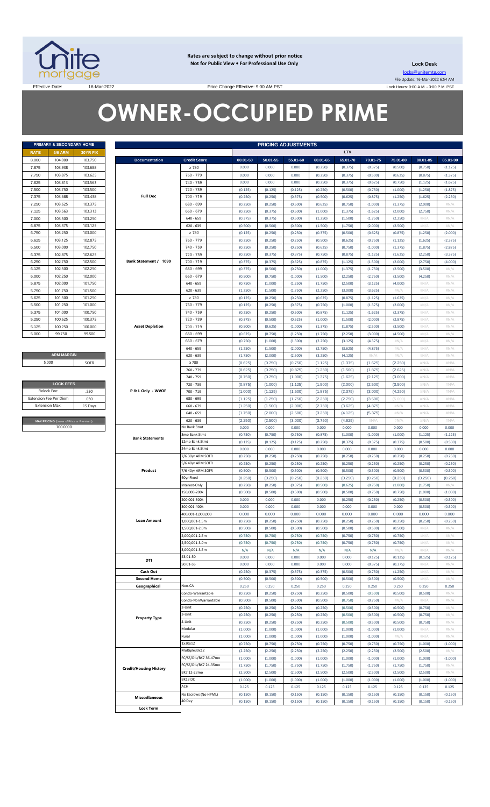

**Rates are subject to change without prior notice Not for Public View • For Professional Use Only** 

**Lock Desk** locks@unitemtg.com File Update: 16-Mar-2022 6:54 AM Lock Hours: 9:00 A.M. - 3:00 P.M. PST

Effective Date: 16-Mar-2022 16-Mar-2022 Price Change Effective: 9:00 AM PST

# **OWNER-OCCUPIED PRIME**

|             | PRIMARY & SECONDARY HOME |          |
|-------------|--------------------------|----------|
| <b>RATE</b> | <b>5/6 ARM</b>           | 30YR FIX |
| 8.000       | 104.000                  | 103.750  |
| 7.875       | 103.938                  | 103.688  |
| 7.750       | 103.875                  | 103.625  |
| 7.625       | 103.813                  | 103.563  |
| 7.500       | 103.750                  | 103.500  |
| 7.375       | 103.688                  | 103 438  |
| 7.250       | 103.625                  | 103.375  |
| 7.125       | 103.563                  | 103.313  |
| 7.000       | 103.500                  | 103.250  |
| 6.875       | 103.375                  | 103.125  |
| 6.750       | 103.250                  | 103,000  |
| 6.625       | 103.125                  | 102.875  |
| 6.500       | 103,000                  | 102.750  |
| 6.375       | 102.875                  | 102.625  |
| 6.250       | 102.750                  | 102.500  |
| 6.125       | 102.500                  | 102.250  |
| 6.000       | 102.250                  | 102.000  |
| 5.875       | 102.000                  | 101.750  |
| 5.750       | 101.750                  | 101.500  |
| 5.625       | 101.500                  | 101.250  |
| 5.500       | 101.250                  | 101.000  |
| 5.375       | 101.000                  | 100.750  |
| 5.250       | 100.625                  | 100.375  |
| 5.125       | 100.250                  | 100,000  |
| 5.000       | 99.750                   | 99.500   |

**ARM MARGIN** 5.000

| <b>LOCK FEES</b>                        |         |  |  |  |  |  |  |  |  |  |
|-----------------------------------------|---------|--|--|--|--|--|--|--|--|--|
| Relock Fee:                             | 250     |  |  |  |  |  |  |  |  |  |
| <b>Extension Fee Per Diem</b>           | .030    |  |  |  |  |  |  |  |  |  |
| <b>Extension Max:</b>                   | 15 Days |  |  |  |  |  |  |  |  |  |
|                                         |         |  |  |  |  |  |  |  |  |  |
| MAX PRICING (Lower of Price or Premium) |         |  |  |  |  |  |  |  |  |  |
| 100,0000                                |         |  |  |  |  |  |  |  |  |  |

|                | PRIMARY & SECONDARY HOME                |                       |                               |                                  | <b>PRICING ADJUSTMENTS</b> |                    |                    |                    |                    |                    |                    |                    |                    |
|----------------|-----------------------------------------|-----------------------|-------------------------------|----------------------------------|----------------------------|--------------------|--------------------|--------------------|--------------------|--------------------|--------------------|--------------------|--------------------|
| RATE           | <b>5/6 ARM</b>                          | 30YR FIX              |                               |                                  |                            |                    |                    |                    | LTV                |                    |                    |                    |                    |
| 8.000          | 104.000                                 | 103.750               | <b>Documentation</b>          | <b>Credit Score</b>              | 00.01-50                   | 50.01-55           | 55.01-60           | 60.01-65           | 65.01-70           | 70.01-75           | 75.01-80           | 80.01-85           | 85.01-90           |
| 7.875          | 103.938                                 | 103.688               |                               | $\geq 780$                       | 0.000                      | 0.000              | 0.000              | (0.250)            | (0.375)            | (0.375)            | (0.500)            | (0.750)            | (1.125)            |
| 7.750          | 103.875                                 | 103.625               |                               | 760 - 779                        | 0.000                      | 0.000              | 0.000              | (0.250)            | (0.375)            | (0.500)            | (0.625)            | (0.875)            | (1.375)            |
| 7.625<br>7.500 | 103.813<br>103.750                      | 103.563<br>103.500    |                               | 740 - 759<br>720 - 739           | 0.000<br>(0.125)           | 0.000<br>(0.125)   | 0.000<br>(0.125)   | (0.250)<br>(0.250) | (0.375)<br>(0.500) | (0.625)<br>(0.750) | (0.750)<br>(1.000) | (1.125)<br>(1.250) | (1.625)<br>(1.875) |
| 7.375          | 103.688                                 | 103.438               | <b>Full Doc</b>               | 700 - 719                        | (0.250)                    | (0.250)            | (0.375)            | (0.500)            | (0.625)            | (0.875)            | (1.250)            | (1.625)            | (2.250)            |
| 7.250          | 103.625                                 | 103.375               |                               | 680 - 699                        | (0.250)                    | (0.250)            | (0.500)            | (0.625)            | (0.750)            | (1.000)            | (1.375)            | (2.000)            | #N/A               |
| 7.125          | 103.563                                 | 103.313               |                               | $660 - 679$                      | (0.250)                    | (0.375)            | (0.500)            | (1.000)            | (1.375)            | (1.625)            | (2.000)            | (2.750)            | #N/A               |
| 7.000          | 103.500                                 | 103.250               |                               | $640 - 659$                      | (0.375)                    | (0.375)            | (0.500)            | (1.250)            | (1.500)            | (1.750)            | (2.250)            | H N/A              | #N/A               |
| 6.875          | 103.375                                 | 103.125               |                               | $620 - 639$                      | (0.500)                    | (0.500)            | (0.500)            | (1.500)            | (1.750)            | (2.000)            | (2.500)            | $\#N/A$            | #N/A               |
| 6.750          | 103.250                                 | 103.000               |                               | $\geq 780$                       | (0.125)                    | (0.250)            | (0.250)            | (0.375)            | (0.500)            | (0.625)            | (0.875)            | (1.250)            | (2.000)            |
| 6.625<br>6.500 | 103.125<br>103.000                      | 102.875<br>102.750    |                               | 760 - 779<br>740 - 759           | (0.250)<br>(0.250)         | (0.250)<br>(0.250) | (0.250)<br>(0.250) | (0.500)<br>(0.625) | (0.625)<br>(0.750) | (0.750)<br>(1.000) | (1.125)<br>(1.375) | (1.625)<br>(1.875) | (2.375)<br>(2.875) |
| 6.375          | 102.875                                 | 102.625               |                               | 720 - 739                        | (0.250)                    | (0.375)            | (0.375)            | (0.750)            | (0.875)            | (1.125)            | (1.625)            | (2.250)            | (3.375)            |
| 6.250          | 102.750                                 | 102.500               | Bank Statement / 1099         | 700 - 719                        | (0.375)                    | (0.375)            | (0.625)            | (0.875)            | (1.125)            | (1.500)            | (2.000)            | (2.750)            | (4.000)            |
| 6.125          | 102.500                                 | 102.250               |                               | 680 - 699                        | (0.375)                    | (0.500)            | (0.750)            | (1.000)            | (1.375)            | (1.750)            | (2.500)            | (3.500)            | #N/A               |
| 6.000          | 102.250                                 | 102.000               |                               | $660 - 679$                      | (0.500)                    | (0.750)            | (1.000)            | (1.500)            | (2.250)            | (2.750)            | (3.500)            | (4.250)            | #N/A               |
| 5.875          | 102.000                                 | 101.750               |                               | $640 - 659$                      | (0.750)                    | (1.000)            | (1.250)            | (1.750)            | (2.500)            | (3.125)            | (4.000)            | $\#N/A$            | #N/A               |
| 5.750          | 101.750                                 | 101.500               |                               | $620 - 639$                      | (1.250)                    | (1.500)            | (1.750)            | (2.250)            | (3.000)            | (3.625)            | $\#N/A$            | H N/A              | #N/A               |
| 5.625          | 101.500                                 | 101.250               |                               | $\geq 780$                       | (0.125)                    | (0.250)            | (0.250)            | (0.625)            | (0.875)            | (1.125)            | (1.625)            | H N/A              | #N/A               |
| 5.500<br>5.375 | 101.250<br>101.000                      | 101.000<br>100.750    |                               | 760 - 779<br>740 - 759           | (0.125)<br>(0.250)         | (0.250)<br>(0.250) | (0.375)<br>(0.500) | (0.750)            | (1.000)            | (1.375)<br>(1.625) | (2.000)<br>(2.375) | H N/A<br>H N/A     | #N/A               |
| 5.250          | 100.625                                 | 100.375               |                               | 720 - 739                        | (0.375)                    | (0.500)            | (0.625)            | (0.875)<br>(1.000) | (1.125)<br>(1.500) | (2.000)            | (2.875)            | H N/A              | #N/A<br>#N/A       |
| 5.125          | 100.250                                 | 100.000               | <b>Asset Depletion</b>        | 700 - 719                        | (0.500)                    | (0.625)            | (1.000)            | (1.375)            | (1.875)            | (2.500)            | (3.500)            | H N/A              | #N/A               |
| 5.000          | 99.750                                  | 99.500                |                               | 680 - 699                        | (0.625)                    | (0.750)            | (1.250)            | (1.750)            | (2.250)            | (3.000)            | (4.500)            | H N/A              | #N/A               |
|                |                                         |                       |                               | $660 - 679$                      | (0.750)                    | (1.000)            | (1.500)            | (2.250)            | (3.125)            | (4.375)            | $\#N/A$            | H N/A              | #N/A               |
|                |                                         |                       |                               | $640 - 659$                      | (1.250)                    | (1.500)            | (2.000)            | (2.750)            | (3.625)            | (4.875)            | $\#N/A$            | H N/A              | #N/A               |
|                | <b>ARM MARGIN</b>                       |                       |                               | $620 - 639$                      | (1.750)                    | (2.000)            | (2.500)            | (3.250)            | (4.125)            | $\#N/A$            | $\#N/A$            | H N/A              | #N/A               |
| 5.000          |                                         | SOFR                  |                               | $\geq 780$<br>760 - 779          | (0.625)<br>(0.625)         | (0.750)<br>(0.750) | (0.750)<br>(0.875) | (1.125)<br>(1.250) | (1.375)<br>(1.500) | (1.625)<br>(1.875) | (2.250)<br>(2.625) | #N/A<br>#N/A       | #N/A<br>#N/A       |
|                |                                         |                       |                               | 740 - 759                        | (0.750)                    | (0.750)            | (1.000)            | (1.375)            | (1.625)            | (2.125)            | (3.000)            | #N/A               | #N/A               |
|                | <b>LOCK FEES</b>                        |                       |                               | 720 - 739                        | (0.875)                    | (1.000)            | (1.125)            | (1.500)            | (2.000)            | (2.500)            | (3.500)            | #N/A               | #N/A               |
| Relock Fee:    |                                         | .250                  | P & L Only - WVOE             | 700 - 719                        | (1.000)                    | (1.125)            | (1.500)            | (1.875)            | (2.375)            | (3.000)            | (4.250)            | #N/A               | #N/A               |
|                | xtension Fee Per Diem                   | .030                  |                               | 680 - 699                        | (1.125)                    | (1.250)            | (1.750)            | (2.250)            | (2.750)            | (3.500)            | (5.000)            | #N/A               | #N/A               |
| Extension Max: |                                         | 15 Days               |                               | $660 - 679$                      | (1.250)                    | (1.500)            | (2.000)            | (2.750)            | (3.625)            | (4.875)            | $\#N/A$            | #N/A               | #N/A               |
|                |                                         |                       |                               | $640 - 659$                      | (1.750)                    | (2.000)            | (2.500)            | (3.250)            | (4.125)            | (5.375)            | $\#N/A$            | #N/A               | #N/A               |
|                | MAX PRICING (Lower of Price or Premium) |                       | $620 - 639$                   | (2.250)                          | (2.500)                    | (3.000)            | (3.750)            | (4.625)            | #N/A               | $\#N/A$            | #N/A               | #N/A               |                    |
|                | 100.0000                                |                       |                               | No Bank Stmt<br>3mo Bank Stmt    | 0.000<br>(0.750)           | 0.000<br>(0.750)   | 0.000<br>(0.750)   | 0.000<br>(0.875)   | 0.000<br>(1.000)   | 0.000<br>(1.000)   | 0.000<br>(1.000)   | 0.000<br>(1.125)   | 0.000<br>(1.125)   |
|                |                                         |                       | <b>Bank Statements</b>        | 12mo Bank Stmt                   | (0.125)                    | (0.125)            | (0.125)            | (0.250)            | (0.375)            | (0.375)            | (0.375)            | (0.500)            | (0.500)            |
|                |                                         |                       |                               | 24mo Bank Stmt                   | 0.000                      | 0.000              | 0.000              | 0.000              | 0.000              | 0.000              | 0.000              | 0.000              | 0.000              |
|                |                                         |                       |                               | 7/6 30yr ARM SOFR                | (0.250)                    | (0.250)            | (0.250)            | (0.250)            | (0.250)            | (0.250)            | (0.250)            | (0.250)            | (0.250)            |
|                |                                         |                       |                               | 5/6 40yr ARM SOFR                | (0.250)                    | (0.250)            | (0.250)            | (0.250)            | (0.250)            | (0.250)            | (0.250)            | (0.250)            | (0.250)            |
|                |                                         |                       | Product                       | 7/6 40yr ARM SOFR                | (0.500)                    | (0.500)            | (0.500)            | (0.500)            | (0.500)            | (0.500)            | (0.500)            | (0.500)            | (0.500)            |
|                |                                         |                       |                               | 40yr Fixed<br>Interest-Only      | (0.250)<br>(0.250)         | (0.250)<br>(0.250) | (0.250)            | (0.250)<br>(0.500) | (0.250)            | (0.250)<br>(0.750) | (0.250)<br>(1.000) | (0.250)            | (0.250)<br>#N/A    |
|                |                                         |                       |                               | 150.000-200k                     | (0.500)                    | (0.500)            | (0.375)<br>(0.500) | (0.500)            | (0.625)<br>(0.500) | (0.750)            | (0.750)            | (1.750)<br>(1.000) | (1.000)            |
|                |                                         |                       |                               | 200.001-300k                     | 0.000                      | 0.000              | 0.000              | 0.000              | (0.250)            | (0.250)            | (0.250)            | (0.500)            | (0.500)            |
|                |                                         |                       |                               | 300,001-400k                     | 0.000                      | 0.000              | 0.000              | 0.000              | 0.000              | 0.000              | 0.000              | (0.500)            | (0.500)            |
|                |                                         |                       |                               | 400,001-1,000,000                | 0.000                      | 0.000              | 0.000              | 0.000              | 0.000              | 0.000              | 0.000              | 0.000              | 0.000              |
|                |                                         |                       | <b>Loan Amount</b>            | 1,000,001-1.5m                   | (0.250)                    | (0.250)            | (0.250)            | (0.250)            | (0.250)            | (0.250)            | (0.250)            | (0.250)            | (0.250)            |
|                |                                         |                       |                               | 1,500,001-2.0m                   | (0.500)                    | (0.500)            | (0.500)            | (0.500)            | (0.500)            | (0.500)            | (0.500)            | $\#N/A$            | #N/A               |
|                |                                         |                       |                               | 2,000,001-2.5m<br>2,500,001-3.0m | (0.750)<br>(0.750)         | (0.750)<br>(0.750) | (0.750)<br>(0.750) | (0.750)<br>(0.750) | (0.750)<br>(0.750) | (0.750)<br>(0.750) | (0.750)<br>(0.750) | H N/A<br>H N/A     | #N/A<br>#N/A       |
|                |                                         |                       |                               | 3,000,001-3.5m                   | N/A                        | N/A                | N/A                | N/A                | N/A                | N/A                | $\#N/A$            | H N/A              | #N/A               |
|                |                                         |                       |                               | 43.01-50                         | 0.000                      | 0.000              | 0.000              | 0.000              | 0.000              | (0.125)            | (0.125)            | (0.125)            | (0.125)            |
|                |                                         |                       | DTI                           | 50.01-55                         | 0.000                      | 0.000              | 0.000              | 0.000              | 0.000              | (0.375)            | (0.375)            | $\#N/A$            | #N/A               |
|                |                                         |                       | Cash Out                      |                                  | (0.250)                    | (0.375)            | (0.375)            | (0.375)            | (0.500)            | (0.750)            | (1.250)            | $\#N/A$            | #N/A               |
|                |                                         |                       | <b>Second Home</b>            |                                  | (0.500)                    | (0.500)            | (0.500)            | (0.500)            | (0.500)            | (0.500)            | (0.500)            | H N/A              | #N/A               |
|                |                                         |                       | Geographical                  | Non-CA<br>Condo-Warrantable      | 0.250                      | 0.250              | 0.250              | 0.250              | 0.250              | 0.250              | 0.250              | 0.250              | 0.250              |
|                |                                         |                       |                               | Condo-NonWarrantable             | (0.250)<br>(0.500)         | (0.250)<br>(0.500) | (0.250)<br>(0.500) | (0.250)<br>(0.500) | (0.500)<br>(0.750) | (0.500)<br>(0.750) | (0.500)<br>$\#N/A$ | (0.500)<br>$\#N/A$ | #N/A<br>#N/A       |
|                | <b>Property Type</b>                    |                       |                               | 2-Unit                           | (0.250)                    | (0.250)            | (0.250)            | (0.250)            | (0.500)            | (0.500)            | (0.500)            | (0.750)            | #N/A               |
|                |                                         |                       | 3-Unit                        | (0.250)                          | (0.250)                    | (0.250)            | (0.250)            | (0.500)            | (0.500)            | (0.500)            | (0.750)            | #N/A               |                    |
|                |                                         |                       |                               | 4-Unit                           | (0.250)                    | (0.250)            | (0.250)            | (0.250)            | (0.500)            | (0.500)            | (0.500)            | (0.750)            | #N/A               |
|                |                                         |                       |                               | Modular                          | (1.000)                    | (1.000)            | (1.000)            | (1.000)            | (1.000)            | (1.000)            | (1.000)            | H N/A              | #N/A               |
|                |                                         |                       |                               | Rural                            | (1.000)                    | (1.000)            | (1.000)            | (1.000)            | (1.000)            | (1.000)            | #N/A               | $\#N/A$            | #N/A               |
|                |                                         |                       |                               | 1x30x12<br>Multiple30x12         | (0.750)                    | (0.750)            | (0.750)            | (0.750)            | (0.750)            | (0.750)            | (0.750)            | (1.000)            | (1.000)            |
|                |                                         |                       | FC/SS/DIL/BK7 36-47mo         | (2.250)<br>(1.000)               | (2.250)<br>(1.000)         | (2.250)<br>(1.000) | (2.250)<br>(1.000) | (2.250)<br>(1.000) | (2.250)<br>(1.000) | (2.500)<br>(1.000) | (2.500)<br>(1.000) | #N/A<br>(1.000)    |                    |
|                |                                         | FC/SS/DIL/BK7 24-35mo | (1.750)                       | (1.750)                          | (1.750)                    | (1.750)            | (1.750)            | (1.750)            | (1.750)            | (1.750)            | #N/A               |                    |                    |
|                |                                         |                       | <b>Credit/Housing History</b> | BK7 12-23mo                      | (2.500)                    | (2.500)            | (2.500)            | (2.500)            | (2.500)            | (2.500)            | (2.500)            | (2.500)            | #N/A               |
|                |                                         |                       |                               | BK13 DC                          | (1.000)                    | (1.000)            | (1.000)            | (1.000)            | (1.000)            | (1.000)            | (1.000)            | (1.000)            | (1.000)            |
|                |                                         |                       |                               | ACH                              | 0.125                      | 0.125              | 0.125              | 0.125              | 0.125              | 0.125              | 0.125              | 0.125              | 0.125              |
|                |                                         |                       | <b>Misccellaneous</b>         | No Escrows (No HPML)             | (0.150)                    | (0.150)            | (0.150)            | (0.150)            | (0.150)            | (0.150)            | (0.150)            | (0.150)            | (0.150)            |
|                |                                         |                       | <b>Lock Term</b>              | 40 Day                           | (0.150)                    | (0.150)            | (0.150)            | (0.150)            | (0.150)            | (0.150)            | (0.150)            | (0.150)            | (0.150)            |
|                |                                         |                       |                               |                                  |                            |                    |                    |                    |                    |                    |                    |                    |                    |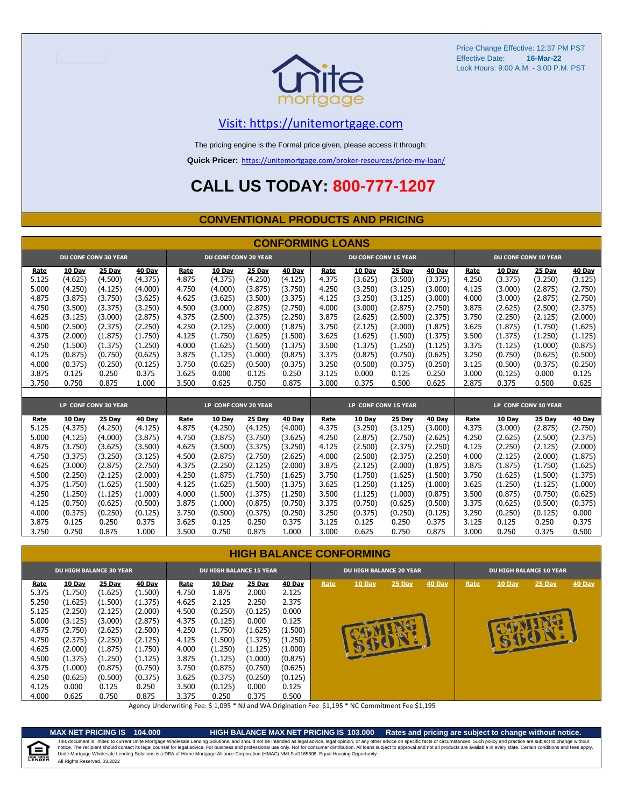

# [V](https://unitemortgage.com/)isit: https://unitemortgage.com

The pricing engine is the Formal price given, please access it through:

**Quick Pricer:** [https://un](https://unitemortgage.com/broker-resources/price-my-loan/)itemortgage.com/broker-resources/price-my-loan/

# **CALL US TODAY: 800-777-1207**

### **CONVENTIONAL PRODUCTS AND PRICING**

|       | <b>CONFORMING LOANS</b> |                             |         |       |                             |         |         |       |                             |         |               |       |               |                             |               |
|-------|-------------------------|-----------------------------|---------|-------|-----------------------------|---------|---------|-------|-----------------------------|---------|---------------|-------|---------------|-----------------------------|---------------|
|       |                         | <b>DU CONF CONV 30 YEAR</b> |         |       | <b>DU CONF CONV 20 YEAR</b> |         |         |       | <b>DU CONF CONV 15 YEAR</b> |         |               |       |               | <b>DU CONF CONV 10 YEAR</b> |               |
| Rate  | 10 Day                  | 25 Day                      | 40 Day  | Rate  | 10 Day                      | 25 Day  | 40 Day  | Rate  | 10 Day                      | 25 Day  | <b>40 Day</b> | Rate  | <b>10 Day</b> | 25 Day                      | <b>40 Day</b> |
| 5.125 | (4.625)                 | (4.500)                     | (4.375) | 4.875 | (4.375)                     | (4.250) | (4.125) | 4.375 | (3.625)                     | (3.500) | (3.375)       | 4.250 | (3.375)       | (3.250)                     | (3.125)       |
| 5.000 | (4.250)                 | (4.125)                     | (4.000) | 4.750 | (4.000)                     | (3.875) | (3.750) | 4.250 | (3.250)                     | (3.125) | (3.000)       | 4.125 | (3.000)       | (2.875)                     | (2.750)       |
| 4.875 | (3.875)                 | (3.750)                     | (3.625) | 4.625 | (3.625)                     | (3.500) | (3.375) | 4.125 | (3.250)                     | (3.125) | (3.000)       | 4.000 | (3.000)       | (2.875)                     | (2.750)       |
| 4.750 | (3.500)                 | (3.375)                     | (3.250) | 4.500 | (3.000)                     | (2.875) | (2.750) | 4.000 | (3.000)                     | (2.875) | (2.750)       | 3.875 | (2.625)       | (2.500)                     | (2.375)       |
| 4.625 | (3.125)                 | (3.000)                     | (2.875) | 4.375 | (2.500)                     | (2.375) | (2.250) | 3.875 | (2.625)                     | (2.500) | (2.375)       | 3.750 | (2.250)       | (2.125)                     | (2.000)       |
| 4.500 | (2.500)                 | (2.375)                     | (2.250) | 4.250 | (2.125)                     | (2.000) | (1.875) | 3.750 | (2.125)                     | (2.000) | (1.875)       | 3.625 | (1.875)       | (1.750)                     | (1.625)       |
| 4.375 | (2.000)                 | (1.875)                     | (1.750) | 4.125 | (1.750)                     | (1.625) | (1.500) | 3.625 | (1.625)                     | (1.500) | (1.375)       | 3.500 | (1.375)       | (1.250)                     | (1.125)       |
| 4.250 | (1.500)                 | (1.375)                     | (1.250) | 4.000 | (1.625)                     | (1.500) | (1.375) | 3.500 | (1.375)                     | (1.250) | (1.125)       | 3.375 | (1.125)       | (1.000)                     | (0.875)       |
| 4.125 | (0.875)                 | (0.750)                     | (0.625) | 3.875 | (1.125)                     | (1.000) | (0.875) | 3.375 | (0.875)                     | (0.750) | (0.625)       | 3.250 | (0.750)       | (0.625)                     | (0.500)       |
| 4.000 | (0.375)                 | (0.250)                     | (0.125) | 3.750 | (0.625)                     | (0.500) | (0.375) | 3.250 | (0.500)                     | (0.375) | (0.250)       | 3.125 | (0.500)       | (0.375)                     | (0.250)       |
| 3.875 | 0.125                   | 0.250                       | 0.375   | 3.625 | 0.000                       | 0.125   | 0.250   | 3.125 | 0.000                       | 0.125   | 0.250         | 3.000 | (0.125)       | 0.000                       | 0.125         |
| 3.750 | 0.750                   | 0.875                       | 1.000   | 3.500 | 0.625                       | 0.750   | 0.875   | 3.000 | 0.375                       | 0.500   | 0.625         | 2.875 | 0.375         | 0.500                       | 0.625         |
|       |                         |                             |         |       |                             |         |         |       |                             |         |               |       |               |                             |               |
|       |                         | LP CONF CONV 30 YEAR        |         |       | LP CONF CONV 20 YEAR        |         |         |       | LP CONF CONV 15 YEAR        |         |               |       |               | LP CONF CONV 10 YEAR        |               |
| Rate  | 10 Dav                  | 25 Day                      | 40 Dav  | Rate  | 10 Day                      | 25 Day  | 40 Day  | Rate  | 10 Dav                      | 25 Day  | 40 Day        | Rate  | 10 Day        | 25 Day                      | 40 Day        |
| 5.125 | (4.375)                 | (4.250)                     | (4.125) | 4.875 | (4.250)                     | (4.125) | (4.000) | 4.375 | (3.250)                     | (3.125) | (3.000)       | 4.375 | (3.000)       | (2.875)                     | (2.750)       |
| 5.000 | (4.125)                 | (4.000)                     | (3.875) | 4.750 | (3.875)                     | (3.750) | (3.625) | 4.250 | (2.875)                     | (2.750) | (2.625)       | 4.250 | (2.625)       | (2.500)                     | (2.375)       |
| 4.875 | (3.750)                 | (3.625)                     | (3.500) | 4.625 | (3.500)                     | (3.375) | (3.250) | 4.125 | (2.500)                     | (2.375) | (2.250)       | 4.125 | (2.250)       | (2.125)                     | (2.000)       |
| 4.750 | (3.375)                 | (3.250)                     | (3.125) | 4.500 | (2.875)                     | (2.750) | (2.625) | 4.000 | (2.500)                     | (2.375) | (2.250)       | 4.000 | (2.125)       | (2.000)                     | (1.875)       |
| 4.625 | (3.000)                 | (2.875)                     | (2.750) | 4.375 | (2.250)                     | (2.125) | (2.000) | 3.875 | (2.125)                     | (2.000) | (1.875)       | 3.875 | (1.875)       | (1.750)                     | (1.625)       |
| 4.500 | (2.250)                 | (2.125)                     | (2.000) | 4.250 | (1.875)                     | (1.750) | (1.625) | 3.750 | (1.750)                     | (1.625) | (1.500)       | 3.750 | (1.625)       | (1.500)                     | (1.375)       |
| 4.375 | (1.750)                 | (1.625)                     | (1.500) | 4.125 | (1.625)                     | (1.500) | (1.375) | 3.625 | (1.250)                     | (1.125) | (1.000)       | 3.625 | (1.250)       | (1.125)                     | (1.000)       |
| 4.250 | (1.250)                 | (1.125)                     | (1.000) | 4.000 | (1.500)                     | (1.375) | (1.250) | 3.500 | (1.125)                     | (1.000) | (0.875)       | 3.500 | (0.875)       | (0.750)                     | (0.625)       |
| 4.125 | (0.750)                 | (0.625)                     | (0.500) | 3.875 | (1.000)                     | (0.875) | (0.750) | 3.375 | (0.750)                     | (0.625) | (0.500)       | 3.375 | (0.625)       | (0.500)                     | (0.375)       |
| 4.000 | (0.375)                 | (0.250)                     | (0.125) | 3.750 | (0.500)                     | (0.375) | (0.250) | 3.250 | (0.375)                     | (0.250) | (0.125)       | 3.250 | (0.250)       | (0.125)                     | 0.000         |
| 3.875 | 0.125                   | 0.250                       | 0.375   | 3.625 | 0.125                       | 0.250   | 0.375   | 3.125 | 0.125                       | 0.250   | 0.375         | 3.125 | 0.125         | 0.250                       | 0.375         |
| 3.750 | 0.750                   | 0.875                       | 1.000   | 3.500 | 0.750                       | 0.875   | 1.000   | 3.000 | 0.625                       | 0.750   | 0.875         | 3.000 | 0.250         | 0.375                       | 0.500         |

### **HIGH BALANCE CONFORMING**

|                                                                                                                         | <b>DU HIGH BALANCE 30 YEAR</b>                                                                                                                |                                                                                                                                        |                                                                                                                                        |                                                                                                                  | <b>DU HIGH BALANCE 15 YEAR</b>                                                                                                              |                                                                                                                                         |                                                                                                                                       |      | <b>DU HIGH BALANCE 20 YEAR</b> |                   |        | <b>DU HIGH BALANCE 10 YEAR</b> |        |                    |               |  |
|-------------------------------------------------------------------------------------------------------------------------|-----------------------------------------------------------------------------------------------------------------------------------------------|----------------------------------------------------------------------------------------------------------------------------------------|----------------------------------------------------------------------------------------------------------------------------------------|------------------------------------------------------------------------------------------------------------------|---------------------------------------------------------------------------------------------------------------------------------------------|-----------------------------------------------------------------------------------------------------------------------------------------|---------------------------------------------------------------------------------------------------------------------------------------|------|--------------------------------|-------------------|--------|--------------------------------|--------|--------------------|---------------|--|
| <b>Rate</b><br>5.375<br>5.250<br>5.125<br>5.000<br>4.875<br>4.750<br>4.625<br>4.500<br>4.375<br>4.250<br>4.125<br>4.000 | <b>10 Day</b><br>(1.750)<br>(1.625)<br>(2.250)<br>(3.125)<br>(2.750)<br>(2.375)<br>(2.000)<br>(1.375)<br>(1.000)<br>(0.625)<br>0.000<br>0.625 | 25 Day<br>(1.625)<br>(1.500)<br>(2.125)<br>(3.000)<br>(2.625)<br>(2.250)<br>(1.875)<br>(1.250)<br>(0.875)<br>(0.500)<br>0.125<br>0.750 | 40 Day<br>(1.500)<br>(1.375)<br>(2.000)<br>(2.875)<br>(2.500)<br>(2.125)<br>(1.750)<br>(1.125)<br>(0.750)<br>(0.375)<br>0.250<br>0.875 | Rate<br>4.750<br>4.625<br>4.500<br>4.375<br>4.250<br>4.125<br>4.000<br>3.875<br>3.750<br>3.625<br>3.500<br>3.375 | <b>10 Day</b><br>1.875<br>2.125<br>(0.250)<br>(0.125)<br>(1.750)<br>(1.500)<br>(1.250)<br>(1.125)<br>(0.875)<br>(0.375)<br>(0.125)<br>0.250 | <b>25 Day</b><br>2.000<br>2.250<br>(0.125)<br>0.000<br>(1.625)<br>(1.375)<br>(1.125)<br>(1.000)<br>(0.750)<br>(0.250)<br>0.000<br>0.375 | <b>40 Day</b><br>2.125<br>2.375<br>0.000<br>0.125<br>(1.500)<br>(1.250)<br>(1.000)<br>(0.875)<br>(0.625)<br>(0.125)<br>0.125<br>0.500 | Rate | 10 Day<br>马                    | 25 Day<br>EDED IN | 40 Day | Rate                           | 10 Day | 25 Day<br><b>a</b> | <b>40 Day</b> |  |

Agency Underwriting Fee: \$ 1,095 \* NJ and WA Origination Fee \$1,195 \* NC Commitment Fee \$1,195

e

**MAX NET PRICING IS 104.000 HIGH BALANCE MAX NET PRICING IS 103.000 Rates and pricing are subject to change without notice.** All Rights Reserved. 03.2022 This document is limited to current Unite Mortgage Wholesale Lending Solutions, and should not be intended as legal advice, legal opinion, or any other advice on specific facts or circumstances. Such policy and practice ar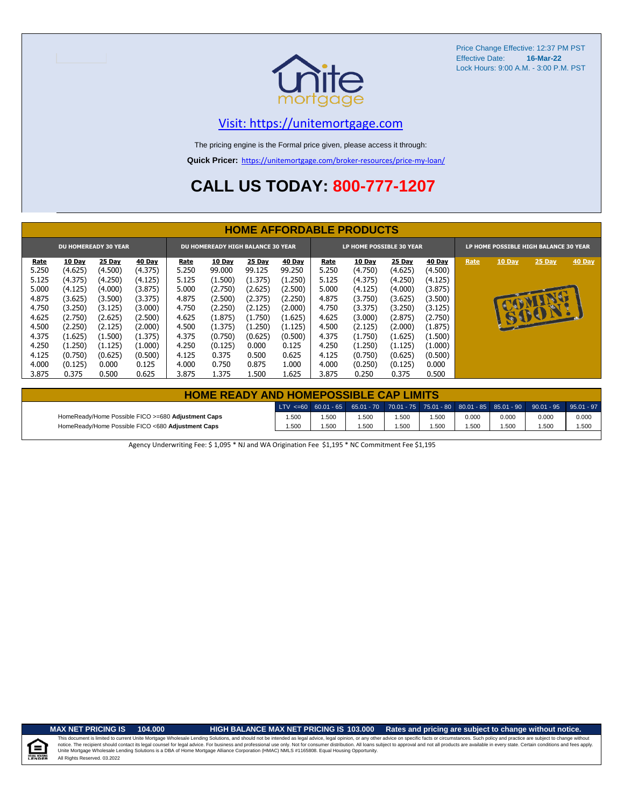

# [V](https://unitemortgage.com/)isit: https://unitemortgage.com

The pricing engine is the Formal price given, please access it through:

**Quick Pricer:** [https://un](https://unitemortgage.com/broker-resources/price-my-loan/)itemortgage.com/broker-resources/price-my-loan/

# **CALL US TODAY: 800-777-1207**

|                                                                         | <b>HOME AFFORDABLE PRODUCTS</b> |         |         |       |         |         |         |                          |         |               |         |                                       |               |          |        |
|-------------------------------------------------------------------------|---------------------------------|---------|---------|-------|---------|---------|---------|--------------------------|---------|---------------|---------|---------------------------------------|---------------|----------|--------|
| <b>DU HOMEREADY 30 YEAR</b><br><b>DU HOMEREADY HIGH BALANCE 30 YEAR</b> |                                 |         |         |       |         |         |         | LP HOME POSSIBLE 30 YEAR |         |               |         | LP HOME POSSIBLE HIGH BALANCE 30 YEAR |               |          |        |
| <u>Rate</u>                                                             | 10 Day                          | 25 Day  | 40 Day  | Rate  | 10 Day  | 25 Day  | 40 Day  | Rate                     | 10 Day  | <b>25 Day</b> | 40 Day  | Rate                                  | <b>10 Day</b> | 25 Day   | 40 Day |
| 5.250                                                                   | (4.625)                         | (4.500) | (4.375) | 5.250 | 99.000  | 99.125  | 99.250  | 5.250                    | (4.750) | (4.625)       | (4.500) |                                       |               |          |        |
| 5.125                                                                   | (4.375)                         | (4.250) | (4.125) | 5.125 | (1.500) | (1.375) | (1.250) | 5.125                    | (4.375) | (4.250)       | (4.125) |                                       |               |          |        |
| 5.000                                                                   | (4.125)                         | (4.000) | (3.875) | 5.000 | (2.750) | (2.625) | (2.500) | 5.000                    | (4.125) | (4.000)       | (3.875) |                                       |               |          |        |
| 4.875                                                                   | (3.625)                         | (3.500) | (3.375) | 4.875 | (2.500) | (2.375) | (2.250) | 4.875                    | (3.750) | (3.625)       | (3.500) |                                       |               | <b>R</b> |        |
| 4.750                                                                   | (3.250)                         | (3.125) | (3.000) | 4.750 | (2.250) | (2.125) | (2.000) | 4.750                    | (3.375) | (3.250)       | (3.125) |                                       |               |          |        |
| 4.625                                                                   | (2.750)                         | (2.625) | (2.500) | 4.625 | (1.875) | (1.750) | (1.625) | 4.625                    | (3.000) | (2.875)       | (2.750) |                                       |               | 15001    |        |
| 4.500                                                                   | (2.250)                         | (2.125) | (2.000) | 4.500 | (1.375) | (1.250) | (1.125) | 4.500                    | (2.125) | (2.000)       | (1.875) |                                       |               |          |        |
| 4.375                                                                   | (1.625)                         | (1.500) | (1.375) | 4.375 | (0.750) | (0.625) | (0.500) | 4.375                    | (1.750) | (1.625)       | (1.500) |                                       |               |          |        |
| 4.250                                                                   | (1.250)                         | (1.125) | (1.000) | 4.250 | (0.125) | 0.000   | 0.125   | 4.250                    | (1.250) | (1.125)       | (1.000) |                                       |               |          |        |
| 4.125                                                                   | (0.750)                         | (0.625) | (0.500) | 4.125 | 0.375   | 0.500   | 0.625   | 4.125                    | (0.750) | (0.625)       | (0.500) |                                       |               |          |        |
| 4.000                                                                   | (0.125)                         | 0.000   | 0.125   | 4.000 | 0.750   | 0.875   | 1.000   | 4.000                    | (0.250) | (0.125)       | 0.000   |                                       |               |          |        |
| 3.875                                                                   | 0.375                           | 0.500   | 0.625   | 3.875 | 1.375   | 1.500   | 1.625   | 3.875                    | 0.250   | 0.375         | 0.500   |                                       |               |          |        |

|                                                    | <b>HOME READY AND HOMEPOSSIBLE CAP LIMITS</b> |      |       |       |      |       |       |                                                                                                     |       |  |  |  |  |  |
|----------------------------------------------------|-----------------------------------------------|------|-------|-------|------|-------|-------|-----------------------------------------------------------------------------------------------------|-------|--|--|--|--|--|
|                                                    |                                               |      |       |       |      |       |       | ULTV <=60 60.01 - 65 65.01 - 70 70.01 - 75 75.01 - 80 80.01 - 85 85.01 - 90 90.01 - 95 95.01 - 97 . |       |  |  |  |  |  |
| HomeReady/Home Possible FICO >=680 Adjustment Caps | 1.500                                         | .500 | 1.500 | 1.500 | .500 | 0.000 | 0.000 | 0.000                                                                                               | 0.000 |  |  |  |  |  |
| HomeReady/Home Possible FICO <680 Adjustment Caps  | 1.500                                         | .500 | 1.500 | 1.500 | .500 | .500  | 1.500 | .500                                                                                                | 1.500 |  |  |  |  |  |

Agency Underwriting Fee: \$ 1,095 \* NJ and WA Origination Fee \$1,195 \* NC Commitment Fee \$1,195

 $\equiv$ 

**MAX NET PRICING IS 104.000 HIGH BALANCE MAX NET PRICING IS 103.000 Rates and pricing are subject to change without notice.**

All Rights Reserved. 03.2022 This document is limited to current Unite Mortgage Wholesale Lending Solutions, and should not be intended as legal advice, legal opinion, or any other advice on specific facts or circumstances. Such policy and practice ar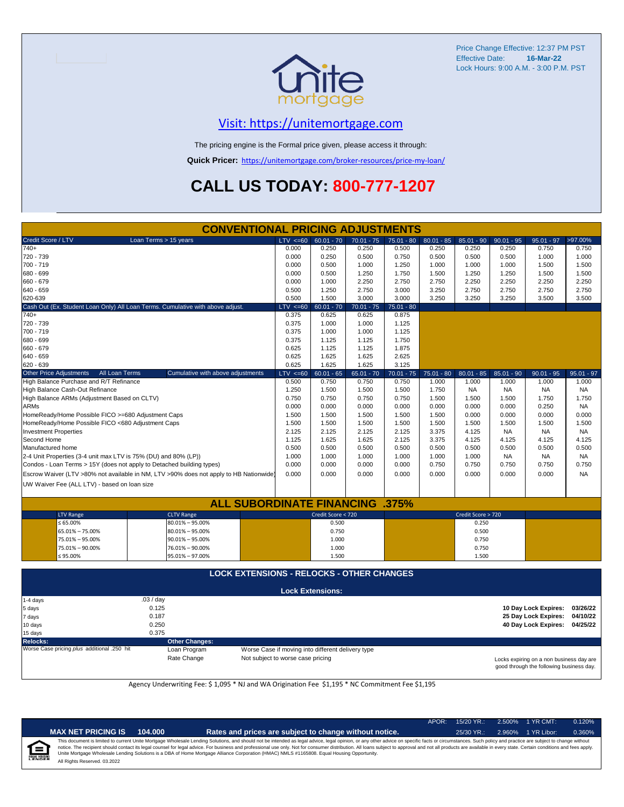

# [V](https://unitemortgage.com/)isit: https://unitemortgage.com

The pricing engine is the Formal price given, please access it through:

**Quick Pricer:** [https://un](https://unitemortgage.com/broker-resources/price-my-loan/)itemortgage.com/broker-resources/price-my-loan/

# **CALL US TODAY: 800-777-1207**

| <b>CONVENTIONAL PRICING ADJUSTMENTS</b>            |                |                                                                                        |              |                         |              |              |              |                    |              |                               |              |
|----------------------------------------------------|----------------|----------------------------------------------------------------------------------------|--------------|-------------------------|--------------|--------------|--------------|--------------------|--------------|-------------------------------|--------------|
| Credit Score / LTV                                 |                | Loan Terms > 15 years                                                                  | $LTV \le 60$ | $60.01 - 70$            | $70.01 - 75$ | $75.01 - 80$ | $80.01 - 85$ | $85.01 - 90$       | $90.01 - 95$ | $95.01 - 97$                  | >97.00%      |
| $740+$                                             |                |                                                                                        | 0.000        | 0.250                   | 0.250        | 0.500        | 0.250        | 0.250              | 0.250        | 0.750                         | 0.750        |
| 720 - 739                                          |                |                                                                                        | 0.000        | 0.250                   | 0.500        | 0.750        | 0.500        | 0.500              | 0.500        | 1.000                         | 1.000        |
| 700 - 719                                          |                |                                                                                        | 0.000        | 0.500                   | 1.000        | 1.250        | 1.000        | 1.000              | 1.000        | 1.500                         | 1.500        |
| 680 - 699                                          |                |                                                                                        | 0.000        | 0.500                   | 1.250        | 1.750        | 1.500        | 1.250              | 1.250        | 1.500                         | 1.500        |
| 660 - 679                                          |                |                                                                                        | 0.000        | 1.000                   | 2.250        | 2.750        | 2.750        | 2.250              | 2.250        | 2.250                         | 2.250        |
| 640 - 659                                          |                |                                                                                        | 0.500        | 1.250                   | 2.750        | 3.000        | 3.250        | 2.750              | 2.750        | 2.750                         | 2.750        |
| 620-639                                            |                |                                                                                        | 0.500        | 1.500                   | 3.000        | 3.000        | 3.250        | 3.250              | 3.250        | 3.500                         | 3.500        |
|                                                    |                | Cash Out (Ex. Student Loan Only) All Loan Terms. Cumulative with above adjust.         | LTV < 60     | $60.01 - 70$            | $70.01 - 75$ | $75.01 - 80$ |              |                    |              |                               |              |
| $740+$                                             |                |                                                                                        | 0.375        | 0.625                   | 0.625        | 0.875        |              |                    |              |                               |              |
| 720 - 739                                          |                |                                                                                        | 0.375        | 1.000                   | 1.000        | 1.125        |              |                    |              |                               |              |
| 700 - 719                                          |                |                                                                                        | 0.375        | 1.000                   | 1.000        | 1.125        |              |                    |              |                               |              |
| 680 - 699                                          |                |                                                                                        | 0.375        | 1.125                   | 1.125        | 1.750        |              |                    |              |                               |              |
| 660 - 679                                          |                |                                                                                        | 0.625        | 1.125                   | 1.125        | 1.875        |              |                    |              |                               |              |
| 640 - 659                                          |                |                                                                                        | 0.625        | 1.625                   | 1.625        | 2.625        |              |                    |              |                               |              |
| 620 - 639                                          |                |                                                                                        | 0.625        | 1.625                   | 1.625        | 3.125        |              |                    |              |                               |              |
| <b>Other Price Adjustments</b>                     | All Loan Terms | Cumulative with above adjustments                                                      | $LTV < =60$  | $60.01 - 65$            | $65.01 - 70$ | $70.01 - 75$ | $75.01 - 80$ | $80.01 - 85$       | $85.01 - 90$ | $90.01 - 95$                  | $95.01 - 97$ |
| High Balance Purchase and R/T Refinance            |                |                                                                                        | 0.500        | 0.750                   | 0.750        | 0.750        | 1.000        | 1.000              | 1.000        | 1.000                         | 1.000        |
| High Balance Cash-Out Refinance                    |                |                                                                                        | 1.250        | 1.500                   | 1.500        | 1.500        | 1.750        | <b>NA</b>          | <b>NA</b>    | <b>NA</b>                     | <b>NA</b>    |
| High Balance ARMs (Adjustment Based on CLTV)       |                |                                                                                        | 0.750        | 0.750                   | 0.750        | 0.750        | 1.500        | 1.500              | 1.500        | 1.750                         | 1.750        |
| <b>ARMs</b>                                        |                |                                                                                        | 0.000        | 0.000                   | 0.000        | 0.000        | 0.000        | 0.000              | 0.000        | 0.250                         | <b>NA</b>    |
| HomeReady/Home Possible FICO >=680 Adjustment Caps |                |                                                                                        | 1.500        | 1.500                   | 1.500        | 1.500        | 1.500        | 0.000              | 0.000        | 0.000                         | 0.000        |
| HomeReady/Home Possible FICO <680 Adjustment Caps  |                |                                                                                        | 1.500        | 1.500                   | 1.500        | 1.500        | 1.500        | 1.500              | 1.500        | 1.500                         | 1.500        |
| <b>Investment Properties</b>                       |                |                                                                                        | 2.125        | 2.125                   | 2.125        | 2.125        | 3.375        | 4.125              | <b>NA</b>    | <b>NA</b>                     | <b>NA</b>    |
| Second Home                                        |                |                                                                                        | 1.125        | 1.625                   | 1.625        | 2.125        | 3.375        | 4.125              | 4.125        | 4.125                         | 4.125        |
| Manufactured home                                  |                |                                                                                        | 0.500        | 0.500                   | 0.500        | 0.500        | 0.500        | 0.500              | 0.500        | 0.500                         | 0.500        |
|                                                    |                | 2-4 Unit Properties (3-4 unit max LTV is 75% (DU) and 80% (LP))                        | 1.000        | 1.000                   | 1.000        | 1.000        | 1.000        | 1.000              | <b>NA</b>    | NA                            | NA           |
|                                                    |                | Condos - Loan Terms > 15Y (does not apply to Detached building types)                  | 0.000        | 0.000                   | 0.000        | 0.000        | 0.750        | 0.750              | 0.750        | 0.750                         | 0.750        |
|                                                    |                | Escrow Waiver (LTV >80% not available in NM, LTV >90% does not apply to HB Nationwide) | 0.000        | 0.000                   | 0.000        | 0.000        | 0.000        | 0.000              | 0.000        | 0.000                         | <b>NA</b>    |
| UW Waiver Fee (ALL LTV) - based on loan size       |                |                                                                                        |              |                         |              |              |              |                    |              |                               |              |
|                                                    |                |                                                                                        |              |                         |              |              |              |                    |              |                               |              |
|                                                    |                | <b>ALL SUBORDINATE FINANCING</b>                                                       |              |                         |              | .375%        |              |                    |              |                               |              |
| <b>LTV Range</b>                                   |                | <b>CLTV Range</b>                                                                      |              | Credit Score < 720      |              |              |              | Credit Score > 720 |              |                               |              |
| $\leq 65.00\%$                                     |                | $80.01\% - 95.00\%$                                                                    |              | 0.500                   |              |              |              | 0.250              |              |                               |              |
| 65.01% - 75.00%                                    |                | $80.01\% - 95.00\%$                                                                    |              | 0.750                   |              |              |              | 0.500              |              |                               |              |
| 75.01% - 95.00%                                    |                | $90.01\% - 95.00\%$                                                                    |              | 1.000                   |              |              |              | 0.750              |              |                               |              |
| 75.01% - 90.00%                                    |                | 76.01% - 90.00%                                                                        |              | 1.000                   |              |              |              | 0.750              |              |                               |              |
| ≤ 95.00%                                           |                | 95.01% - 97.00%                                                                        |              | 1.500                   |              |              |              | 1.500              |              |                               |              |
|                                                    |                | <b>LOCK EXTENSIONS - RELOCKS - OTHER CHANGES</b>                                       |              |                         |              |              |              |                    |              |                               |              |
|                                                    |                |                                                                                        |              |                         |              |              |              |                    |              |                               |              |
|                                                    |                |                                                                                        |              | <b>Lock Extensions:</b> |              |              |              |                    |              |                               |              |
| 1-4 days                                           |                | .03 / day                                                                              |              |                         |              |              |              |                    |              |                               |              |
| 5 days                                             |                | 0.125                                                                                  |              |                         |              |              |              |                    |              | 10 Day Lock Expires:          | 03/26/22     |
| 7 days                                             |                | 0.187                                                                                  |              |                         |              |              |              |                    |              | 25 Day Lock Expires:          | 04/10/22     |
| 10 days                                            |                | 0.250                                                                                  |              |                         |              |              |              |                    |              | 40 Day Lock Expires: 04/25/22 |              |
| 15 days                                            |                | 0.375                                                                                  |              |                         |              |              |              |                    |              |                               |              |

**Relocks: Other Changes:**

Loan Program *plus* Worse Case if moving into different delivery type

Rate Change Not subject to worse case pricing

Locks expiring on a non business day are good through the following business day.

Agency Underwriting Fee: \$ 1,095 \* NJ and WA Origination Fee \$1,195 \* NC Commitment Fee \$1,195

| יהו<br>i |  |
|----------|--|
|          |  |

| <b>NET PRICING IS</b> | 104.000 |
|-----------------------|---------|
|-----------------------|---------|

**MAX NET PRICING IS 104.000 Rates and prices are subject to change without notice.** 25/30 YR.: 2.960% 1 YR Libor: 0.360%

APOR: 15/20 YR.: 2.500% 1 YR CMT: 0.120%

All Rights Reserved. 03.2022 This document is limited to current Unite Mortgage Wholesale Lending Solutions, and should not be intended as legal advice, legal opinion, or any other advice on specific facts or circumstances. Such policy and practice ar